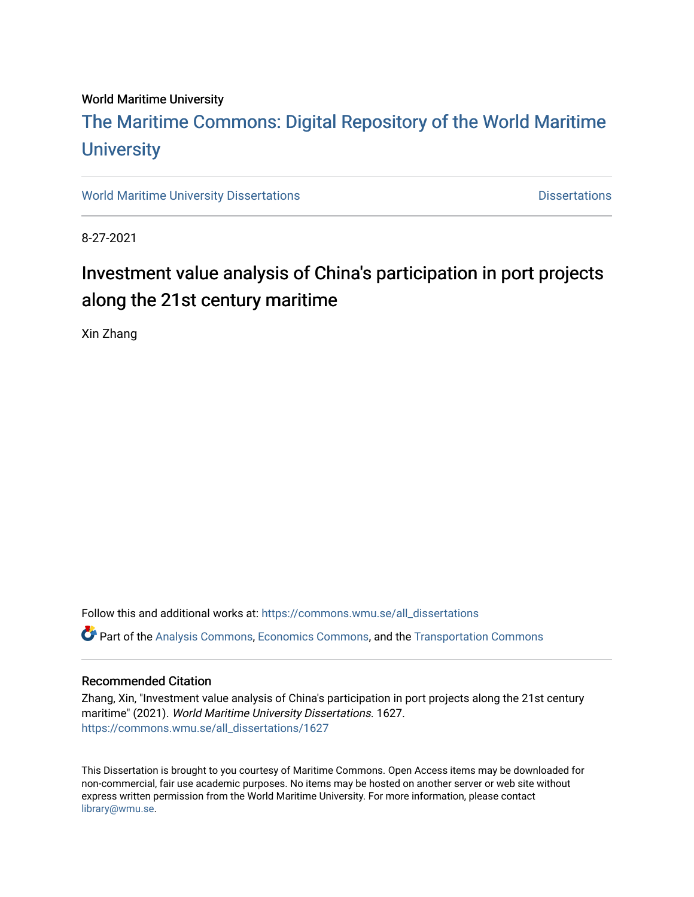#### World Maritime University

## [The Maritime Commons: Digital Repository of the World Maritime](https://commons.wmu.se/)  **University**

[World Maritime University Dissertations](https://commons.wmu.se/all_dissertations) **Distributions** [Dissertations](https://commons.wmu.se/dissertations) Dissertations

8-27-2021

## Investment value analysis of China's participation in port projects along the 21st century maritime

Xin Zhang

Follow this and additional works at: [https://commons.wmu.se/all\\_dissertations](https://commons.wmu.se/all_dissertations?utm_source=commons.wmu.se%2Fall_dissertations%2F1627&utm_medium=PDF&utm_campaign=PDFCoverPages)   $\bullet$  Part of the [Analysis Commons](http://network.bepress.com/hgg/discipline/177?utm_source=commons.wmu.se%2Fall_dissertations%2F1627&utm_medium=PDF&utm_campaign=PDFCoverPages), [Economics Commons,](http://network.bepress.com/hgg/discipline/340?utm_source=commons.wmu.se%2Fall_dissertations%2F1627&utm_medium=PDF&utm_campaign=PDFCoverPages) and the Transportation Commons

#### Recommended Citation

Zhang, Xin, "Investment value analysis of China's participation in port projects along the 21st century maritime" (2021). World Maritime University Dissertations. 1627. [https://commons.wmu.se/all\\_dissertations/1627](https://commons.wmu.se/all_dissertations/1627?utm_source=commons.wmu.se%2Fall_dissertations%2F1627&utm_medium=PDF&utm_campaign=PDFCoverPages)

This Dissertation is brought to you courtesy of Maritime Commons. Open Access items may be downloaded for non-commercial, fair use academic purposes. No items may be hosted on another server or web site without express written permission from the World Maritime University. For more information, please contact [library@wmu.se](mailto:library@wmu.edu).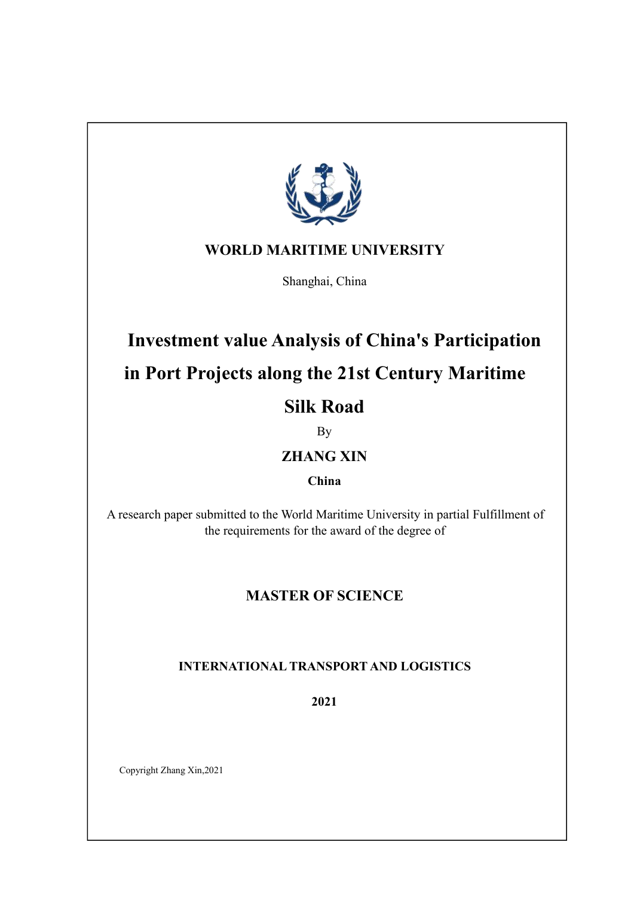

## **WORLD MARITIME UNIVERSITY**

Shanghai, China

# **Investment value Analysis ofChina's Participation in Port Projects along the 21st Century Maritime Silk Road**

By

## **ZHANG XIN**

**China**

A research paper submitted to the World Maritime University in partial Fulfillment of the requirements for the award of the degree of

## **MASTER OF SCIENCE**

## **INTERNATIONAL TRANSPORT AND LOGISTICS**

**2021**

Copyright Zhang Xin,2021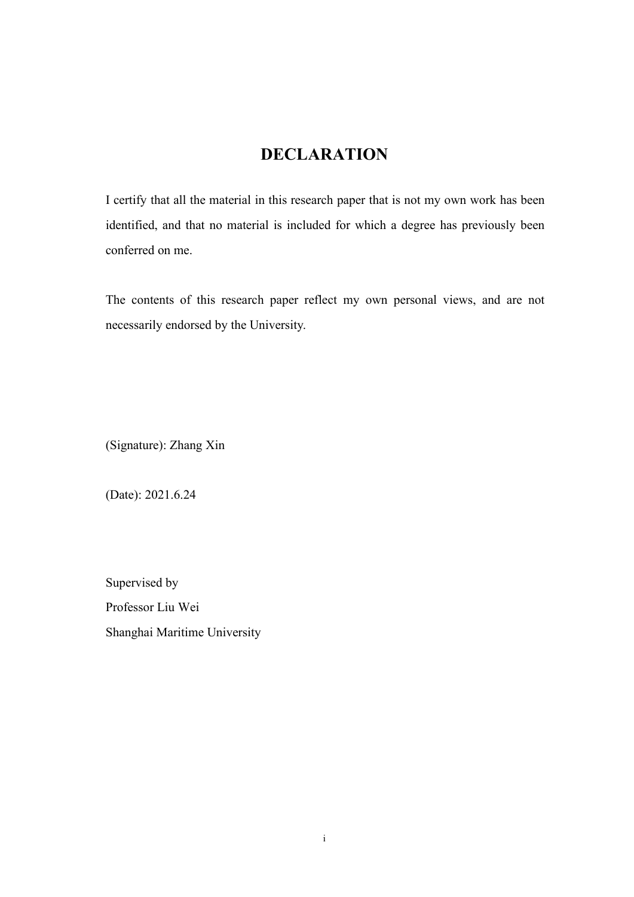## <span id="page-2-0"></span>**DECLARATION**

I certify that all the material in this research paper that is not my own work has been identified, and that no material is included for which a degree has previously been conferred on me.

The contents of this research paper reflect my own personal views, and are not necessarily endorsed by the University.

(Signature): Zhang Xin

(Date): 2021.6.24

Supervised by Professor Liu Wei Shanghai Maritime University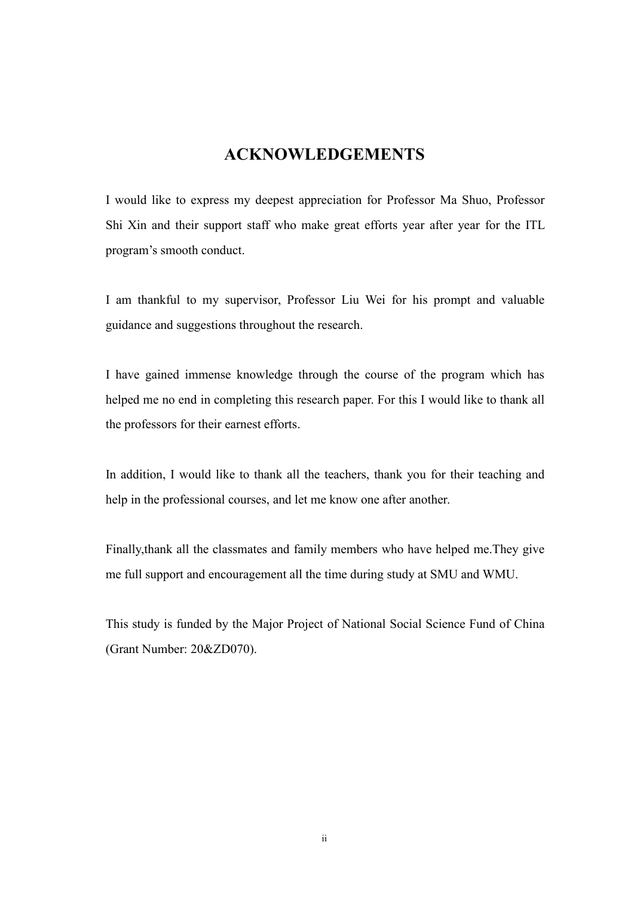## <span id="page-3-0"></span>**ACKNOWLEDGEMENTS**

I would like to express my deepest appreciation for Professor Ma Shuo, Professor Shi Xin and their support staff who make great efforts year after year for the ITL program's smooth conduct.

I am thankful to my supervisor, Professor Liu Wei for his prompt and valuable guidance and suggestions throughout the research.

I have gained immense knowledge through the course of the program which has helped me no end in completing this research paper. For this I would like to thank all the professors for their earnest efforts.

In addition, I would like to thank all the teachers, thank you for their teaching and help in the professional courses, and let me know one after another.

Finally,thank all the classmates and family members who have helped me.They give me full support and encouragement all the time during study at SMU and WMU.

This study is funded by the Major Project of National Social Science Fund of China (Grant Number: 20&ZD070).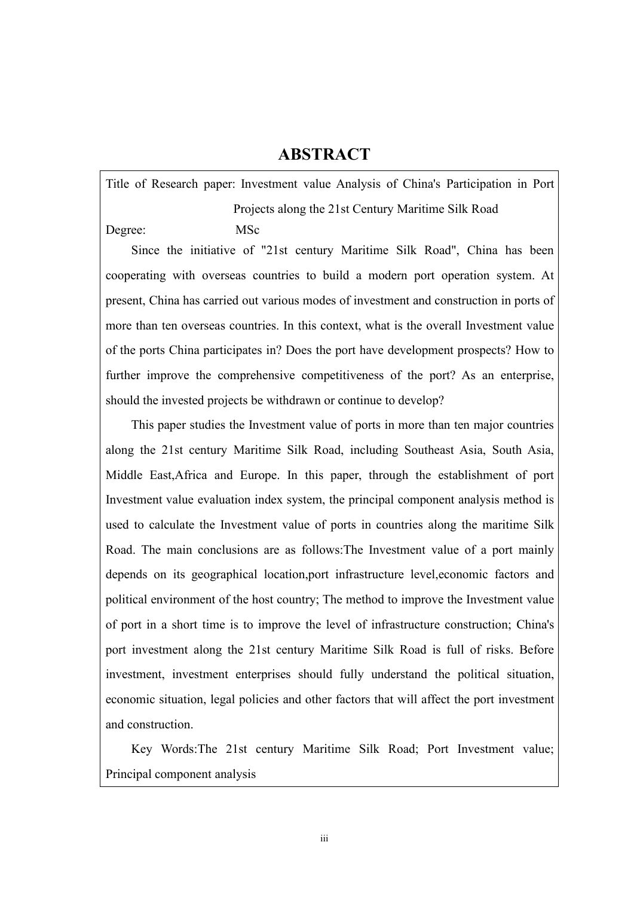## <span id="page-4-0"></span>**ABSTRACT**

Title of Research paper: Investment value Analysis of China's Participation in Port Projects along the 21st Century Maritime Silk Road Degree: MSc

Since the initiative of "21st century Maritime Silk Road", China has been cooperating with overseas countries to build a modern port operation system. At present, China has carried out various modes of investment and construction in ports of more than ten overseas countries. In this context, what is the overall Investment value of the ports China participates in? Does the port have development prospects? How to further improve the comprehensive competitiveness of the port? As an enterprise, should the invested projects be withdrawn or continue to develop?

This paper studies the Investment value of ports in more than ten major countries along the 21st century Maritime Silk Road, including Southeast Asia, South Asia, Middle East,Africa and Europe. In this paper, through the establishment of port Investment value evaluation index system, the principal component analysis method is used to calculate the Investment value of ports in countries along the maritime Silk Road. The main conclusions are as follows:The Investment value of a port mainly depends on its geographical location,port infrastructure level,economic factors and political environment of the host country; The method to improve the Investment value of port in a short time is to improve the level of infrastructure construction; China's port investment along the 21st century Maritime Silk Road is full of risks. Before investment, investment enterprises should fully understand the political situation, economic situation, legal policies and other factors that will affect the port investment and construction.

Key Words:The 21st century Maritime Silk Road; Port Investment value; Principal component analysis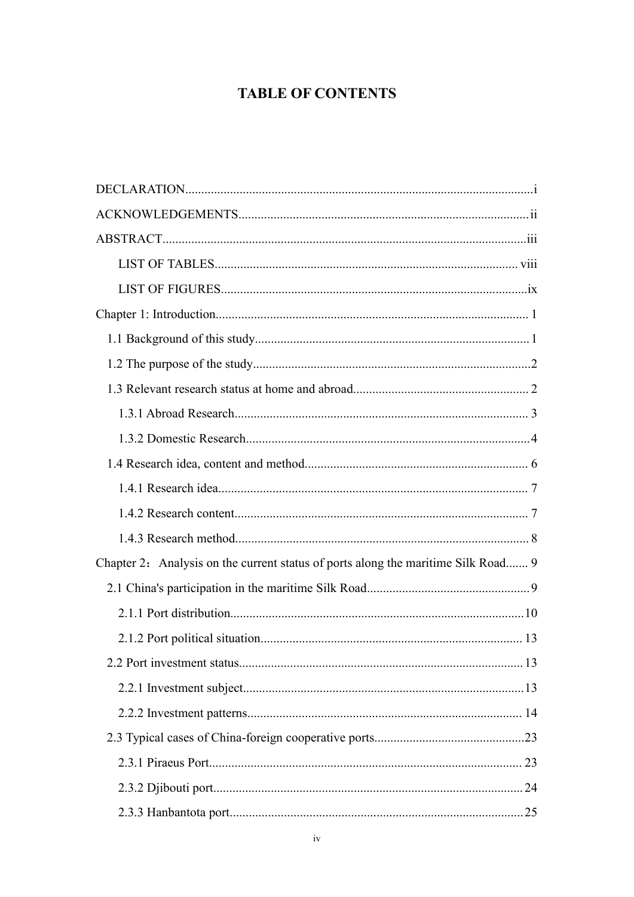## **TABLE OF CONTENTS**

| Chapter 2: Analysis on the current status of ports along the maritime Silk Road 9 |
|-----------------------------------------------------------------------------------|
|                                                                                   |
|                                                                                   |
|                                                                                   |
|                                                                                   |
|                                                                                   |
|                                                                                   |
|                                                                                   |
|                                                                                   |
|                                                                                   |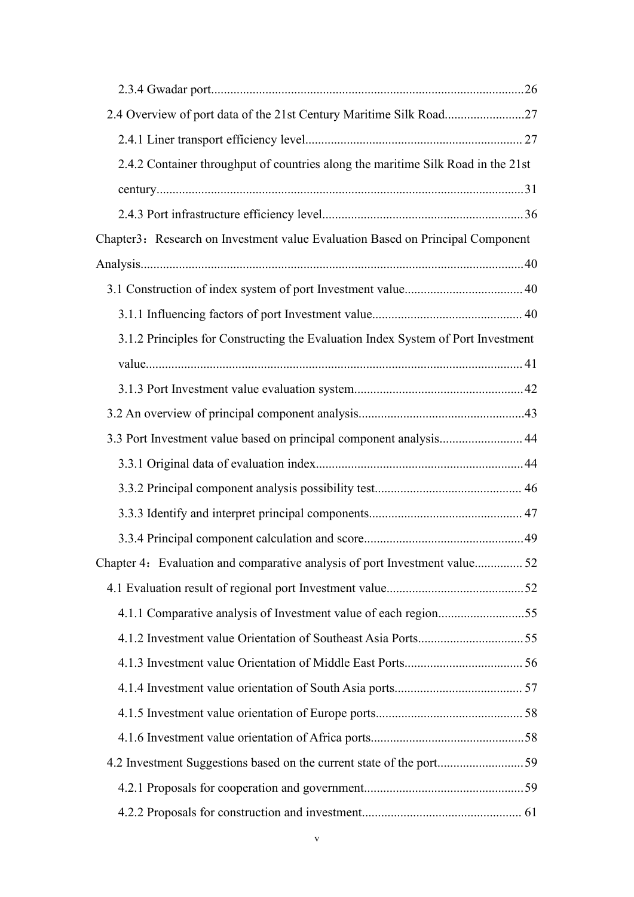| 2.4.2 Container throughput of countries along the maritime Silk Road in the 21st |  |
|----------------------------------------------------------------------------------|--|
|                                                                                  |  |
|                                                                                  |  |
| Chapter3: Research on Investment value Evaluation Based on Principal Component   |  |
|                                                                                  |  |
|                                                                                  |  |
|                                                                                  |  |
| 3.1.2 Principles for Constructing the Evaluation Index System of Port Investment |  |
|                                                                                  |  |
|                                                                                  |  |
|                                                                                  |  |
| 3.3 Port Investment value based on principal component analysis 44               |  |
|                                                                                  |  |
|                                                                                  |  |
|                                                                                  |  |
|                                                                                  |  |
| Chapter 4: Evaluation and comparative analysis of port Investment value52        |  |
|                                                                                  |  |
| 4.1.1 Comparative analysis of Investment value of each region55                  |  |
|                                                                                  |  |
|                                                                                  |  |
|                                                                                  |  |
|                                                                                  |  |
|                                                                                  |  |
|                                                                                  |  |
|                                                                                  |  |
|                                                                                  |  |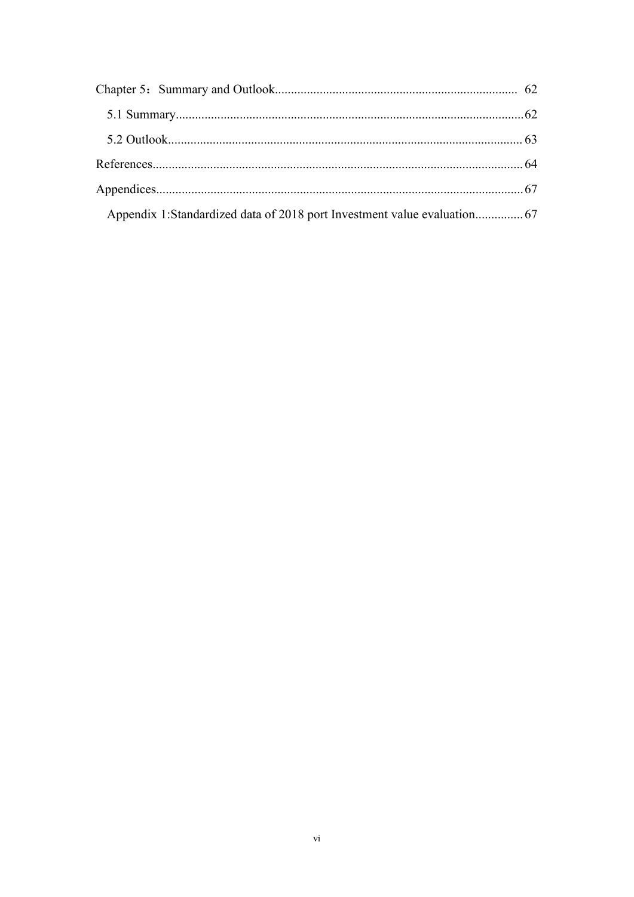| Appendix 1:Standardized data of 2018 port Investment value evaluation 67 |  |
|--------------------------------------------------------------------------|--|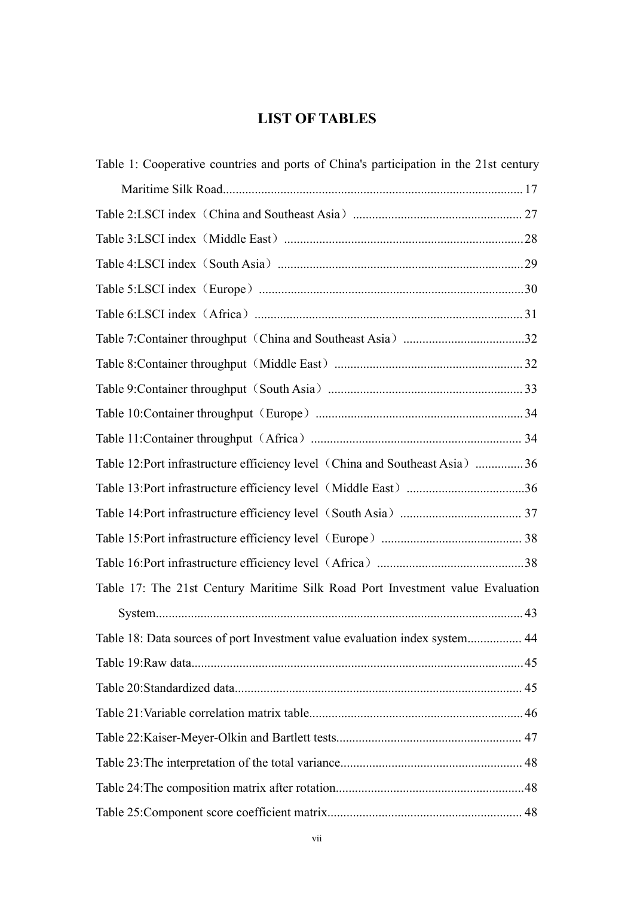## <span id="page-8-0"></span>**LIST OF TABLES**

| Table 1: Cooperative countries and ports of China's participation in the 21st century |  |
|---------------------------------------------------------------------------------------|--|
|                                                                                       |  |
|                                                                                       |  |
|                                                                                       |  |
|                                                                                       |  |
|                                                                                       |  |
|                                                                                       |  |
|                                                                                       |  |
|                                                                                       |  |
|                                                                                       |  |
|                                                                                       |  |
|                                                                                       |  |
| Table 12:Port infrastructure efficiency level (China and Southeast Asia) 36           |  |
|                                                                                       |  |
|                                                                                       |  |
|                                                                                       |  |
|                                                                                       |  |
| Table 17: The 21st Century Maritime Silk Road Port Investment value Evaluation        |  |
|                                                                                       |  |
| Table 18: Data sources of port Investment value evaluation index system 44            |  |
|                                                                                       |  |
|                                                                                       |  |
|                                                                                       |  |
|                                                                                       |  |
|                                                                                       |  |
|                                                                                       |  |
|                                                                                       |  |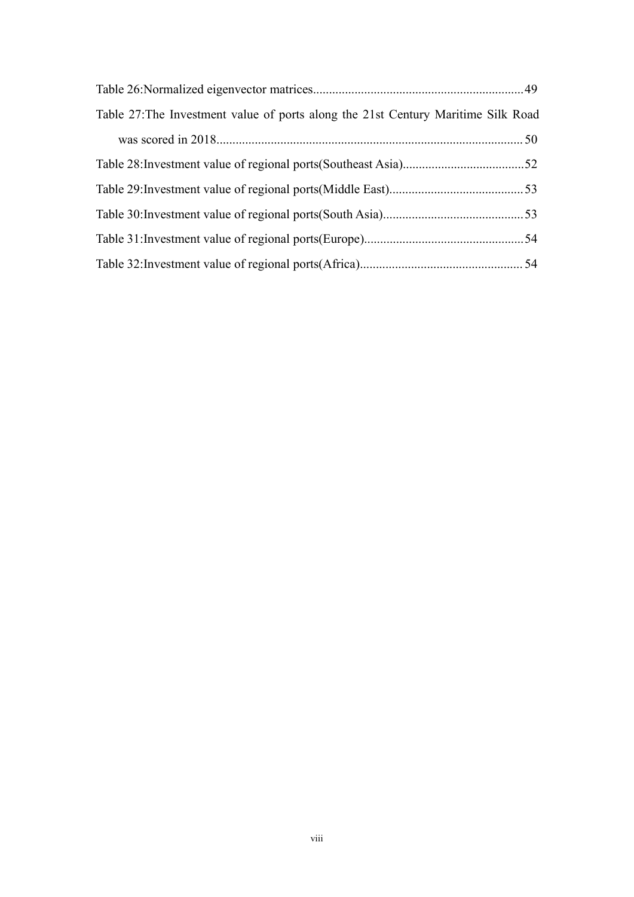| Table 27: The Investment value of ports along the 21st Century Maritime Silk Road |  |
|-----------------------------------------------------------------------------------|--|
|                                                                                   |  |
|                                                                                   |  |
|                                                                                   |  |
|                                                                                   |  |
|                                                                                   |  |
|                                                                                   |  |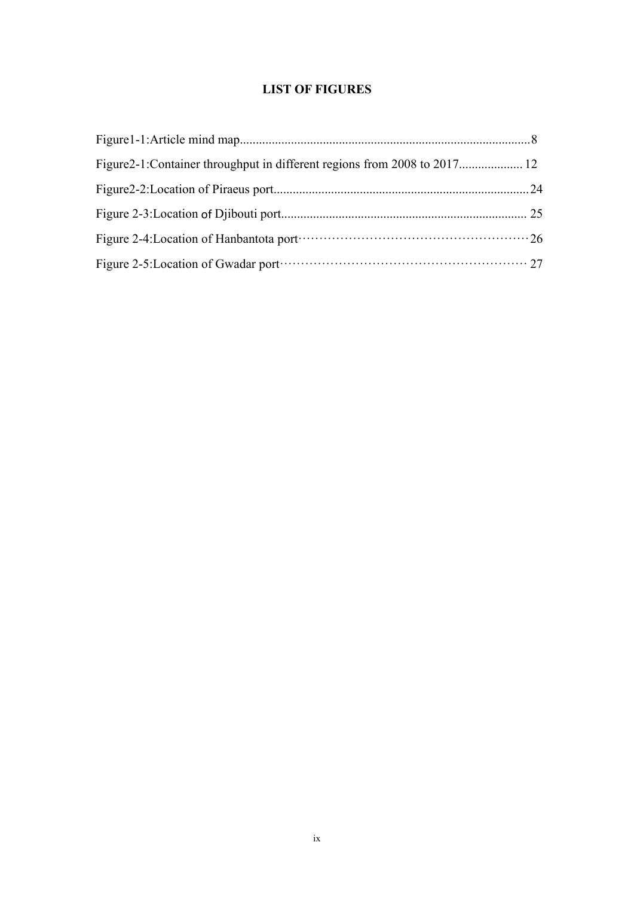### <span id="page-10-0"></span>**LIST OF FIGURES**

| Figure 2-4: Location of Hanbantota portrainscripts and all the control of Hanbantota portrains and all the control of $26$ |  |
|----------------------------------------------------------------------------------------------------------------------------|--|
|                                                                                                                            |  |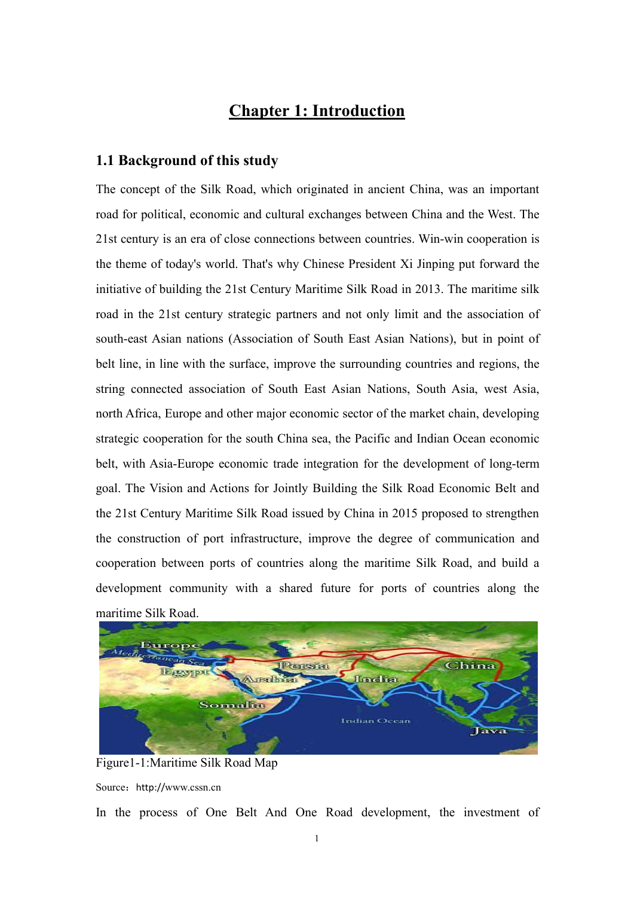## <span id="page-11-0"></span>**Chapter 1: Introduction**

#### <span id="page-11-1"></span>**1.1 Background of this study**

The concept of the Silk Road, which originated in ancient China, was an important road for political, economic and cultural exchanges between China and the West. The 21st century is an era of close connections between countries. Win-win cooperation is the theme of today's world. That's why Chinese President Xi Jinping put forward the initiative of building the 21st Century Maritime Silk Road in 2013. The maritime silk road in the 21st century strategic partners and not only limit and the association of south-east Asian nations (Association of South East Asian Nations), but in point of belt line, in line with the surface, improve the surrounding countries and regions, the string connected association of South East Asian Nations, South Asia, west Asia, north Africa, Europe and other major economic sector of the market chain, developing strategic cooperation for the south China sea, the Pacific and Indian Ocean economic belt, with Asia-Europe economic trade integration for the development of long-term goal. The Vision and Actions for Jointly Building the Silk Road Economic Belt and the 21st Century Maritime Silk Road issued by China in 2015 proposed to strengthen the construction of port infrastructure, improve the degree of communication and cooperation between ports of countries along the maritime Silk Road, and build a development community with a shared future for ports of countries along the maritime Silk Road.



Figure1-1:Maritime Silk Road Map Source: http://www.cssn.cn

In the process of One Belt And One Road development, the investment of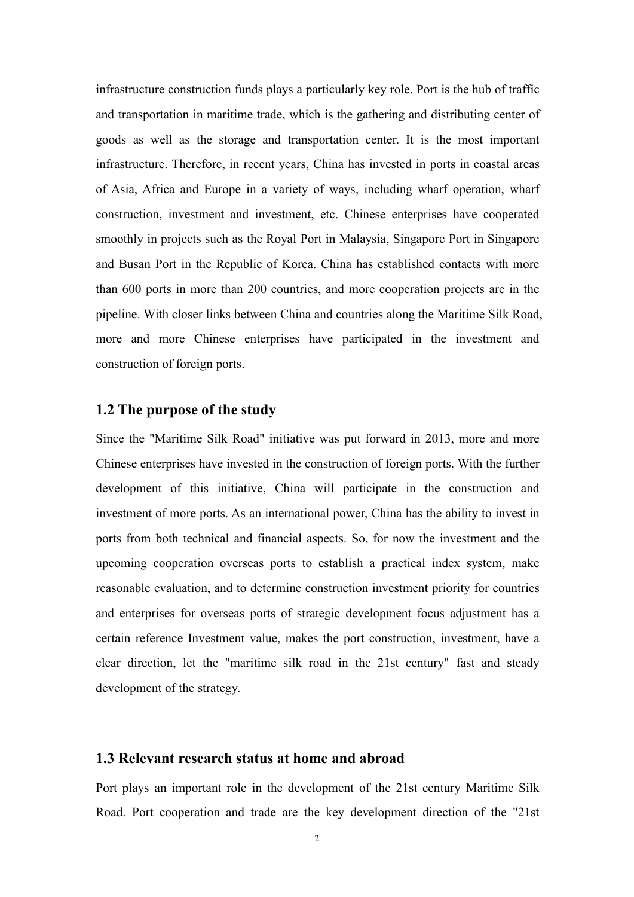infrastructure construction funds plays a particularly key role. Port is the hub of traffic and transportation in maritime trade, which is the gathering and distributing center of goods as well as the storage and transportation center. It is the most important infrastructure. Therefore, in recent years, China has invested in ports in coastal areas of Asia, Africa and Europe in a variety of ways, including wharf operation, wharf construction, investment and investment, etc. Chinese enterprises have cooperated smoothly in projects such as the Royal Port in Malaysia, Singapore Port in Singapore and Busan Port in the Republic of Korea. China has established contacts with more than 600 ports in more than 200 countries, and more cooperation projects are in the pipeline. With closer links between China and countries along the Maritime Silk Road, more and more Chinese enterprises have participated in the investment and construction of foreign ports.

#### <span id="page-12-0"></span>**1.2 The purpose of the study**

Since the "Maritime Silk Road" initiative was put forward in 2013, more and more Chinese enterprises have invested in the construction of foreign ports. With the further development of this initiative, China will participate in the construction and investment of more ports. As an international power, China has the ability to invest in ports from both technical and financial aspects. So, for now the investment and the upcoming cooperation overseas ports to establish a practical index system, make reasonable evaluation, and to determine construction investment priority for countries and enterprises for overseas ports of strategic development focus adjustment has a certain reference Investment value, makes the port construction, investment, have a clear direction, let the "maritime silk road in the 21st century" fast and steady development of the strategy.

#### <span id="page-12-1"></span>**1.3 Relevant research status athome and abroad**

Port plays an important role in the development of the 21st century Maritime Silk Road. Port cooperation and trade are the key development direction of the "21st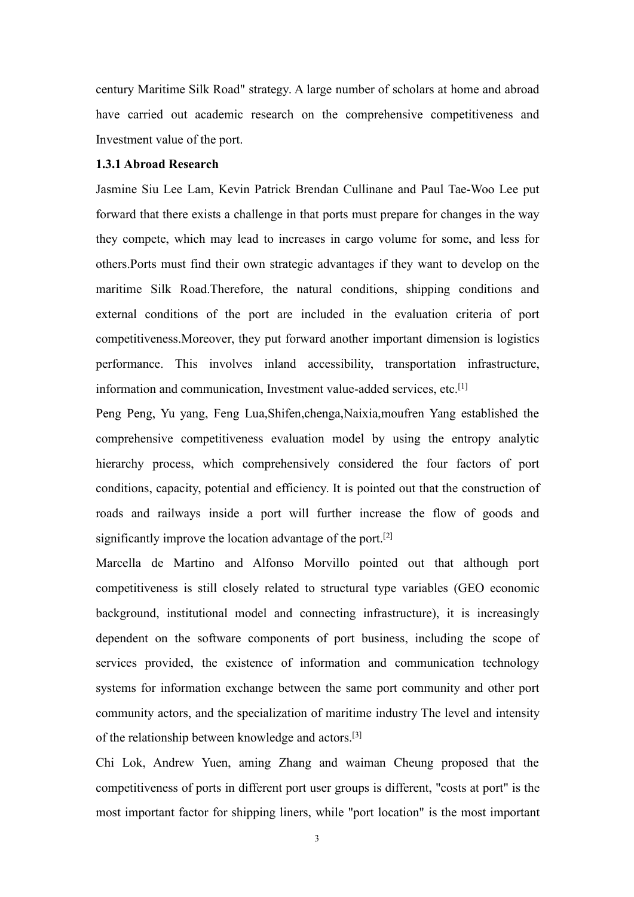century Maritime Silk Road" strategy. A large number of scholars at home and abroad have carried out academic research on the comprehensive competitiveness and Investment value of the port.

#### <span id="page-13-0"></span>**1.3.1 Abroad Research**

Jasmine Siu Lee Lam, Kevin Patrick Brendan Cullinane and Paul Tae-Woo Lee put forward that there exists a challenge in that ports must prepare for changes in the way they compete, which may lead to increases in cargo volume for some, and less for others.Ports must find their own strategic advantages if they want to develop on the maritime Silk Road.Therefore, the natural conditions, shipping conditions and external conditions of the port are included in the evaluation criteria of port competitiveness.Moreover, they put forward another important dimension is logistics performance. This involves inland accessibility, transportation infrastructure, information and communication, Investment value-added services, etc. [1]

Peng Peng, Yu yang, Feng Lua,Shifen,chenga,Naixia,moufren Yang established the comprehensive competitiveness evaluation model by using the entropy analytic hierarchy process, which comprehensively considered the four factors of port conditions, capacity, potential and efficiency. It is pointed out that the construction of roads and railways inside a port will further increase the flow of goods and significantly improve the location advantage of the port. [2]

Marcella de Martino and Alfonso Morvillo pointed out that although port competitiveness is still closely related to structural type variables (GEO economic background, institutional model and connecting infrastructure), it is increasingly dependent on the software components of port business, including the scope of services provided, the existence of information and communication technology systems for information exchange between the same port community and other port community actors, and the specialization of maritime industry The level and intensity of the relationship between knowledge and actors. [3]

Chi Lok, Andrew Yuen, aming Zhang and waiman Cheung proposed that the competitiveness of ports in different port user groups is different, "costs at port" is the most important factor for shipping liners, while "port location" is the most important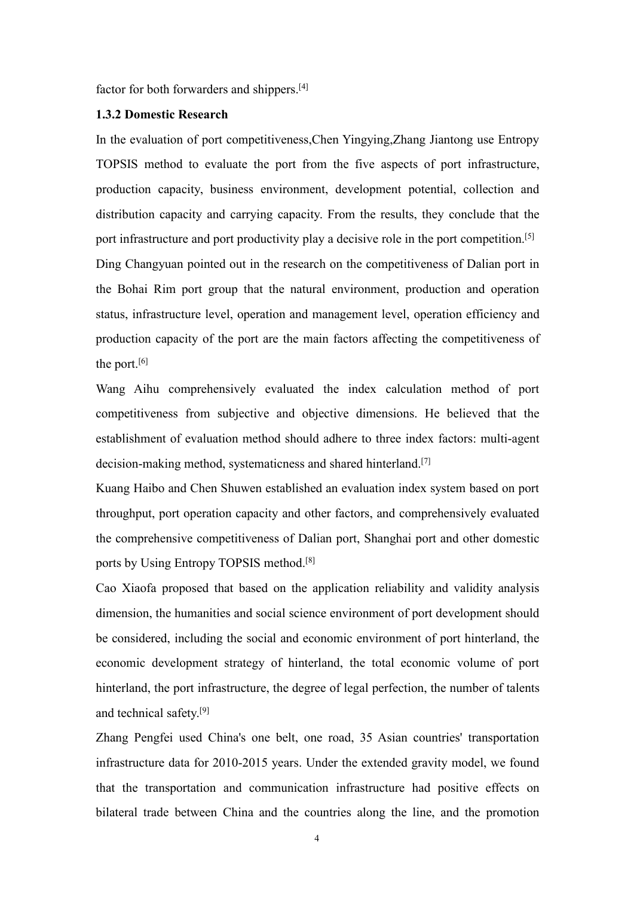factor for both forwarders and shippers.<sup>[4]</sup>

#### <span id="page-14-0"></span>**1.3.2 Domestic Research**

In the evaluation of port competitiveness,Chen Yingying,Zhang Jiantong use Entropy TOPSIS method to evaluate the port from the five aspects of port infrastructure, production capacity, business environment, development potential, collection and distribution capacity and carrying capacity. From the results, they conclude that the port infrastructure and port productivity play a decisive role in the port competition. [5] Ding Changyuan pointed out in the research on the competitiveness of Dalian port in the Bohai Rim port group that the natural environment, production and operation status, infrastructure level, operation and management level, operation efficiency and production capacity of the port are the main factors affecting the competitiveness of the port.<sup>[6]</sup>

Wang Aihu comprehensively evaluated the index calculation method of port competitiveness from subjective and objective dimensions. He believed that the establishment of evaluation method should adhere to three index factors: multi-agent decision-making method, systematicness and shared hinterland. [7]

Kuang Haibo and Chen Shuwen established an evaluation index system based on port throughput, port operation capacity and other factors, and comprehensively evaluated the comprehensive competitiveness of Dalian port, Shanghai port and other domestic ports by Using Entropy TOPSIS method. [8]

Cao Xiaofa proposed that based on the application reliability and validity analysis dimension, the humanities and social science environment of port development should be considered, including the socialand economic environment of port hinterland, the economic development strategy of hinterland, the total economic volume of port hinterland, the port infrastructure, the degree of legal perfection, the number of talents and technical safety.<sup>[9]</sup>

Zhang Pengfei used China's one belt, one road, 35 Asian countries' transportation infrastructure data for 2010-2015 years. Under the extended gravity model, we found that the transportation and communication infrastructure had positive effects on bilateral trade between China and the countries along the line, and the promotion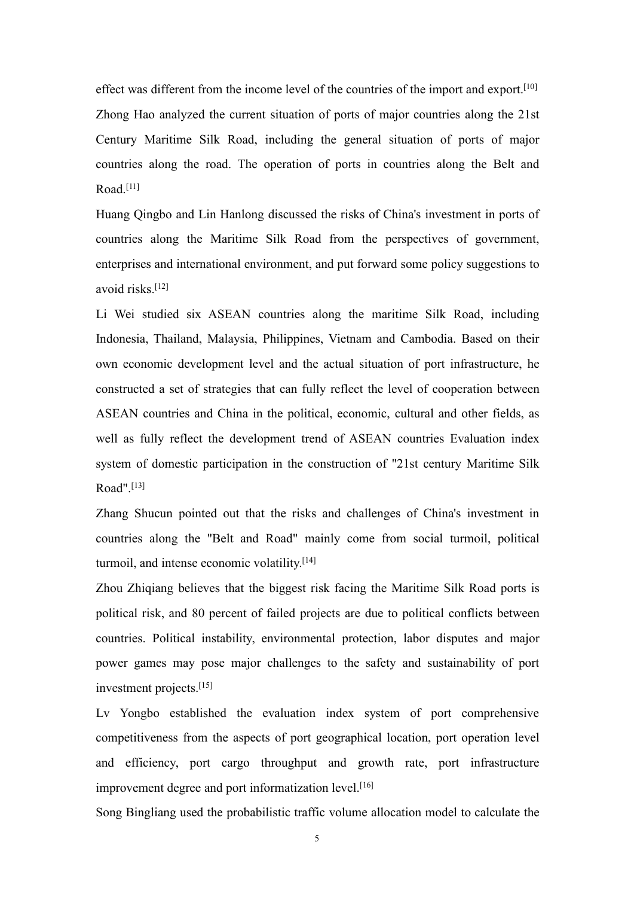effect was different from the income level of the countries of the import and export.<sup>[10]</sup> Zhong Hao analyzed the current situation of ports of major countries along the 21st Century Maritime Silk Road, including the general situation of ports of major countries along the road. The operation of ports in countries along the Belt and Road.<sup>[11]</sup>

Huang Qingbo and Lin Hanlong discussed the risks of China's investment in ports of countries along the Maritime Silk Road from the perspectives of government, enterprises and international environment, and put forward some policy suggestions to avoid risks. [12]

Li Wei studied six ASEAN countries along the maritime Silk Road, including Indonesia, Thailand, Malaysia, Philippines, Vietnam and Cambodia. Based on their own economic development level and the actual situation of port infrastructure, he constructed a set of strategies that can fully reflect the level of cooperation between ASEAN countries and China in the political, economic, cultural and other fields, as well as fully reflect the development trend of ASEAN countries Evaluation index system of domestic participation in the construction of "21st century Maritime Silk Road". [13]

Zhang Shucun pointed out that the risks and challenges of China's investment in countries along the "Belt and Road" mainly come from social turmoil, political turmoil, and intense economic volatility. [14]

Zhou Zhiqiang believes that the biggest risk facing the Maritime Silk Road ports is political risk, and 80 percent of failed projects are due to political conflicts between countries. Political instability, environmental protection, labor disputes and major power games may pose major challenges to the safety and sustainability of port investment projects. [15]

Lv Yongbo established the evaluation index system of port comprehensive competitiveness from the aspects of port geographical location, port operation level and efficiency, port cargo throughput and growth rate, port infrastructure improvement degree and port informatization level. [16]

Song Bingliang used the probabilistic traffic volume allocation model to calculate the

5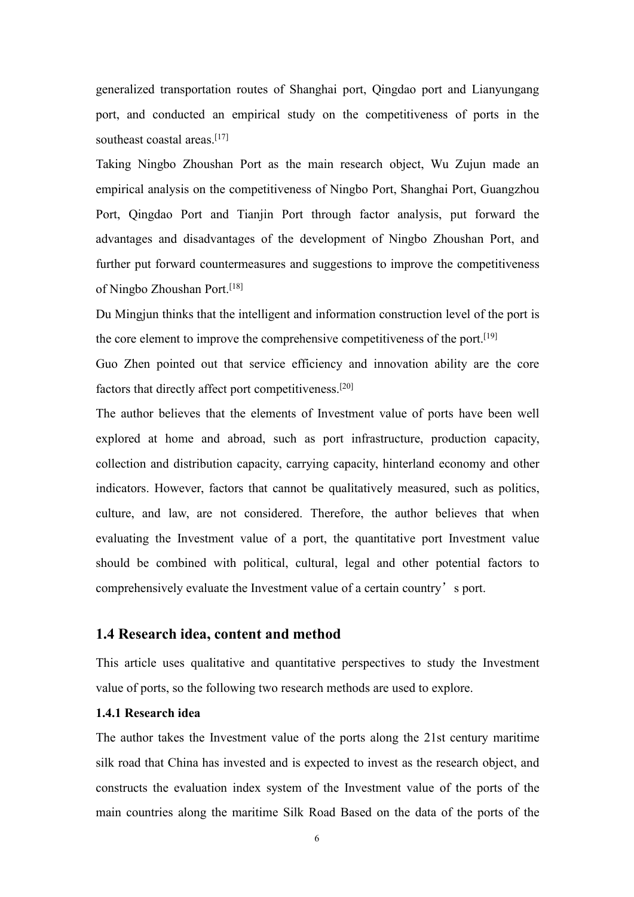generalized transportation routes of Shanghai port, Qingdao port and Lianyungang port, and conducted an empirical study on the competitiveness of ports in the southeast coastal areas. [17]

Taking Ningbo Zhoushan Port as the main research object, Wu Zujun made an empirical analysis on the competitiveness of Ningbo Port, Shanghai Port, Guangzhou Port, Qingdao Port and Tianjin Port through factor analysis, put forward the advantages and disadvantages of the development of Ningbo Zhoushan Port, and further put forward countermeasures and suggestions to improve the competitiveness of Ningbo Zhoushan Port. [18]

Du Mingjun thinks that the intelligent and information construction level of the port is the core element to improve the comprehensive competitiveness of the port.<sup>[19]</sup>

Guo Zhen pointed out that service efficiency and innovation ability are the core factors that directly affect port competitiveness. [20]

The author believes that the elements of Investment value of ports have been well explored at home and abroad, such as port infrastructure, production capacity, collection and distribution capacity, carrying capacity, hinterland economy and other indicators. However, factors that cannot be qualitatively measured, such as politics, culture, and law, are not considered. Therefore, the author believes that when evaluating the Investment value of a port, the quantitative port Investment value should be combined with political, cultural, legal and other potential factors to comprehensively evaluate the Investment value of a certain country's port.

#### <span id="page-16-0"></span>**1.4 Research idea, content and method**

This article uses qualitative and quantitative perspectives to study the Investment value of ports, so the following two research methods are used to explore.

#### <span id="page-16-1"></span>**1.4.1 Research idea**

The author takes the Investment value of the ports along the 21st century maritime silk road that China has invested and is expected to invest as the research object, and constructs the evaluation index system of the Investment value of the ports of the main countries along the maritime Silk Road Based on the data of the ports of the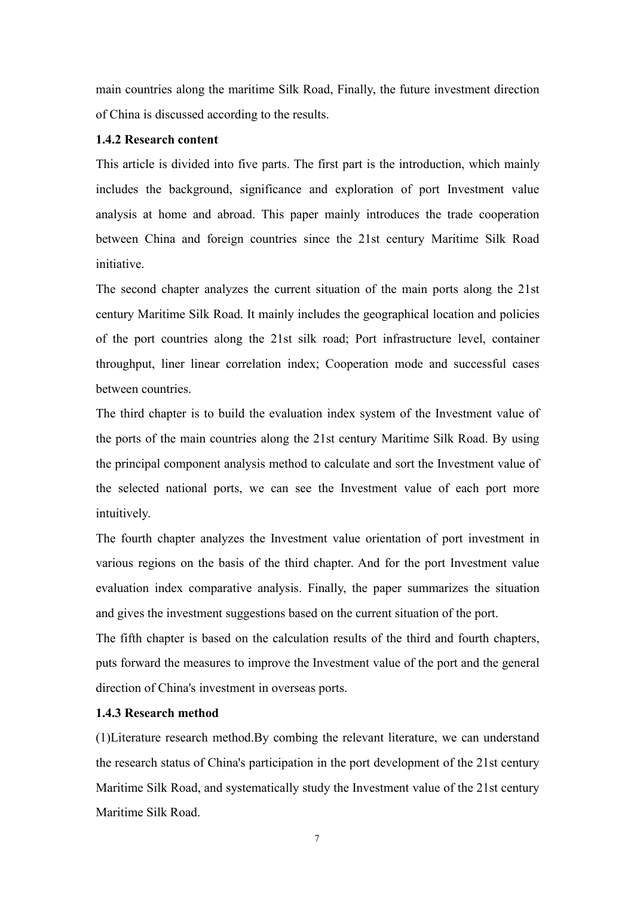main countries along the maritime Silk Road, Finally, the future investment direction of China is discussed according to the results.

#### <span id="page-17-0"></span>**1.4.2 Research content**

This article is divided into five parts. The first part is the introduction, which mainly includes the background, significance and exploration of port Investment value analysis at home and abroad. This paper mainly introduces the trade cooperation between China and foreign countries since the 21st century Maritime Silk Road initiative.

The second chapter analyzes the current situation of the main ports along the 21st century Maritime Silk Road. It mainly includes the geographical location and policies of the port countries along the 21st silk road; Port infrastructure level, container throughput, liner linear correlation index; Cooperation mode and successful cases between countries.

The third chapter is to build the evaluation index system of the Investment value of the ports of the main countries along the 21st century Maritime Silk Road. By using the principal component analysis method to calculate and sort the Investment value of the selected national ports, we can see the Investment value of each port more intuitively.

The fourth chapter analyzes the Investment value orientation of port investment in various regions on the basis of the third chapter. And for the port Investment value evaluation index comparative analysis. Finally, the paper summarizes the situation and gives the investment suggestions based on the current situation of the port.

The fifth chapter is based on the calculation results of the third and fourth chapters, puts forward the measures to improve the Investment value of the port and the general direction of China's investment in overseas ports.

#### <span id="page-17-1"></span>**1.4.3 Research method**

(1)Literature research method.By combing the relevant literature, we can understand the research status of China's participation in the port development of the 21st century Maritime Silk Road, and systematically study the Investment value of the 21st century Maritime Silk Road.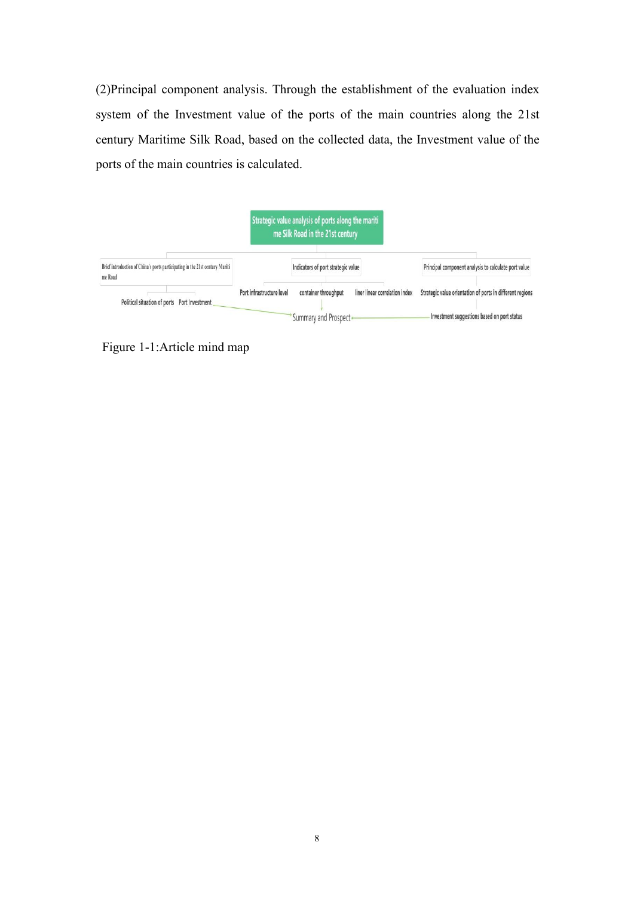(2)Principal component analysis. Through the establishment of the evaluation index system of the Investment value of the ports of the main countries along the 21st century Maritime Silk Road, based on the collected data, the Investment value of the ports of the main countries is calculated.



<span id="page-18-0"></span>Figure 1-1:Article mind map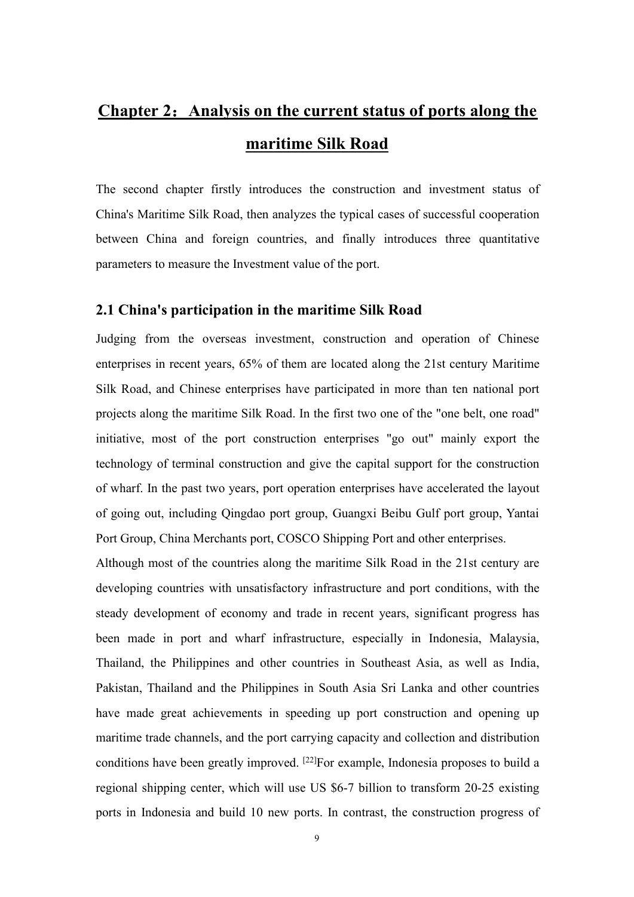# <span id="page-19-0"></span>**Chapter 2**:**Analysis on the current status of ports along the maritime Silk Road**

The second chapter firstly introduces the construction and investment status of China's Maritime Silk Road, then analyzes the typical cases of successful cooperation between China and foreign countries, and finally introduces three quantitative parameters to measure the Investment value of the port.

#### <span id="page-19-1"></span>**2.1 China's participation in the maritime Silk Road**

Judging from the overseas investment, construction and operation of Chinese enterprises in recent years, 65% of them are located along the 21st century Maritime Silk Road, and Chinese enterprises have participated in more than ten national port projects along the maritime Silk Road. In the first two one of the "one belt, one road" initiative, most of the port construction enterprises "go out" mainly export the technology of terminal construction and give the capital support for the construction of wharf. In the past two years, port operation enterprises have accelerated the layout of going out, including Qingdao port group, Guangxi Beibu Gulf port group, Yantai Port Group, China Merchants port, COSCO Shipping Port and other enterprises.

Although most of the countries along the maritime Silk Road in the 21st century are developing countries with unsatisfactory infrastructure and port conditions, with the steady development of economy and trade in recent years, significant progress has been made in port and wharf infrastructure, especially in Indonesia, Malaysia, Thailand, the Philippines and other countries in Southeast Asia, as well as India, Pakistan, Thailand and the Philippines in South Asia Sri Lanka and other countries have made great achievements in speeding up port construction and opening up maritime trade channels, and the port carrying capacity and collection and distribution conditions have been greatly improved. [22]For example, Indonesia proposes to build a regional shipping center, which will use US \$6-7 billion to transform 20-25 existing ports in Indonesia and build 10 new ports. In contrast, the construction progress of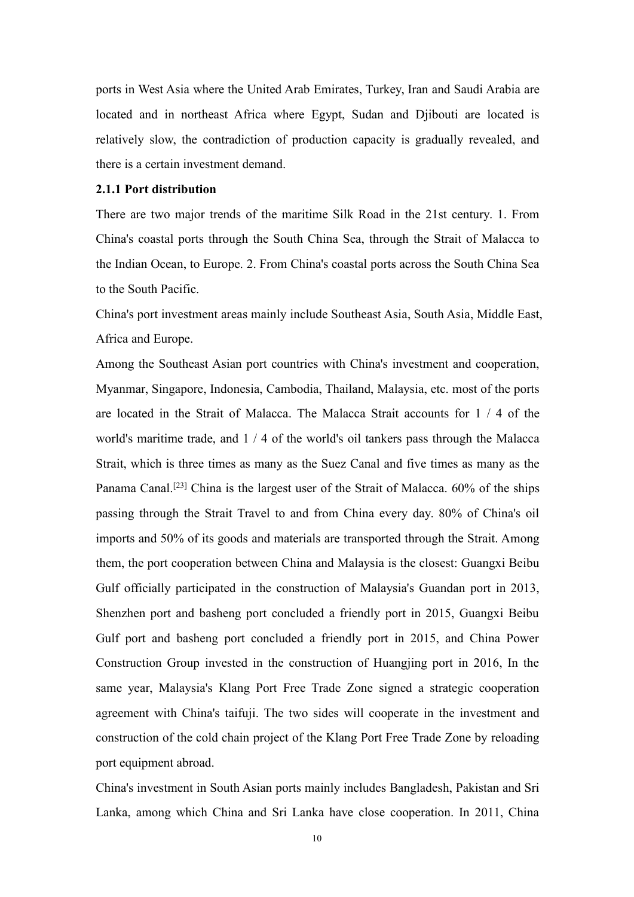ports in West Asia where the United Arab Emirates, Turkey, Iran and Saudi Arabia are located and in northeast Africa where Egypt, Sudan and Djibouti are located is relatively slow, the contradiction of production capacity is gradually revealed, and there is a certain investment demand.

#### <span id="page-20-0"></span>**2.1.1 Port distribution**

There are two major trends of the maritime Silk Road in the 21st century. 1. From China's coastal ports through the South China Sea, through the Strait of Malacca to the Indian Ocean, to Europe. 2. From China's coastal ports across the South China Sea to the South Pacific.

China's port investment areas mainly include Southeast Asia, South Asia, Middle East, Africa and Europe.

Among the Southeast Asian port countries with China's investment and cooperation, Myanmar, Singapore, Indonesia, Cambodia, Thailand, Malaysia, etc. most of the ports are located in the Strait of Malacca. The Malacca Strait accounts for  $1 / 4$  of the world's maritime trade, and 1 / 4 of the world's oil tankers pass through the Malacca Strait, which is three times as many as the Suez Canal and five times as many as the Panama Canal.<sup>[23]</sup> China is the largest user of the Strait of Malacca. 60% of the ships passing through the Strait Travel to and from China every day. 80% of China's oil imports and 50% of its goods and materials are transported through the Strait. Among them, the port cooperation between China and Malaysia is the closest: Guangxi Beibu Gulf officially participated in the construction of Malaysia's Guandan port in 2013, Shenzhen port and basheng port concluded a friendly port in 2015, Guangxi Beibu Gulf port and basheng port concluded a friendly port in 2015, and China Power Construction Group invested in the construction of Huangjing port in 2016, In the same year, Malaysia's Klang Port Free Trade Zone signed a strategic cooperation agreement with China's taifuji. The two sides will cooperate in the investment and construction of the cold chain project of the Klang Port Free Trade Zone by reloading port equipment abroad.

China's investment in South Asian ports mainly includes Bangladesh, Pakistan and Sri Lanka, among which China and Sri Lanka have close cooperation. In 2011, China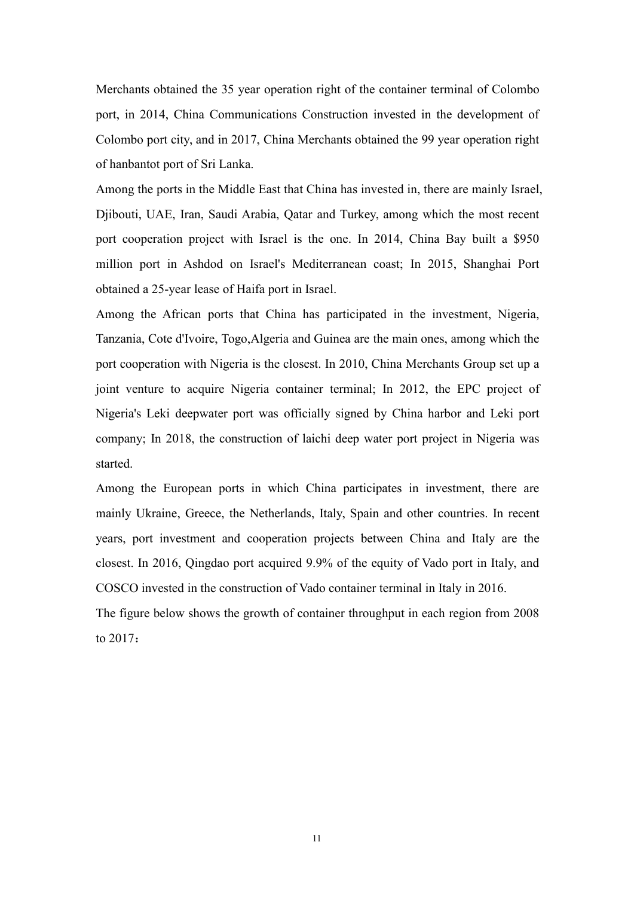Merchants obtained the 35 year operation right of the container terminal of Colombo port, in 2014, China Communications Construction invested in the development of Colombo port city, and in 2017, China Merchants obtained the 99 year operation right of hanbantot port of Sri Lanka.

Among the ports in the Middle East that China has invested in, there are mainly Israel, Djibouti, UAE, Iran, Saudi Arabia, Qatar and Turkey, among which the most recent port cooperation project with Israel is the one. In 2014, China Bay built a \$950 million port in Ashdod on Israel's Mediterranean coast; In 2015, Shanghai Port obtained a 25-year lease of Haifa port in Israel.

Among the African ports that China has participated in the investment, Nigeria, Tanzania, Cote d'Ivoire, Togo,Algeria and Guinea are the main ones, among which the port cooperation with Nigeria is the closest. In 2010, China Merchants Group set up a joint venture to acquire Nigeria container terminal; In 2012, the EPC project of Nigeria's Leki deepwater port was officially signed by China harbor and Leki port company; In 2018, the construction of laichi deep water port project in Nigeria was started.

Among the European ports in which China participates in investment, there are mainly Ukraine, Greece, the Netherlands, Italy, Spain and other countries. In recent years, port investment and cooperation projects between China and Italy are the closest. In 2016, Qingdao port acquired 9.9% of the equity of Vado port in Italy, and COSCO invested in the construction of Vado container terminal in Italy in 2016.

The figure below shows the growth of container throughput in each region from 2008 to 2017: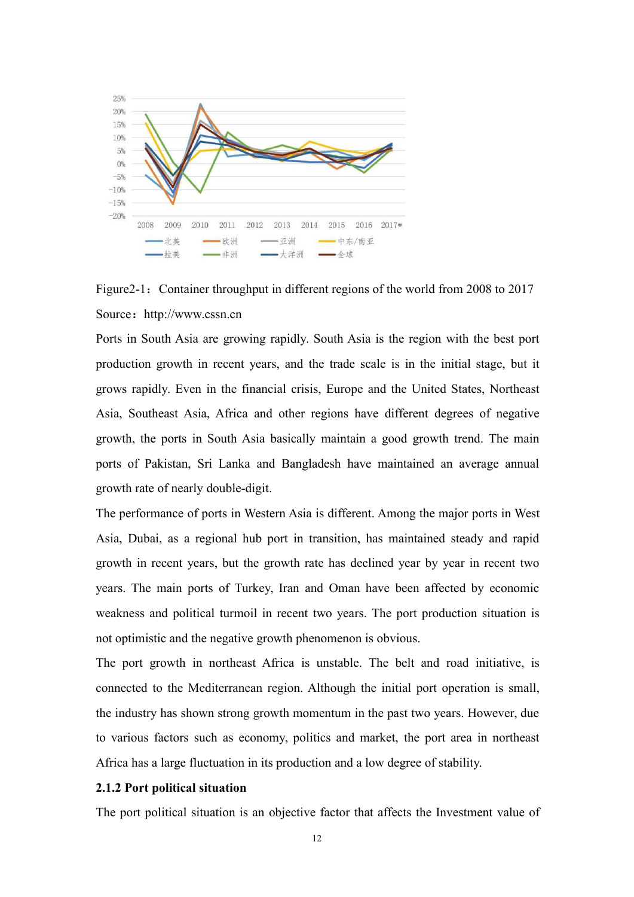

<span id="page-22-1"></span>Figure 2-1: Container throughput in different regions of the world from 2008 to 2017 Source: http://www.cssn.cn

Ports in South Asia are growing rapidly. South Asia is the region with the best port production growth in recent years, and the trade scale is in the initial stage, but it grows rapidly. Even in the financial crisis, Europe and the United States, Northeast Asia, Southeast Asia, Africa and other regions have different degrees of negative growth, the ports in South Asia basically maintain a good growth trend. The main ports of Pakistan, Sri Lanka and Bangladesh have maintained an average annual growth rate of nearly double-digit.

The performance of ports in Western Asia is different. Among the major ports in West Asia, Dubai, as a regional hub port in transition, has maintained steady and rapid growth in recent years, but the growth rate has declined year by year in recent two years. The main ports of Turkey, Iran and Oman have been affected by economic weakness and political turmoil in recent two years. The port production situation is not optimistic and the negative growth phenomenon is obvious.

The port growth in northeast Africa is unstable. The belt and road initiative, is connected to the Mediterranean region. Although the initial port operation is small, the industry has shown strong growth momentum in the past two years. However, due to various factors such as economy, politics and market, the port area in northeast Africa has a large fluctuation in its production and a low degree of stability.

#### <span id="page-22-0"></span>**2.1.2 Port political situation**

The port political situation is an objective factor that affects the Investment value of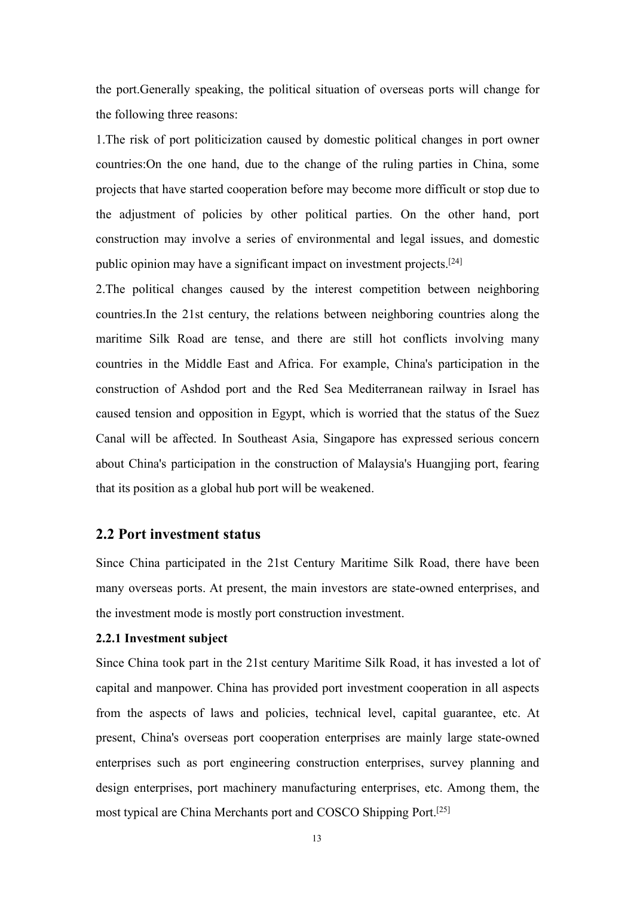the port.Generally speaking, the political situation of overseas ports will change for the following three reasons:

1.The risk of port politicization caused by domestic political changes in port owner countries:On the one hand, due to the change of the ruling parties in China, some projects that have started cooperation before may become more difficult or stop due to the adjustment of policies by other political parties. On the other hand, port construction may involve a series of environmental and legal issues, and domestic public opinion may have a significant impact on investment projects.<sup>[24]</sup>

2.The political changes caused by the interest competition between neighboring countries.In the 21st century, the relations between neighboring countries along the maritime Silk Road are tense, and there are still hot conflicts involving many countries in the Middle East and Africa. For example, China's participation in the construction of Ashdod port and the Red Sea Mediterranean railway in Israel has caused tension and opposition in Egypt, which is worried that the status of the Suez Canal will be affected. In Southeast Asia, Singapore has expressed serious concern about China's participation in the construction of Malaysia's Huangjing port, fearing that its position as a global hub port will be weakened.

#### <span id="page-23-0"></span>**2.2 Port investment status**

Since China participated in the 21st Century Maritime Silk Road, there have been many overseas ports. At present, the main investors are state-owned enterprises, and the investment mode is mostly port construction investment.

#### <span id="page-23-1"></span>**2.2.1 Investment subject**

Since China took part in the 21st century Maritime Silk Road, it has invested a lot of capital and manpower.China has provided port investment cooperation in all aspects from the aspects of laws and policies, technical level, capital guarantee, etc. At present, China's overseas port cooperation enterprises are mainly large state-owned enterprises such as port engineering construction enterprises, survey planning and design enterprises, port machinery manufacturing enterprises, etc. Among them, the most typical are China Merchants port and COSCO Shipping Port. [25]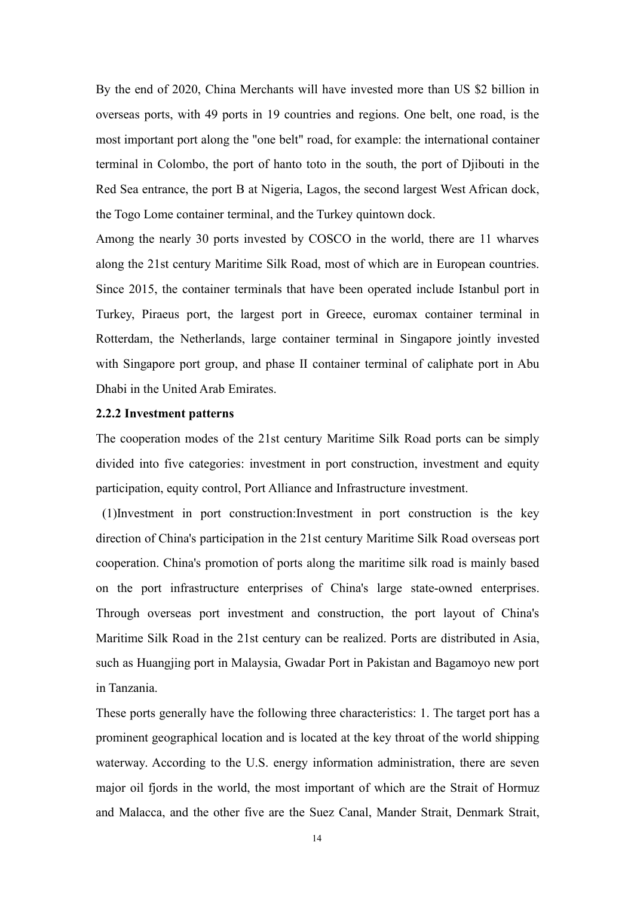By the end of 2020, China Merchants will have invested more than US \$2 billion in overseas ports, with 49 ports in 19 countries and regions. One belt, one road, is the most important port along the "one belt" road, for example: the international container terminal in Colombo, the port of hanto toto in the south, the port of Djibouti in the Red Sea entrance, the port B at Nigeria, Lagos, the second largest West African dock, the Togo Lome container terminal, and the Turkey quintown dock.

Among the nearly 30 ports invested by COSCO in the world, there are 11 wharves along the 21st century Maritime Silk Road, most of which are in European countries. Since 2015, the container terminals that have been operated include Istanbul port in Turkey, Piraeus port, the largest port in Greece, euromax container terminal in Rotterdam, the Netherlands, large container terminal in Singapore jointly invested with Singapore port group, and phase II container terminal of caliphate port in Abu Dhabi in the United Arab Emirates.

#### <span id="page-24-0"></span>**2.2.2 Investment patterns**

The cooperation modes of the 21st century Maritime Silk Road ports can be simply divided into five categories: investment in port construction, investment and equity participation, equity control, Port Alliance and Infrastructure investment.

(1)Investment in port construction:Investment in port construction is the key direction of China's participation in the 21st century Maritime Silk Road overseas port cooperation. China's promotion of ports along the maritime silk road is mainly based on the port infrastructure enterprises of China's large state-owned enterprises. Through overseas port investment and construction, the port layout of China's Maritime Silk Road in the 21st century can be realized. Ports are distributed in Asia, such as Huangjing port in Malaysia, Gwadar Port in Pakistan and Bagamoyo new port in Tanzania.

These ports generally have the following three characteristics: 1. The target port has a prominent geographical location and is located at the key throat of the world shipping waterway. According to the U.S. energy information administration, there are seven major oil fjords in the world, the most important of which are the Strait of Hormuz and Malacca, and the other five are the Suez Canal, Mander Strait, Denmark Strait,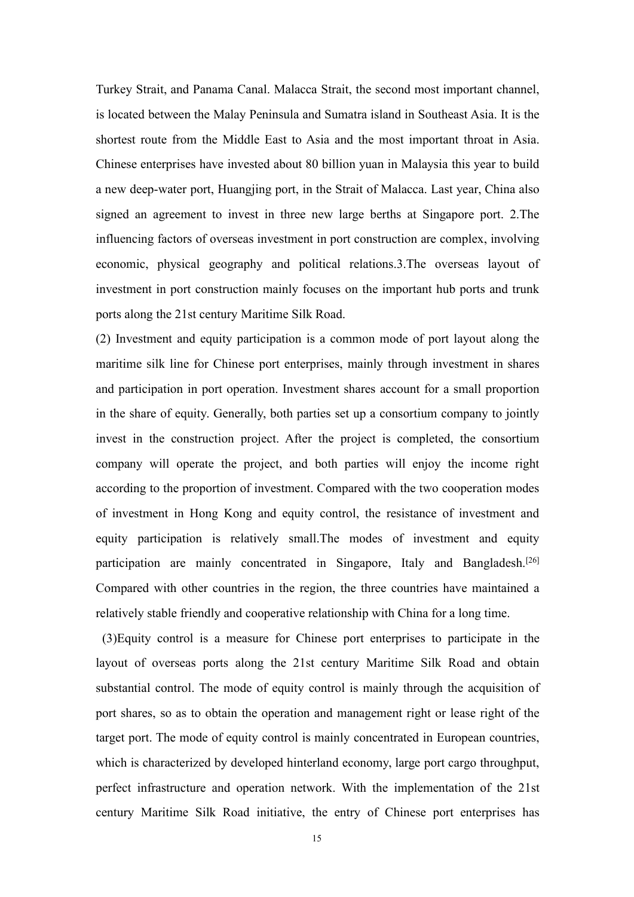Turkey Strait, and Panama Canal. Malacca Strait, the second most important channel, is located between the Malay Peninsula and Sumatra island in Southeast Asia. It is the shortest route from the Middle East to Asia and the most important throat in Asia. Chinese enterprises have invested about 80 billion yuan in Malaysia this year to build a new deep-water port, Huangjing port, in the Strait of Malacca. Last year, China also signed an agreement to invest in three new large berths at Singapore port. 2.The influencing factors of overseas investment in port construction are complex, involving economic, physical geography and political relations.3.The overseas layout of investment in port construction mainly focuses on the important hub ports and trunk ports along the 21st century Maritime Silk Road.

(2) Investment and equity participation is a common mode of port layout along the maritime silk line for Chinese port enterprises, mainly through investment in shares and participation in port operation. Investment shares account for a small proportion in the share of equity. Generally, both parties set up a consortium company to jointly invest in the construction project. After the project is completed, the consortium company will operate the project, and both parties willenjoy the income right according to the proportion of investment. Compared with the two cooperation modes of investment in Hong Kong and equity control, the resistance of investment and equity participation is relatively small.The modes of investment and equity participation are mainly concentrated in Singapore, Italy and Bangladesh.<sup>[26]</sup> Compared with other countries in the region, the three countries have maintained a relatively stable friendly and cooperative relationship with China for a long time.

(3)Equity control is a measure for Chinese port enterprises to participate in the layout of overseas ports along the 21st century Maritime Silk Road and obtain substantial control. The mode of equity control is mainly through the acquisition of port shares, so as to obtain the operation and management right or lease right of the target port. The mode of equity control is mainly concentrated in European countries, which is characterized by developed hinterland economy, large port cargo throughput, perfect infrastructure and operation network. With the implementation of the 21st century Maritime Silk Road initiative, the entry of Chinese port enterprises has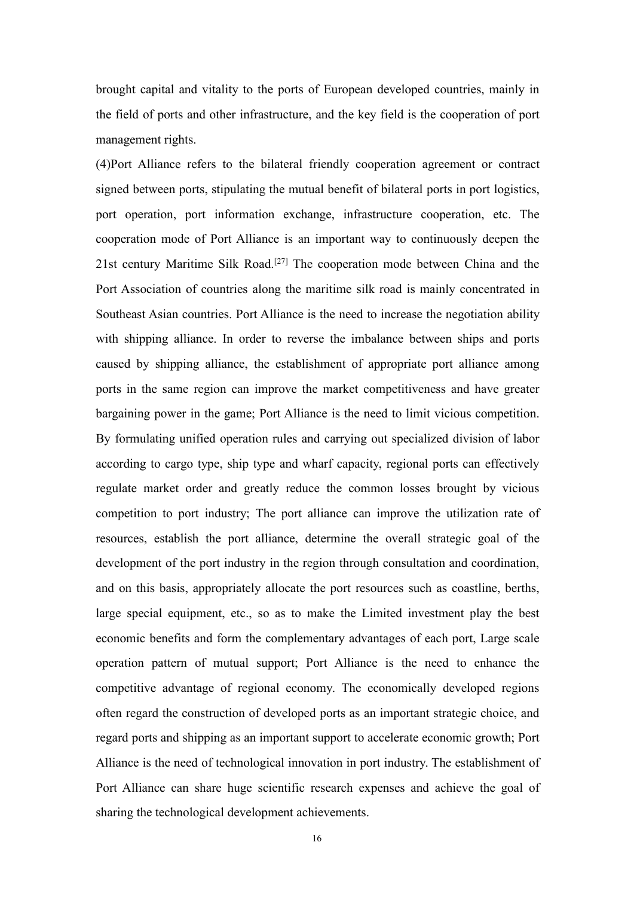brought capital and vitality to the ports of European developed countries, mainly in the field of ports and other infrastructure, and the key field is the cooperation of port management rights.

(4)Port Alliance refers to the bilateral friendly cooperation agreement or contract signed between ports, stipulating the mutual benefit of bilateral ports in port logistics, port operation, port information exchange, infrastructure cooperation, etc. The cooperation mode of Port Alliance is an important way to continuously deepen the 21st century Maritime Silk Road. [27] The cooperation mode between China and the Port Association of countries along the maritime silk road is mainly concentrated in Southeast Asian countries. Port Alliance is the need to increase the negotiation ability with shipping alliance. In order to reverse the imbalance between ships and ports caused by shipping alliance, the establishment of appropriate port alliance among ports in the same region can improve the market competitiveness and have greater bargaining power in the game; Port Alliance is the need to limit vicious competition. By formulating unified operation rules and carrying out specialized division of labor according to cargo type, ship type and wharf capacity, regional ports can effectively regulate market order and greatly reduce the common losses brought by vicious competition to port industry; The port alliance can improve the utilization rate of resources, establish the port alliance, determine the overall strategic goal of the development of the port industry in the region through consultation and coordination, and on this basis, appropriately allocate the port resources such as coastline, berths, large special equipment, etc., so as to make the Limited investment play the best economic benefits and form the complementary advantages of each port, Large scale operation pattern of mutual support; Port Alliance is the need to enhance the competitive advantage of regional economy. The economically developed regions often regard the construction of developed ports as an important strategic choice, and regard ports and shipping as an important support to accelerate economic growth; Port Alliance is the need of technological innovation in port industry. The establishment of Port Alliance can share huge scientific research expenses and achieve the goal of sharing the technological development achievements.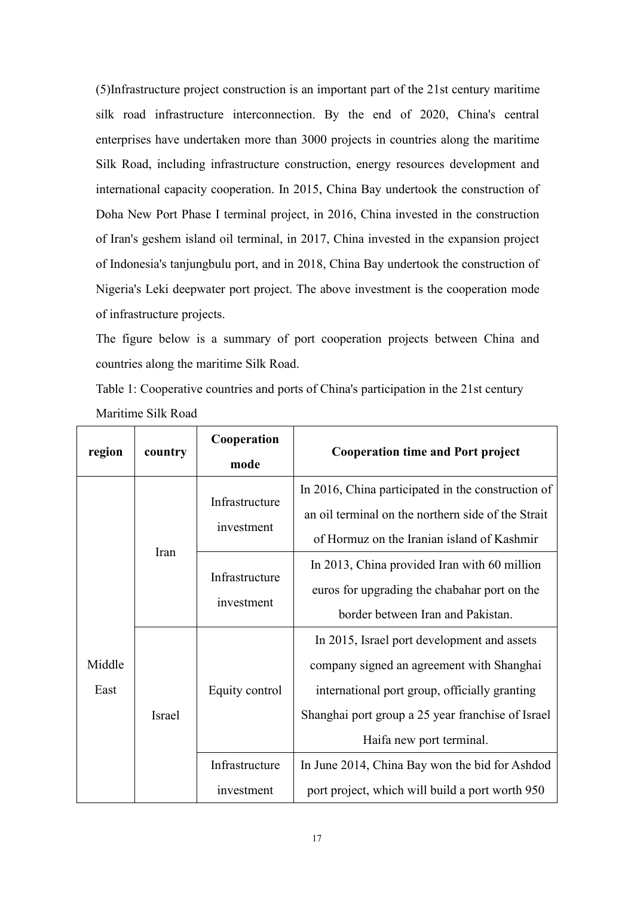$(5)$ Infrastructure project construction is an important part of the 21st century maritime silk road infrastructure interconnection. By the end of 2020, China's central enterprises have undertaken more than 3000 projects in countries along the maritime Silk Road, including infrastructure construction, energy resources development and international capacity cooperation. In 2015, China Bay undertook the construction of Doha New Port Phase I terminal project, in 2016, China invested in the construction of Iran's geshem island oil terminal, in 2017, China invested in the expansion project of Indonesia's tanjungbulu port, and in 2018, China Bay undertook the construction of Nigeria's Leki deepwater port project. The above investment is the cooperation mode of infrastructure projects.<br>The figure below is a summary of port cooperation projects between China and

countries along the maritime Silk Road.

<span id="page-27-0"></span>Table 1: Cooperative countries and ports of China's participation in the 21st century Maritime Silk Road

| region         | country | Cooperation<br>mode                                          | <b>Cooperation time and Port project</b>                                                                                                                                                                                   |
|----------------|---------|--------------------------------------------------------------|----------------------------------------------------------------------------------------------------------------------------------------------------------------------------------------------------------------------------|
|                |         | Infrastructure<br>investment<br>Infrastructure<br>investment | In 2016, China participated in the construction of<br>an oil terminal on the northern side of the Strait<br>of Hormuz on the Iranian island of Kashmir                                                                     |
|                | Iran    |                                                              | In 2013, China provided Iran with 60 million<br>euros for upgrading the chabahar port on the<br>border between Iran and Pakistan.                                                                                          |
| Middle<br>East | Israel  | Equity control                                               | In 2015, Israel port development and assets<br>company signed an agreement with Shanghai<br>international port group, officially granting<br>Shanghai port group a 25 year franchise of Israel<br>Haifa new port terminal. |
|                |         | Infrastructure<br>investment                                 | In June 2014, China Bay won the bid for Ashdod<br>port project, which will build a port worth 950                                                                                                                          |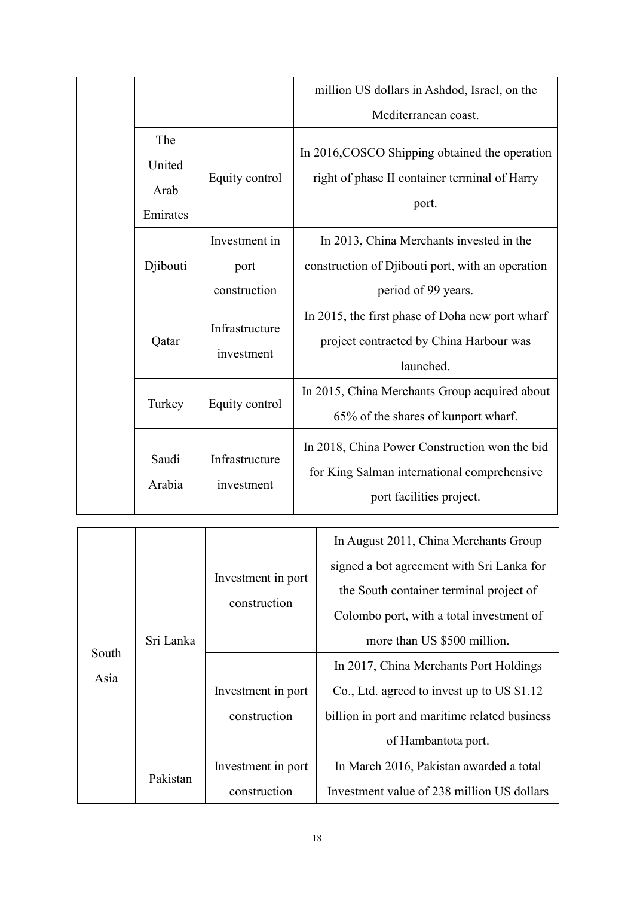|                                   |                                       | million US dollars in Ashdod, Israel, on the                                                                             |
|-----------------------------------|---------------------------------------|--------------------------------------------------------------------------------------------------------------------------|
|                                   |                                       | Mediterranean coast.                                                                                                     |
| The<br>United<br>Arab<br>Emirates | Equity control                        | In 2016, COSCO Shipping obtained the operation<br>right of phase II container terminal of Harry<br>port.                 |
| Djibouti                          | Investment in<br>port<br>construction | In 2013, China Merchants invested in the<br>construction of Djibouti port, with an operation<br>period of 99 years.      |
| Qatar                             | Infrastructure<br>investment          | In 2015, the first phase of Doha new port wharf<br>project contracted by China Harbour was<br>launched.                  |
| Turkey                            | Equity control                        | In 2015, China Merchants Group acquired about<br>65% of the shares of kunport wharf.                                     |
| Saudi<br>Arabia                   | Infrastructure<br>investment          | In 2018, China Power Construction won the bid<br>for King Salman international comprehensive<br>port facilities project. |

|               | Sri Lanka | Investment in port<br>construction | In August 2011, China Merchants Group         |
|---------------|-----------|------------------------------------|-----------------------------------------------|
|               |           |                                    | signed a bot agreement with Sri Lanka for     |
|               |           |                                    | the South container terminal project of       |
|               |           |                                    | Colombo port, with a total investment of      |
|               |           |                                    | more than US \$500 million.                   |
| South<br>Asia |           |                                    | In 2017, China Merchants Port Holdings        |
|               |           | Investment in port                 | Co., Ltd. agreed to invest up to US \$1.12    |
|               |           | construction                       | billion in port and maritime related business |
|               |           |                                    | of Hambantota port.                           |
|               | Pakistan  | Investment in port                 | In March 2016, Pakistan awarded a total       |
|               |           | construction                       | Investment value of 238 million US dollars    |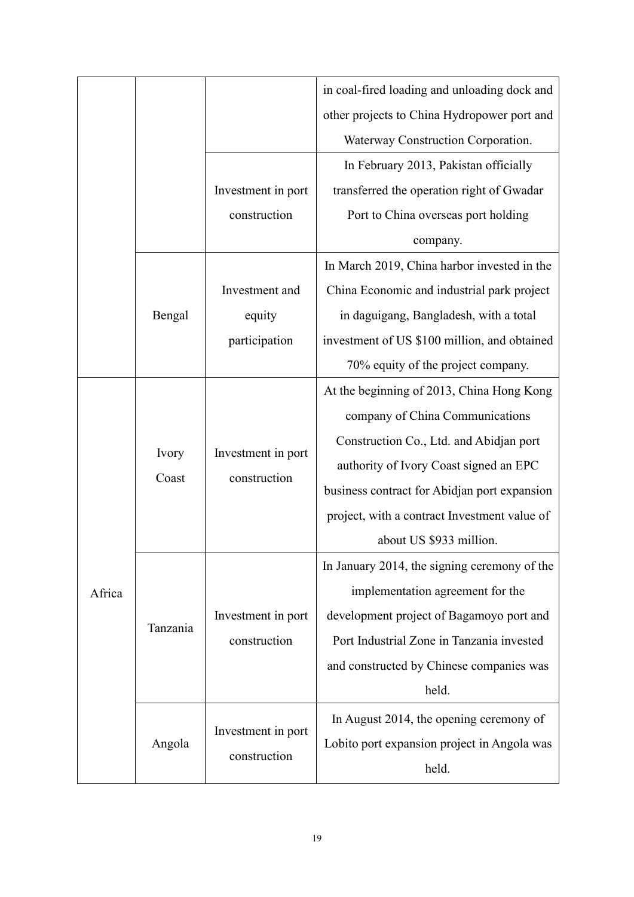|        |          |                                    | in coal-fired loading and unloading dock and |
|--------|----------|------------------------------------|----------------------------------------------|
|        |          |                                    | other projects to China Hydropower port and  |
|        |          |                                    | Waterway Construction Corporation.           |
|        |          |                                    | In February 2013, Pakistan officially        |
|        |          | Investment in port                 | transferred the operation right of Gwadar    |
|        |          | construction                       | Port to China overseas port holding          |
|        |          |                                    | company.                                     |
|        |          |                                    | In March 2019, China harbor invested in the  |
|        |          | Investment and                     | China Economic and industrial park project   |
|        | Bengal   | equity                             | in daguigang, Bangladesh, with a total       |
|        |          | participation                      | investment of US \$100 million, and obtained |
|        |          |                                    | 70% equity of the project company.           |
|        |          |                                    | At the beginning of 2013, China Hong Kong    |
|        |          |                                    | company of China Communications              |
|        |          | Investment in port<br>construction | Construction Co., Ltd. and Abidjan port      |
|        | Ivory    |                                    | authority of Ivory Coast signed an EPC       |
|        | Coast    |                                    | business contract for Abidjan port expansion |
|        |          |                                    | project, with a contract Investment value of |
|        |          |                                    | about US \$933 million.                      |
|        |          |                                    | In January 2014, the signing ceremony of the |
| Africa | Tanzania |                                    | implementation agreement for the             |
|        |          | Investment in port                 | development project of Bagamoyo port and     |
|        |          | construction                       | Port Industrial Zone in Tanzania invested    |
|        |          |                                    | and constructed by Chinese companies was     |
|        |          |                                    | held.                                        |
|        | Angola   |                                    | In August 2014, the opening ceremony of      |
|        |          | Investment in port                 | Lobito port expansion project in Angola was  |
|        |          | construction                       | held.                                        |
|        |          |                                    |                                              |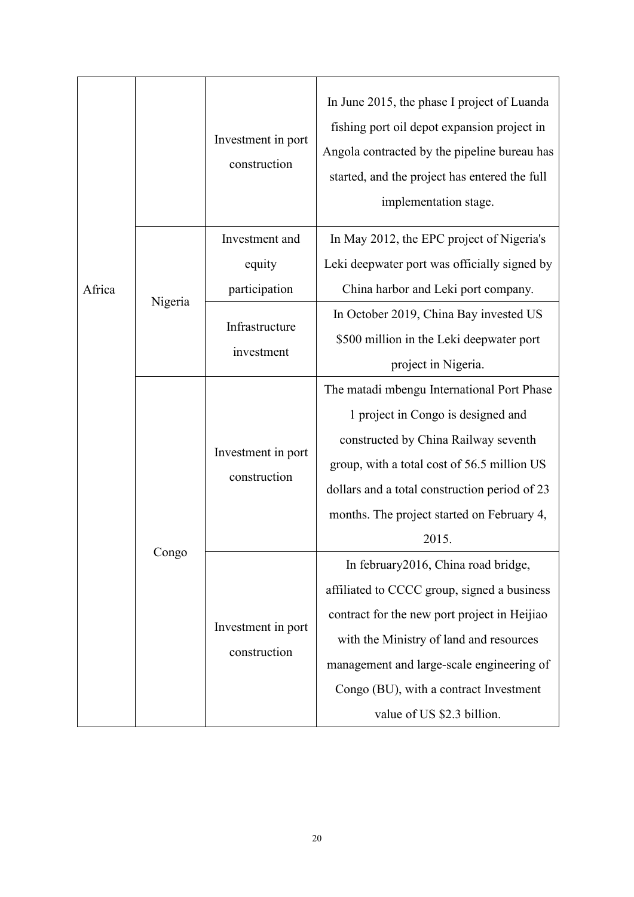|        |         | Investment in port<br>construction | In June 2015, the phase I project of Luanda<br>fishing port oil depot expansion project in<br>Angola contracted by the pipeline bureau has<br>started, and the project has entered the full<br>implementation stage. |
|--------|---------|------------------------------------|----------------------------------------------------------------------------------------------------------------------------------------------------------------------------------------------------------------------|
|        |         | Investment and                     | In May 2012, the EPC project of Nigeria's                                                                                                                                                                            |
|        |         | equity                             | Leki deepwater port was officially signed by                                                                                                                                                                         |
| Africa |         | participation                      | China harbor and Leki port company.                                                                                                                                                                                  |
|        | Nigeria |                                    | In October 2019, China Bay invested US                                                                                                                                                                               |
|        |         | Infrastructure                     | \$500 million in the Leki deepwater port                                                                                                                                                                             |
|        |         | investment                         | project in Nigeria.                                                                                                                                                                                                  |
|        |         |                                    | The matadi mbengu International Port Phase                                                                                                                                                                           |
|        |         |                                    | 1 project in Congo is designed and                                                                                                                                                                                   |
|        |         |                                    | constructed by China Railway seventh                                                                                                                                                                                 |
|        |         | Investment in port                 | group, with a total cost of 56.5 million US                                                                                                                                                                          |
|        |         | construction                       | dollars and a total construction period of 23                                                                                                                                                                        |
|        |         |                                    | months. The project started on February 4,                                                                                                                                                                           |
|        |         |                                    | 2015.                                                                                                                                                                                                                |
|        | Congo   |                                    | In february2016, China road bridge,                                                                                                                                                                                  |
|        |         |                                    | affiliated to CCCC group, signed a business                                                                                                                                                                          |
|        |         | Investment in port                 | contract for the new port project in Heijiao                                                                                                                                                                         |
|        |         |                                    | with the Ministry of land and resources                                                                                                                                                                              |
|        |         | construction                       | management and large-scale engineering of                                                                                                                                                                            |
|        |         |                                    | Congo (BU), with a contract Investment                                                                                                                                                                               |
|        |         |                                    | value of US \$2.3 billion.                                                                                                                                                                                           |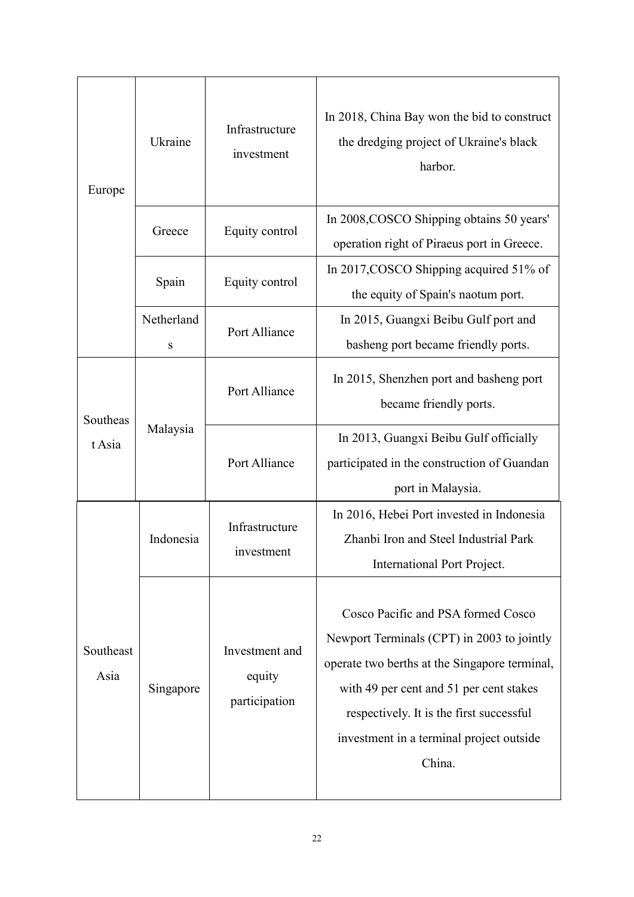| Europe             | Ukraine         | Infrastructure<br>investment              | In 2018, China Bay won the bid to construct<br>the dredging project of Ukraine's black<br>harbor.                                                                                                                                                                              |
|--------------------|-----------------|-------------------------------------------|--------------------------------------------------------------------------------------------------------------------------------------------------------------------------------------------------------------------------------------------------------------------------------|
|                    | Greece          | Equity control                            | In 2008, COSCO Shipping obtains 50 years'<br>operation right of Piraeus port in Greece.                                                                                                                                                                                        |
|                    | Spain           | Equity control                            | In 2017, COSCO Shipping acquired 51% of<br>the equity of Spain's naotum port.                                                                                                                                                                                                  |
|                    | Netherland<br>S | Port Alliance                             | In 2015, Guangxi Beibu Gulf port and<br>basheng port became friendly ports.                                                                                                                                                                                                    |
| Southeas<br>t Asia | Malaysia        | Port Alliance                             | In 2015, Shenzhen port and basheng port<br>became friendly ports.                                                                                                                                                                                                              |
|                    |                 | Port Alliance                             | In 2013, Guangxi Beibu Gulf officially<br>participated in the construction of Guandan<br>port in Malaysia.                                                                                                                                                                     |
|                    | Indonesia       | Infrastructure<br>investment              | In 2016, Hebei Port invested in Indonesia<br>Zhanbi Iron and Steel Industrial Park<br>International Port Project.                                                                                                                                                              |
| Southeast<br>Asia  | Singapore       | Investment and<br>equity<br>participation | Cosco Pacific and PSA formed Cosco<br>Newport Terminals (CPT) in 2003 to jointly<br>operate two berths at the Singapore terminal,<br>with 49 per cent and 51 per cent stakes<br>respectively. It is the first successful<br>investment in a terminal project outside<br>China. |
|                    |                 |                                           |                                                                                                                                                                                                                                                                                |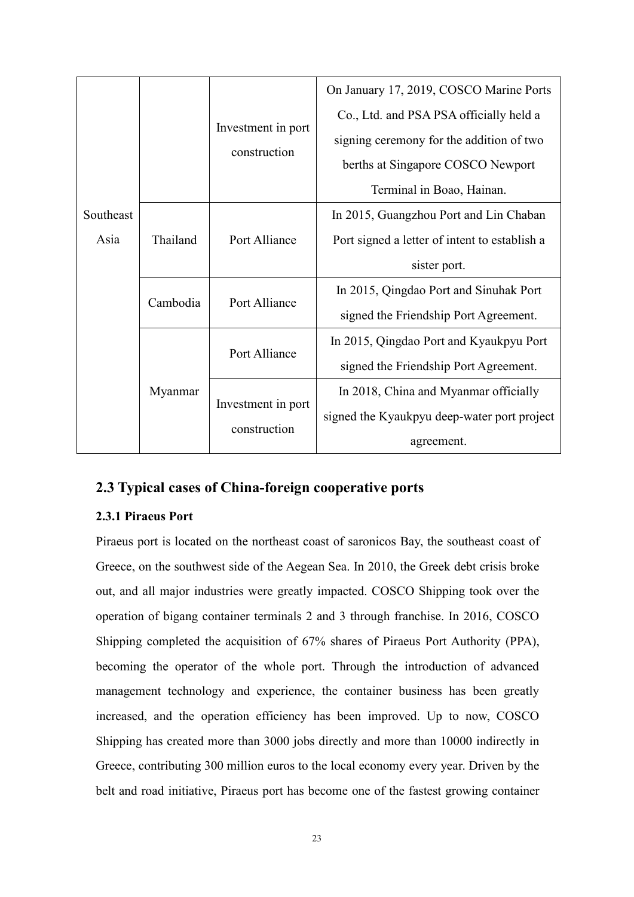|           |          |                                    | On January 17, 2019, COSCO Marine Ports       |
|-----------|----------|------------------------------------|-----------------------------------------------|
|           |          |                                    | Co., Ltd. and PSA PSA officially held a       |
|           |          | Investment in port<br>construction | signing ceremony for the addition of two      |
|           |          |                                    | berths at Singapore COSCO Newport             |
|           |          |                                    | Terminal in Boao, Hainan.                     |
| Southeast | Thailand | Port Alliance                      | In 2015, Guangzhou Port and Lin Chaban        |
| Asia      |          |                                    | Port signed a letter of intent to establish a |
|           |          |                                    | sister port.                                  |
|           | Cambodia | Port Alliance                      | In 2015, Qingdao Port and Sinuhak Port        |
|           |          |                                    | signed the Friendship Port Agreement.         |
|           |          | Port Alliance                      | In 2015, Qingdao Port and Kyaukpyu Port       |
|           | Myanmar  |                                    | signed the Friendship Port Agreement.         |
|           |          | Investment in port                 | In 2018, China and Myanmar officially         |
|           |          | construction                       | signed the Kyaukpyu deep-water port project   |
|           |          |                                    | agreement.                                    |

### <span id="page-33-0"></span>**2.3 Typical cases ofChina-foreign cooperative ports**

#### <span id="page-33-1"></span>**2.3.1 Piraeus Port**

Piraeus port is located on the northeast coast of saronicos Bay, the southeast coast of Greece, on the southwest side of the Aegean Sea. In 2010, the Greek debt crisis broke out, and all major industries were greatly impacted. COSCO Shipping took over the operation of bigang container terminals 2 and 3 through franchise. In 2016, COSCO Shipping completed the acquisition of 67% shares of Piraeus Port Authority (PPA), becoming the operator of the whole port. Through the introduction of advanced management technology and experience, the container business has been greatly increased, and the operation efficiency has been improved. Up to now, COSCO Shipping has created more than 3000 jobs directly and more than 10000 indirectly in Greece, contributing 300 million euros to the local economy every year. Driven by the belt and road initiative, Piraeus port has become one of the fastest growing container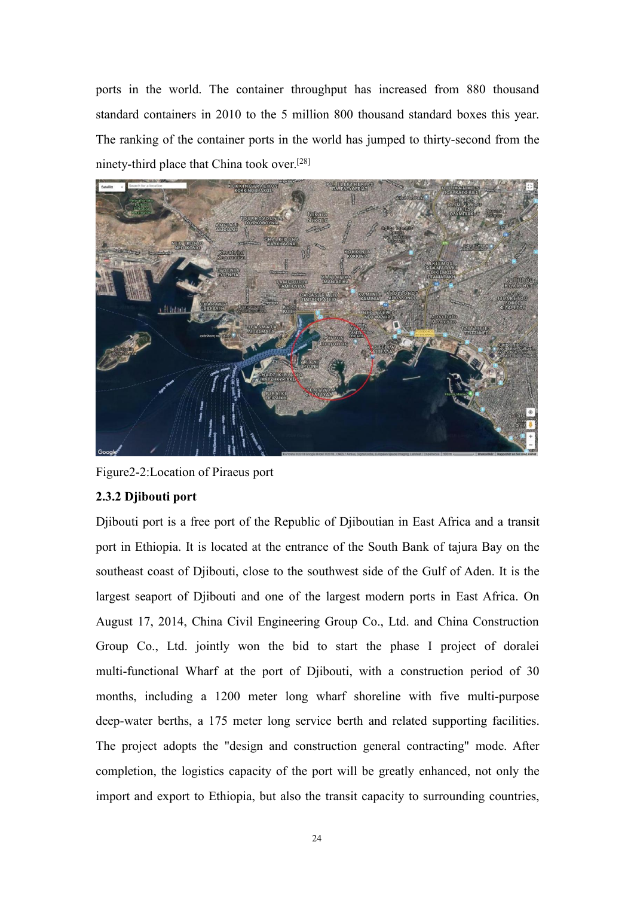ports in the world. The container throughput has increased from 880 thousand standard containers in 2010 to the 5 million 800 thousand standard boxes this year. The ranking of the container ports in the world has jumped to thirty-second from the ninety-third place that China took over. [28]



Figure2-2:Location of Piraeus port

#### <span id="page-34-0"></span>**2.3.2 Djibouti port**

Djibouti port is a free port of the Republic of Djiboutian in East Africa and a transit port in Ethiopia. It is located at the entrance of the South Bank of tajura Bay on the southeast coast of Djibouti, close to the southwest side of the Gulf of Aden. It is the largest seaport of Djibouti and one of the largest modern ports in East Africa. On August 17, 2014, China Civil Engineering Group Co., Ltd. and China Construction Group Co., Ltd. jointly won the bid to start the phase I project of doralei multi-functional Wharf at the port of Djibouti, with a construction period of 30 months, including a1200 meter long wharf shoreline with five multi-purpose deep-water berths, a 175 meter long service berth and related supporting facilities. The project adopts the "design and construction general contracting" mode. After completion, the logistics capacity of the port will be greatly enhanced, not only the import and export to Ethiopia, but also the transit capacity to surrounding countries,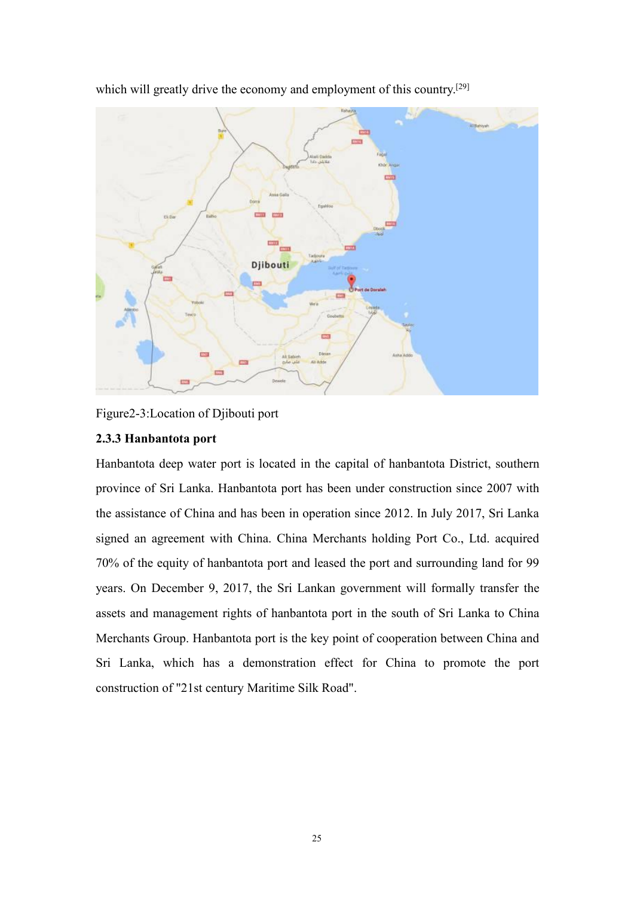

which will greatly drive the economy and employment of this country.<sup>[29]</sup>

<span id="page-35-0"></span>

#### **2.3.3 Hanbantota port**

Hanbantota deep water port is located in the capital of hanbantota District, southern province of Sri Lanka. Hanbantota port has been under construction since 2007 with the assistance of China and has been in operation since 2012. In July 2017, Sri Lanka signed an agreement with China. China Merchants holding Port Co., Ltd. acquired 70% of the equity of hanbantota port and leased the port and surrounding land for 99 years. On December 9, 2017, the Sri Lankan government will formally transfer the assets and management rights of hanbantota port in the south of Sri Lanka to China Merchants Group. Hanbantota port is the key point of cooperation between China and Sri Lanka, which has a demonstration effect for China to promote the port construction of "21st century Maritime Silk Road".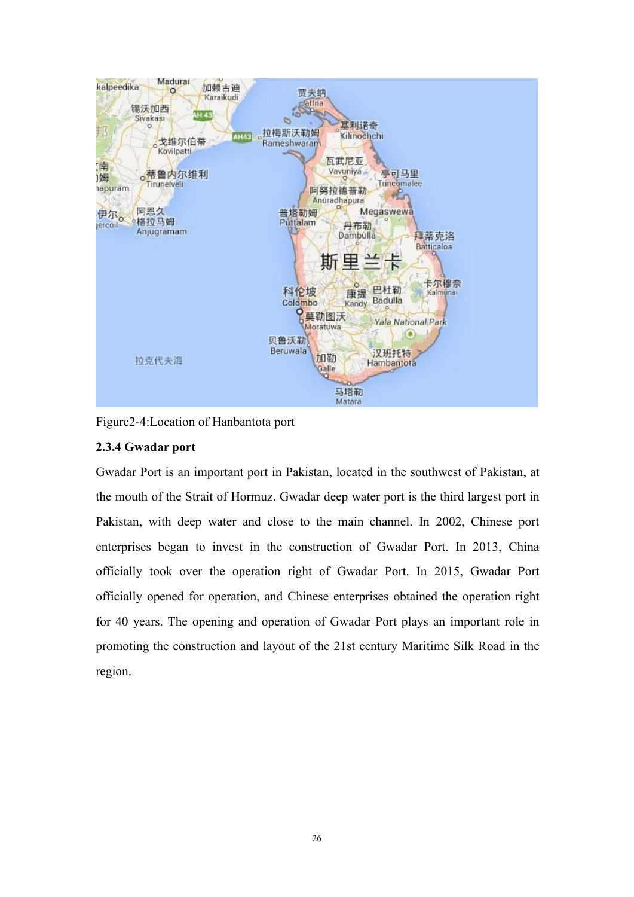

Figure2-4:Location of Hanbantota port

## **2.3.4 Gwadar port**

Gwadar Port is an important port in Pakistan, located in the southwest of Pakistan, at the mouth of the Strait of Hormuz. Gwadar deep water port is the third largest port in Pakistan, with deep water and close to the main channel. In 2002, Chinese port enterprises began to invest in the construction of Gwadar Port. In 2013, China officially took over the operation right of Gwadar Port. In 2015, Gwadar Port officially opened for operation, and Chinese enterprises obtained the operation right for 40 years. The opening and operation of Gwadar Port plays an important role in promoting the construction and layout of the 21st century Maritime Silk Road in the region.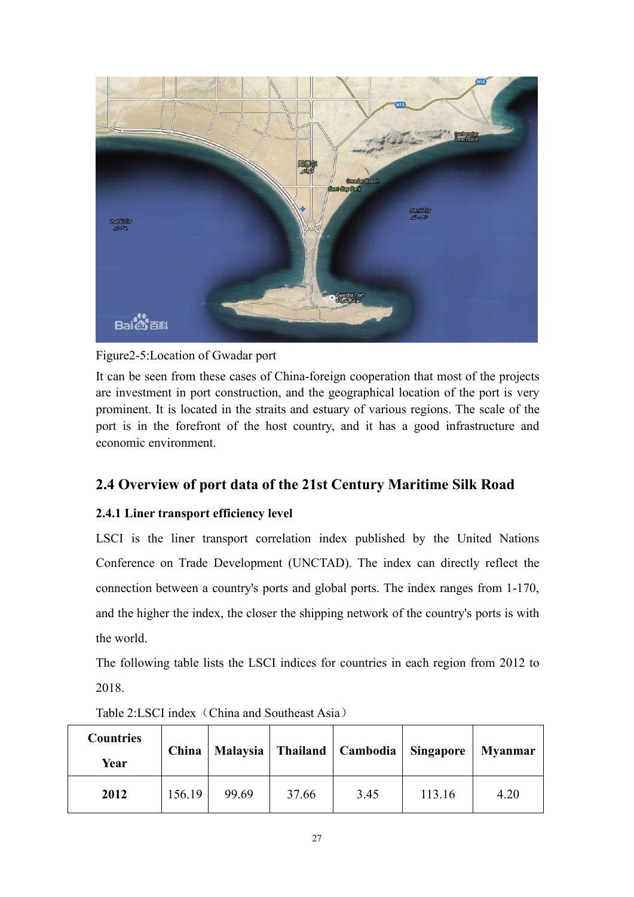

Figure2-5:Location of Gwadar port

It can be seen from these cases of China-foreign cooperation that most of the projects are investment in port construction, and the geographical location of the port is very prominent. It is located in the straits and estuary of various regions. The scale of the port is in the forefront of the host country, and it has a good infrastructure and economic environment.

# **2.4 Overview of port data of the 21st Century Maritime Silk Road**

# **2.4.1 Liner transport efficiency level**

LSCI is the liner transport correlation index published by the United Nations Conference on Trade Development (UNCTAD). The index can directly reflect the connection between a country's ports and global ports. The index ranges from 1-170, and the higher the index, the closer the shipping network of the country's ports is with the world.

The following table lists the LSCI indices for countries in each region from 2012 to 2018.

| <b>Countries</b><br>Year | China  |       |       | Malaysia   Thailand   Cambodia   Singapore |        | <b>Myanmar</b> |
|--------------------------|--------|-------|-------|--------------------------------------------|--------|----------------|
| 2012                     | 156.19 | 99.69 | 37.66 | 3.45                                       | 113.16 | 4.20           |

Table 2:LSCI index (China and Southeast Asia)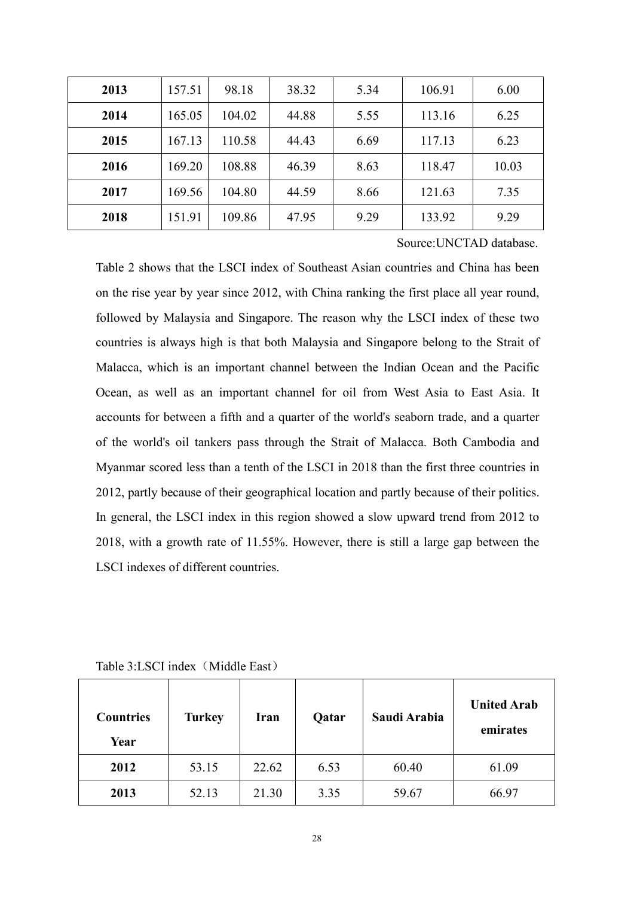| 2013 | 157.51 | 98.18  | 38.32 | 5.34 | 106.91 | 6.00  |
|------|--------|--------|-------|------|--------|-------|
| 2014 | 165.05 | 104.02 | 44.88 | 5.55 | 113.16 | 6.25  |
| 2015 | 167.13 | 110.58 | 44.43 | 6.69 | 117.13 | 6.23  |
| 2016 | 169.20 | 108.88 | 46.39 | 8.63 | 118.47 | 10.03 |
| 2017 | 169.56 | 104.80 | 44.59 | 8.66 | 121.63 | 7.35  |
| 2018 | 151.91 | 109.86 | 47.95 | 9.29 | 133.92 | 9.29  |

Source:UNCTAD database.

Table 2 shows that the LSCI index of Southeast Asian countries and China has been on the rise year by year since 2012, with China ranking the first place all year round, followed by Malaysia and Singapore. The reason why the LSCI index of these two countries is always high is that both Malaysia and Singapore belong to the Strait of Malacca, which is an important channel between the Indian Ocean and the Pacific Ocean, as well as an important channel for oil from West Asia to East Asia.It accounts for between a fifth and a quarter of the world's seaborn trade, and a quarter of the world's oil tankers pass through the Strait of Malacca. Both Cambodia and Myanmar scored less than a tenth of the LSCI in 2018 than the first three countries in 2012, partly because of their geographical location and partly because of their politics. In general, the LSCI index in this region showed a slow upward trend from 2012 to 2018, with a growth rate of 11.55%. However, there is still a large gap between the LSCI indexes of different countries.

| <b>Countries</b><br>Year | <b>Turkey</b> | <b>Iran</b> | Qatar | Saudi Arabia | <b>United Arab</b><br>emirates |
|--------------------------|---------------|-------------|-------|--------------|--------------------------------|
| 2012                     | 53.15         | 22.62       | 6.53  | 60.40        | 61.09                          |
| 2013                     | 52.13         | 21.30       | 3.35  | 59.67        | 66.97                          |

Table 3:LSCI index (Middle East)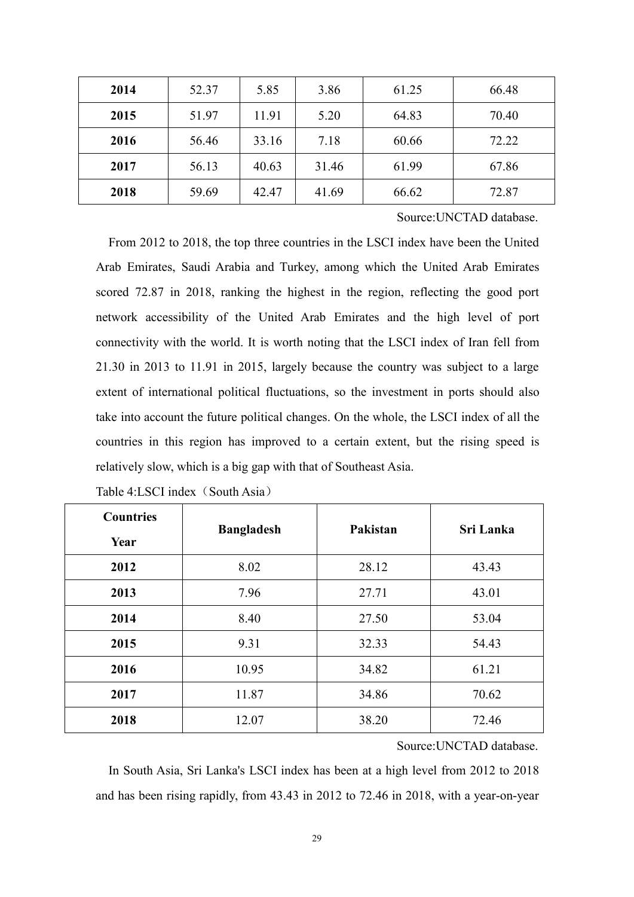| 2014 | 52.37 | 5.85  | 3.86  | 61.25 | 66.48 |
|------|-------|-------|-------|-------|-------|
| 2015 | 51.97 | 11.91 | 5.20  | 64.83 | 70.40 |
| 2016 | 56.46 | 33.16 | 7.18  | 60.66 | 72.22 |
| 2017 | 56.13 | 40.63 | 31.46 | 61.99 | 67.86 |
| 2018 | 59.69 | 42.47 | 41.69 | 66.62 | 72.87 |

Source:UNCTAD database.

From 2012 to 2018, the top three countries in the LSCI index have been the United Arab Emirates, Saudi Arabia and Turkey, among which the United Arab Emirates scored 72.87 in 2018, ranking the highest in the region, reflecting the good port network accessibility of the United Arab Emirates and the high level of port connectivity with the world. It is worth noting that the LSCI index of Iran fell from 21.30 in 2013 to 11.91 in 2015, largely because the country was subject to a large extent of international political fluctuations, so the investment in ports should also take into account the future political changes. On the whole, the LSCI index of all the countries in this region has improved to a certain extent, but the rising speed is relatively slow, which is a big gap with that of Southeast Asia.

| <b>Countries</b> |                   | Pakistan | Sri Lanka |  |
|------------------|-------------------|----------|-----------|--|
| Year             | <b>Bangladesh</b> |          |           |  |
| 2012             | 8.02              | 28.12    | 43.43     |  |
| 2013             | 7.96              | 27.71    | 43.01     |  |
| 2014             | 8.40              | 27.50    | 53.04     |  |
| 2015             | 9.31              | 32.33    | 54.43     |  |
| 2016             | 10.95             | 34.82    | 61.21     |  |
| 2017             | 11.87             | 34.86    | 70.62     |  |
| 2018             | 12.07             | 38.20    | 72.46     |  |

Table 4:LSCI index (South Asia)

Source:UNCTAD database.

In South Asia, Sri Lanka's LSCI index has been at a high level from 2012 to 2018 and has been rising rapidly, from 43.43 in 2012 to 72.46 in 2018, with a year-on-year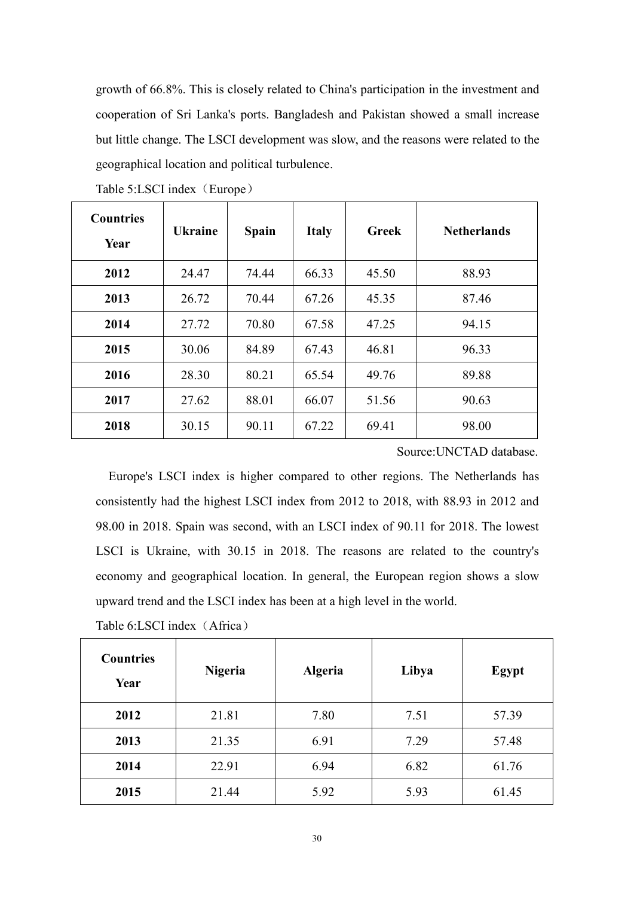growth of 66.8%. This is closely related to China's participation in the investment and cooperation of Sri Lanka's ports. Bangladesh and Pakistan showed a small increase but little change. The LSCI development was slow, and the reasons were related to the geographical location and political turbulence.

| <b>Countries</b><br>Year | <b>Ukraine</b> | <b>Spain</b> | <b>Italy</b> | <b>Greek</b> | <b>Netherlands</b> |
|--------------------------|----------------|--------------|--------------|--------------|--------------------|
| 2012                     | 24.47          | 74.44        | 66.33        | 45.50        | 88.93              |
| 2013                     | 26.72          | 70.44        | 67.26        | 45.35        | 87.46              |
| 2014                     | 27.72          | 70.80        | 67.58        | 47.25        | 94.15              |
| 2015                     | 30.06          | 84.89        | 67.43        | 46.81        | 96.33              |
| 2016                     | 28.30          | 80.21        | 65.54        | 49.76        | 89.88              |
| 2017                     | 27.62          | 88.01        | 66.07        | 51.56        | 90.63              |
| 2018                     | 30.15          | 90.11        | 67.22        | 69.41        | 98.00              |

Table 5:LSCI index (Europe)

Source:UNCTAD database.

Europe's LSCI index is higher compared to other regions. The Netherlands has consistently had the highest LSCI index from 2012 to 2018, with 88.93 in 2012 and 98.00 in 2018. Spain was second, with an LSCI index of 90.11 for 2018. The lowest LSCI is Ukraine, with 30.15 in 2018. The reasons are related to the country's economy and geographical location. In general, the European region shows a slow upward trend and the LSCI index has been at a high level in the world.

| Table 6:LSCI index (Africa) |  |  |
|-----------------------------|--|--|
|-----------------------------|--|--|

| <b>Countries</b><br>Year | <b>Nigeria</b> | <b>Algeria</b> | Libya | Egypt |
|--------------------------|----------------|----------------|-------|-------|
| 2012                     | 21.81          | 7.80           | 7.51  | 57.39 |
| 2013                     | 21.35          | 6.91           | 7.29  | 57.48 |
| 2014                     | 22.91          | 6.94           | 6.82  | 61.76 |
| 2015                     | 21.44          | 5.92           | 5.93  | 61.45 |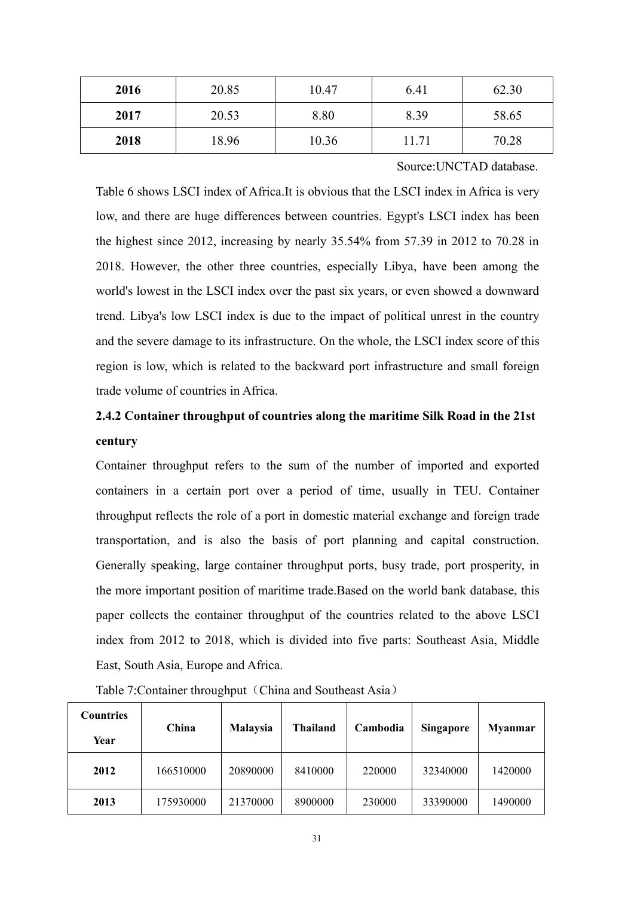| 2016 | 20.85 | 10.47 | 6.41  | 62.30 |
|------|-------|-------|-------|-------|
| 2017 | 20.53 | 8.80  | 8.39  | 58.65 |
| 2018 | 18.96 | 10.36 | 11.71 | 70.28 |

Source:UNCTAD database.

Table 6 shows LSCI index of Africa.It is obvious that the LSCI index in Africa is very low, and there are huge differences between countries. Egypt's LSCI index has been the highest since 2012, increasing by nearly 35.54% from 57.39 in 2012 to 70.28 in 2018. However, the other three countries, especially Libya, have been among the world's lowest in the LSCI index over the past six years, or even showed a downward trend. Libya's low LSCI index is due to the impact of political unrest in the country and the severe damage to its infrastructure. On the whole, the LSCI index score of this region is low, which is related to the backward port infrastructure and small foreign trade volume of countries in Africa.

# **2.4.2 Container throughput of countries along the maritime Silk Road in the 21st century**

Container throughput refers to the sum of the number of imported and exported containers in a certain port over a period of time, usually in TEU. Container throughput reflects the role of a port in domestic material exchange and foreign trade transportation, and is also the basis of port planning and capital construction. Generally speaking, large container throughput ports, busy trade, port prosperity, in the more important position of maritime trade.Based on the world bank database, this paper collects the container throughput of the countries related to the above LSCI index from 2012 to 2018, which is divided into five parts: Southeast Asia, Middle East, South Asia, Europe and Africa.

| <b>Countries</b> | China     | <b>Malaysia</b> | <b>Thailand</b> | Cambodia | <b>Singapore</b> | <b>Myanmar</b> |
|------------------|-----------|-----------------|-----------------|----------|------------------|----------------|
| Year             |           |                 |                 |          |                  |                |
| 2012             | 166510000 | 20890000        | 8410000         | 220000   | 32340000         | 1420000        |
| 2013             | 175930000 | 21370000        | 8900000         | 230000   | 33390000         | 1490000        |

Table 7: Container throughput (China and Southeast Asia)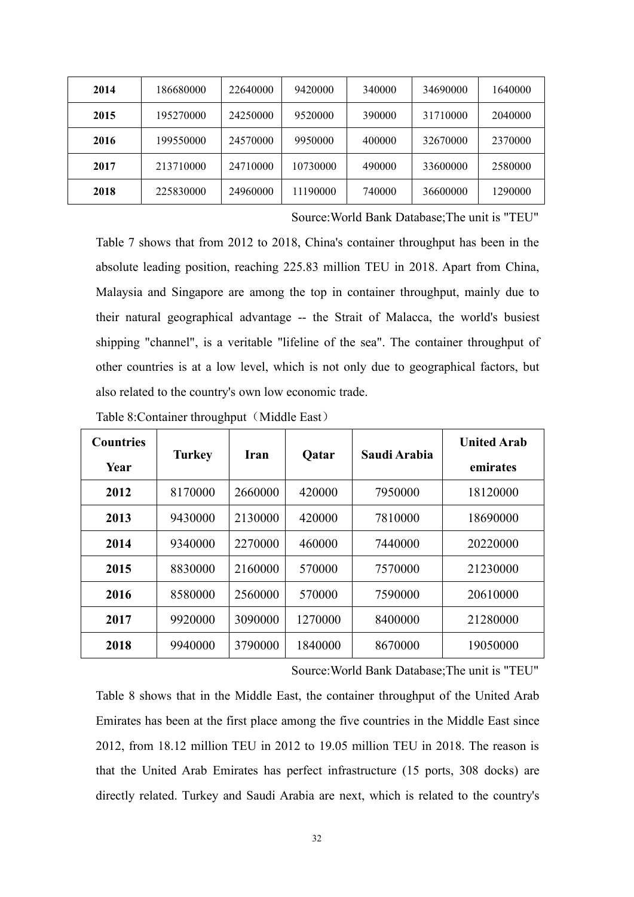| 2014 | 186680000 | 22640000 | 9420000  | 340000 | 34690000 | 1640000 |
|------|-----------|----------|----------|--------|----------|---------|
| 2015 | 195270000 | 24250000 | 9520000  | 390000 | 31710000 | 2040000 |
| 2016 | 199550000 | 24570000 | 9950000  | 400000 | 32670000 | 2370000 |
| 2017 | 213710000 | 24710000 | 10730000 | 490000 | 33600000 | 2580000 |
| 2018 | 225830000 | 24960000 | 11190000 | 740000 | 36600000 | 1290000 |

Source:World Bank Database;The unit is "TEU"

Table 7 shows that from 2012 to 2018, China's container throughput has been in the absolute leading position, reaching 225.83 million TEU in 2018. Apart from China, Malaysia and Singapore are among the top in container throughput, mainly due to their natural geographical advantage -- the Strait of Malacca, the world's busiest shipping "channel", is a veritable "lifeline of the sea". The container throughput of other countries is ata low level, which is not only due to geographical factors, but also related to the country's own low economic trade.

| <b>Countries</b> |               |         |              | Saudi Arabia | <b>United Arab</b> |
|------------------|---------------|---------|--------------|--------------|--------------------|
| Year             | <b>Turkey</b> | Iran    | <b>Qatar</b> |              | emirates           |
| 2012             | 8170000       | 2660000 | 420000       | 7950000      | 18120000           |
| 2013             | 9430000       | 2130000 | 420000       | 7810000      | 18690000           |
| 2014             | 9340000       | 2270000 | 460000       | 7440000      | 20220000           |
| 2015             | 8830000       | 2160000 | 570000       | 7570000      | 21230000           |
| 2016             | 8580000       | 2560000 | 570000       | 7590000      | 20610000           |
| 2017             | 9920000       | 3090000 | 1270000      | 8400000      | 21280000           |
| 2018             | 9940000       | 3790000 | 1840000      | 8670000      | 19050000           |

Table 8: Container throughput (Middle East)

Source:World Bank Database;The unit is "TEU"

Table 8 shows that in the Middle East, the container throughput of the United Arab Emirates has been at the first place among the five countries in the Middle East since 2012, from 18.12 million TEU in 2012 to 19.05 million TEU in 2018. The reason is that the United Arab Emirates has perfect infrastructure (15 ports, 308 docks) are directly related. Turkey and Saudi Arabia are next, which is related to the country's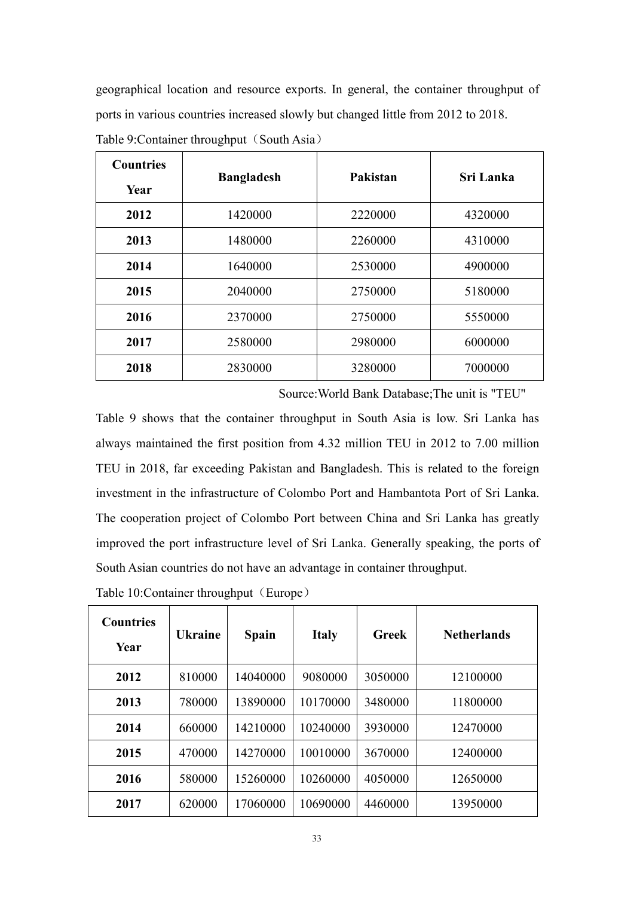geographical location and resource exports.In general, the container throughput of ports in various countries increased slowly but changed little from 2012 to 2018.

| <b>Countries</b><br>Year | <b>Bangladesh</b> | Pakistan | <b>Sri Lanka</b> |
|--------------------------|-------------------|----------|------------------|
| 2012                     | 1420000           | 2220000  | 4320000          |
| 2013                     | 1480000           | 2260000  | 4310000          |
| 2014                     | 1640000           | 2530000  | 4900000          |
| 2015                     | 2040000           | 2750000  | 5180000          |
| 2016                     | 2370000           | 2750000  | 5550000          |
| 2017                     | 2580000           | 2980000  | 6000000          |
| 2018                     | 2830000           | 3280000  | 7000000          |

Table 9: Container throughput (South Asia)

Source:World Bank Database;The unit is "TEU"

Table 9 shows that the container throughput in South Asia is low. Sri Lanka has always maintained the first position from 4.32 million TEU in 2012 to 7.00 million TEU in 2018, far exceeding Pakistan and Bangladesh. This is related to the foreign investment in the infrastructure of Colombo Port and Hambantota Port of Sri Lanka. The cooperation project of Colombo Port between China and Sri Lanka has greatly improved the port infrastructure level of Sri Lanka. Generally speaking, the ports of South Asian countries do not have an advantage in container throughput.

| <b>Countries</b><br>Year | <b>Ukraine</b> | <b>Spain</b> | <b>Italy</b> | Greek   | <b>Netherlands</b> |
|--------------------------|----------------|--------------|--------------|---------|--------------------|
| 2012                     | 810000         | 14040000     | 9080000      | 3050000 | 12100000           |
| 2013                     | 780000         | 13890000     | 10170000     | 3480000 | 11800000           |
| 2014                     | 660000         | 14210000     | 10240000     | 3930000 | 12470000           |
| 2015                     | 470000         | 14270000     | 10010000     | 3670000 | 12400000           |
| 2016                     | 580000         | 15260000     | 10260000     | 4050000 | 12650000           |
| 2017                     | 620000         | 17060000     | 10690000     | 4460000 | 13950000           |

Table 10: Container throughput (Europe)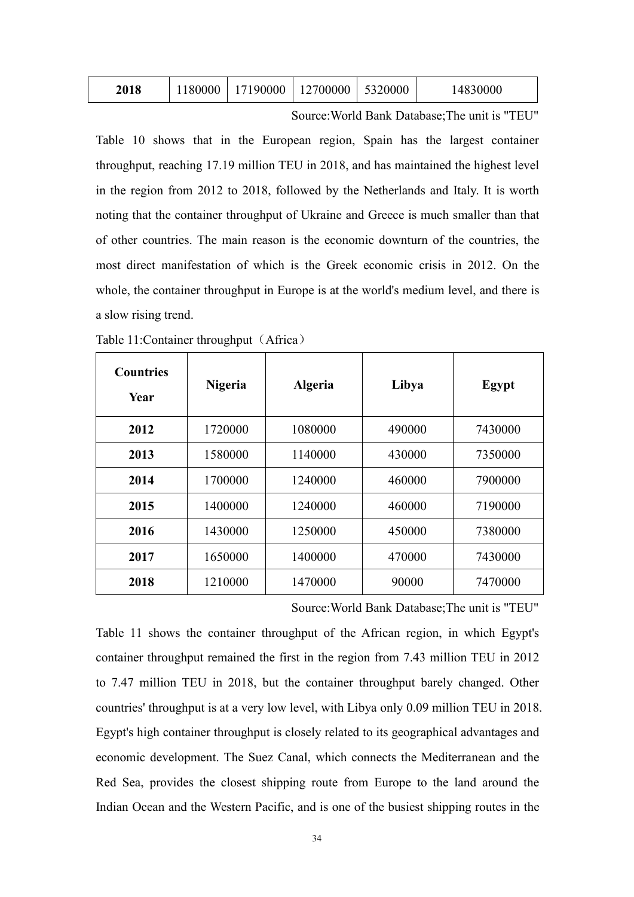| 80000<br>190000<br>2700000<br>5320000<br>4830000 |  |  |  |  |  | 2018 |
|--------------------------------------------------|--|--|--|--|--|------|
|--------------------------------------------------|--|--|--|--|--|------|

Source:World Bank Database;The unit is "TEU"

Table 10 shows that in the European region, Spain has the largest container throughput, reaching 17.19 million TEU in 2018, and has maintained the highest level in the region from 2012 to 2018, followed by the Netherlands and Italy. It is worth noting that the container throughput of Ukraine and Greece is much smaller than that of other countries. The main reason is the economic downturn of the countries, the most direct manifestation of which is the Greek economic crisis in 2012. On the whole, the container throughput in Europe is at the world's medium level, and there is a slow rising trend.

| <b>Countries</b><br>Year | Nigeria | <b>Algeria</b> | Libya  | Egypt   |
|--------------------------|---------|----------------|--------|---------|
| 2012                     | 1720000 | 1080000        | 490000 | 7430000 |
| 2013                     | 1580000 | 1140000        | 430000 | 7350000 |
| 2014                     | 1700000 | 1240000        | 460000 | 7900000 |
| 2015                     | 1400000 | 1240000        | 460000 | 7190000 |
| 2016                     | 1430000 | 1250000        | 450000 | 7380000 |
| 2017                     | 1650000 | 1400000        | 470000 | 7430000 |
| 2018                     | 1210000 | 1470000        | 90000  | 7470000 |

| Table 11: Container throughput (Africa) |  |  |
|-----------------------------------------|--|--|
|-----------------------------------------|--|--|

Source:World Bank Database;The unit is "TEU"

Table 11 shows the container throughput of the African region, in which Egypt's container throughput remained the first in the region from 7.43 million TEU in 2012 to 7.47 million TEU in 2018, but the container throughput barely changed. Other countries' throughput is at a very low level, with Libya only 0.09 million TEU in 2018. Egypt's high container throughput is closely related to its geographical advantages and economic development. The Suez Canal, which connects the Mediterranean and the Red Sea, provides the closest shipping route from Europe to the land around the Indian Ocean and the Western Pacific, and is one of the busiest shipping routes in the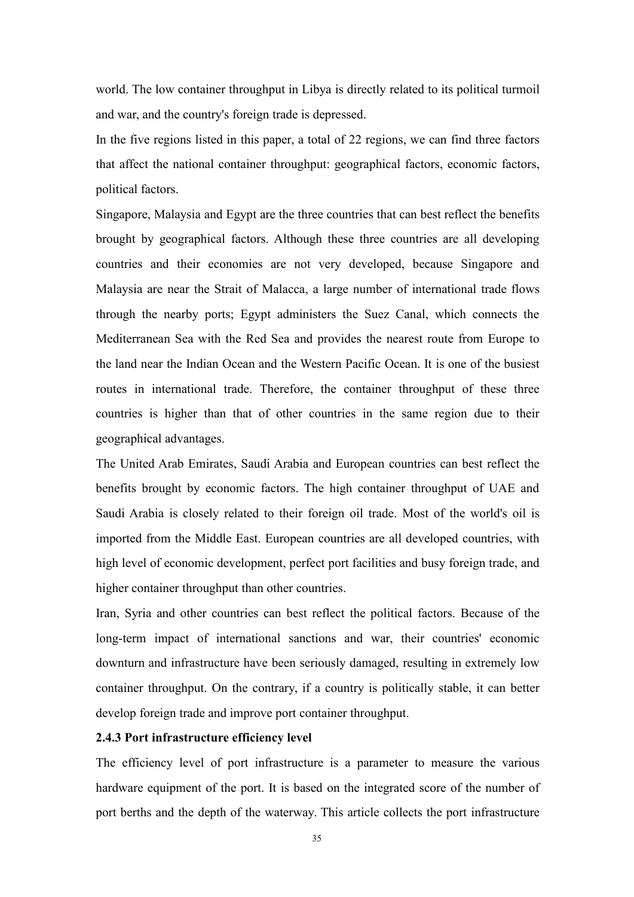world. The low container throughput in Libya is directly related to its political turmoil and war, and the country's foreign trade is depressed.

In the five regions listed in this paper, a total of 22 regions, we can find three factors that affect the national container throughput: geographical factors, economic factors, political factors.

Singapore, Malaysia and Egypt are the three countries that can best reflect the benefits brought by geographical factors. Although these three countries are all developing countries and their economies are not very developed, because Singapore and Malaysia are near the Strait of Malacca, a large number of international trade flows through the nearby ports; Egypt administers the Suez Canal, which connects the Mediterranean Sea with the Red Sea and provides the nearest route from Europe to the land near the Indian Ocean and the Western Pacific Ocean. It is one of the busiest routes in international trade. Therefore, the container throughput of these three countries is higher than that of other countries in the same region due to their geographical advantages.

The United Arab Emirates, Saudi Arabia and European countries can best reflect the benefits brought by economic factors. The high container throughput of UAE and Saudi Arabia is closely related to their foreign oil trade. Most of the world's oil is imported from the Middle East. European countries are all developed countries, with high level of economic development, perfect port facilities and busy foreign trade, and higher container throughput than other countries.

Iran, Syria and other countries can best reflect the political factors. Because of the long-term impact of international sanctions and war, their countries' economic downturn and infrastructure have been seriously damaged, resulting in extremely low container throughput. On the contrary, if a country is politically stable, it can better develop foreign trade and improve port container throughput.

## **2.4.3 Port infrastructure efficiency level**

The efficiency level of port infrastructure is a parameter to measure the various hardware equipment of the port. It is based on the integrated score of the number of port berths and the depth of the waterway. This article collects the port infrastructure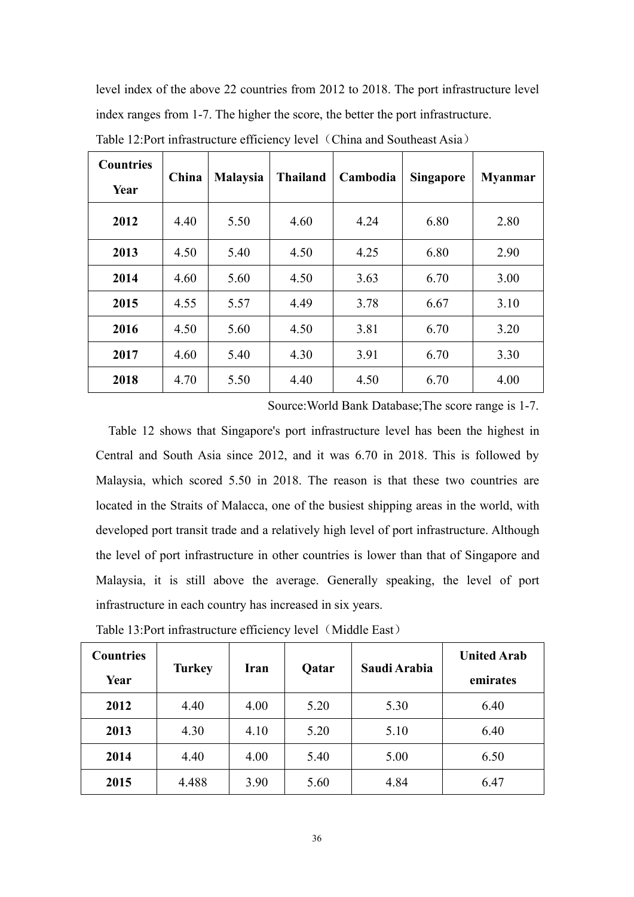level index of the above 22 countries from 2012 to 2018. The port infrastructure level index ranges from 1-7. The higher the score, the better the port infrastructure.

| <b>Countries</b><br>Year | China | <b>Malaysia</b> | <b>Thailand</b> | Cambodia | <b>Singapore</b> | <b>Myanmar</b> |
|--------------------------|-------|-----------------|-----------------|----------|------------------|----------------|
| 2012                     | 4.40  | 5.50            | 4.60            | 4.24     | 6.80             | 2.80           |
| 2013                     | 4.50  | 5.40            | 4.50            | 4.25     | 6.80             | 2.90           |
| 2014                     | 4.60  | 5.60            | 4.50            | 3.63     | 6.70             | 3.00           |
| 2015                     | 4.55  | 5.57            | 4.49            | 3.78     | 6.67             | 3.10           |
| 2016                     | 4.50  | 5.60            | 4.50            | 3.81     | 6.70             | 3.20           |
| 2017                     | 4.60  | 5.40            | 4.30            | 3.91     | 6.70             | 3.30           |
| 2018                     | 4.70  | 5.50            | 4.40            | 4.50     | 6.70             | 4.00           |

Table 12:Port infrastructure efficiency level (China and Southeast Asia)

Source:World Bank Database;The score range is 1-7.

Table 12 shows that Singapore's port infrastructure level has been the highest in Central and South Asia since 2012, and it was 6.70 in 2018. This is followed by Malaysia, which scored 5.50 in 2018. The reason is that these two countries are located in the Straits of Malacca, one of the busiest shipping areas in the world, with developed port transit trade and a relatively high level of port infrastructure. Although the level of port infrastructure in other countries is lower than that of Singapore and Malaysia, it is still above the average. Generally speaking, the level of port infrastructure in each country has increased in six years.

| <b>Countries</b> |               |      |       | Saudi Arabia | <b>United Arab</b> |
|------------------|---------------|------|-------|--------------|--------------------|
| Year             | <b>Turkey</b> | Iran | Qatar |              | emirates           |
| 2012             | 4.40          | 4.00 | 5.20  | 5.30         | 6.40               |
| 2013             | 4.30          | 4.10 | 5.20  | 5.10         | 6.40               |
| 2014             | 4.40          | 4.00 | 5.40  | 5.00         | 6.50               |
| 2015             | 4.488         | 3.90 | 5.60  | 4.84         | 6.47               |

Table 13:Port infrastructure efficiency level (Middle East)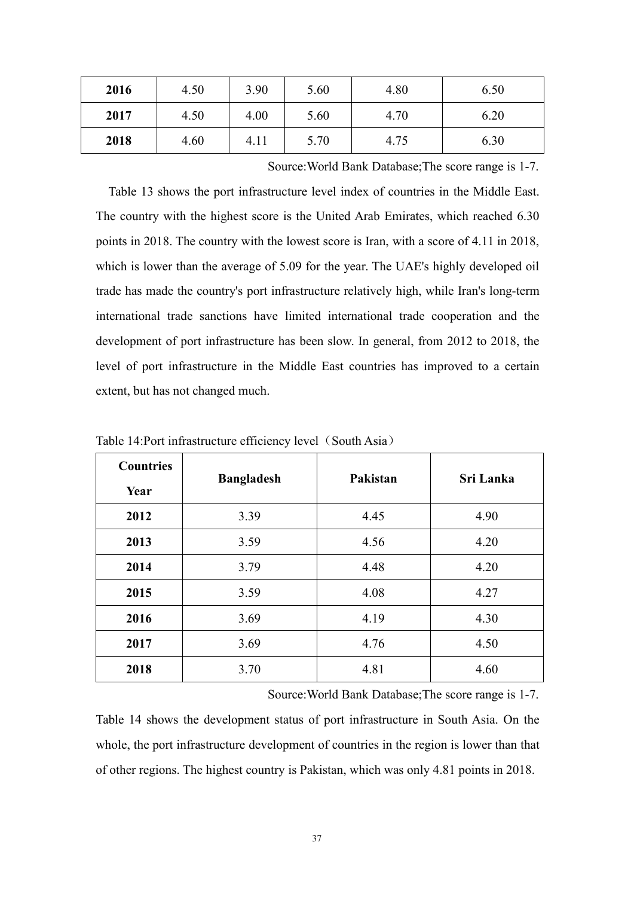| 2016 | 4.50 | 3.90 | 5.60 | 4.80 | 6.50 |
|------|------|------|------|------|------|
| 2017 | 4.50 | 4.00 | 5.60 | 4.70 | 6.20 |
| 2018 | 4.60 | 4.11 | 5.70 | 4.75 | 6.30 |

Source:World Bank Database;The score range is 1-7.

Table 13 shows the port infrastructure level index of countries in the Middle East. The country with the highest score is the United Arab Emirates, which reached 6.30 points in 2018. The country with the lowest score is Iran, with a score of 4.11 in 2018, which is lower than the average of 5.09 for the year. The UAE's highly developed oil trade has made the country's port infrastructure relatively high, while Iran's long-term international trade sanctions have limited international trade cooperation and the development of port infrastructure has been slow. In general, from 2012 to 2018, the level of port infrastructure in the Middle East countries has improved to a certain extent, but has not changed much.

| <b>Countries</b><br>Year | <b>Bangladesh</b> | Pakistan | Sri Lanka |
|--------------------------|-------------------|----------|-----------|
| 2012                     | 3.39              | 4.45     | 4.90      |
| 2013                     | 3.59              | 4.56     | 4.20      |
| 2014                     | 3.79              | 4.48     | 4.20      |
| 2015                     | 3.59              | 4.08     | 4.27      |
| 2016                     | 3.69              | 4.19     | 4.30      |
| 2017                     | 3.69              | 4.76     | 4.50      |
| 2018                     | 3.70              | 4.81     | 4.60      |

Table 14: Port infrastructure efficiency level (South Asia)

Source:World Bank Database;The score range is 1-7.

Table 14 shows the development status of port infrastructure in South Asia. On the whole, the port infrastructure development of countries in the region is lower than that of other regions. The highest country is Pakistan, which was only 4.81 points in 2018.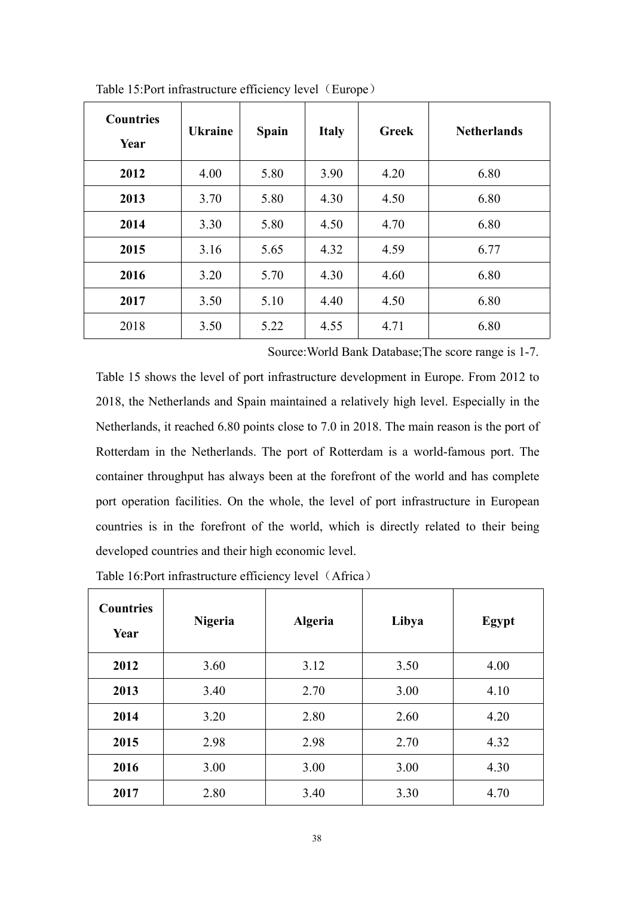| <b>Countries</b><br>Year | <b>Ukraine</b> | <b>Spain</b> | <b>Italy</b> | <b>Greek</b> | <b>Netherlands</b> |
|--------------------------|----------------|--------------|--------------|--------------|--------------------|
| 2012                     | 4.00           | 5.80         | 3.90         | 4.20         | 6.80               |
| 2013                     | 3.70           | 5.80         | 4.30         | 4.50         | 6.80               |
| 2014                     | 3.30           | 5.80         | 4.50         | 4.70         | 6.80               |
| 2015                     | 3.16           | 5.65         | 4.32         | 4.59         | 6.77               |
| 2016                     | 3.20           | 5.70         | 4.30         | 4.60         | 6.80               |
| 2017                     | 3.50           | 5.10         | 4.40         | 4.50         | 6.80               |
| 2018                     | 3.50           | 5.22         | 4.55         | 4.71         | 6.80               |

Table 15:Port infrastructure efficiency level (Europe)

Source:World Bank Database;The score range is 1-7.

Table 15 shows the level of port infrastructure development in Europe. From 2012 to 2018, the Netherlands and Spain maintained a relatively high level. Especially in the Netherlands, it reached 6.80 points close to 7.0 in 2018. The main reason is the portof Rotterdam in the Netherlands. The port of Rotterdam is a world-famous port. The container throughput has always been at the forefront of the world and has complete port operation facilities. On the whole, the level of port infrastructure in European countries is in the forefront of the world, which is directly related to their being developed countries and their high economic level.

| <b>Countries</b><br>Year | <b>Nigeria</b> | <b>Algeria</b> | Libya | Egypt |
|--------------------------|----------------|----------------|-------|-------|
| 2012                     | 3.60           | 3.12           | 3.50  | 4.00  |
| 2013                     | 3.40           | 2.70           | 3.00  | 4.10  |
| 2014                     | 3.20           | 2.80           | 2.60  | 4.20  |
| 2015                     | 2.98           | 2.98           | 2.70  | 4.32  |
| 2016                     | 3.00           | 3.00           | 3.00  | 4.30  |
| 2017                     | 2.80           | 3.40           | 3.30  | 4.70  |

Table 16:Port infrastructure efficiency level (Africa)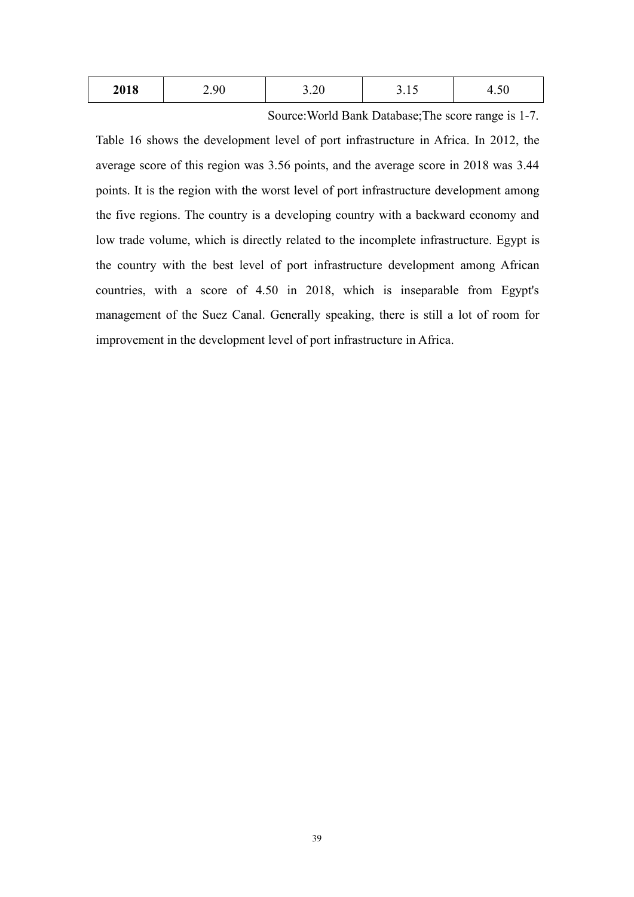| 2018<br>$  -$ | $\alpha$ | $\bigcap$<br>$\cup$ . $\sim$ | $  -$ | . . |  |
|---------------|----------|------------------------------|-------|-----|--|
|---------------|----------|------------------------------|-------|-----|--|

Source:World Bank Database;The score range is 1-7.

Table 16 shows the development level of port infrastructure in Africa. In 2012, the average score of this region was 3.56 points, and the average score in 2018 was 3.44 points. It is the region with the worst level of port infrastructure development among the five regions. The country is a developing country with a backward economy and low trade volume, which is directly related to the incomplete infrastructure. Egypt is the country with the best level of port infrastructure development among African countries, with a score of 4.50 in 2018, which is inseparable from Egypt's management of the Suez Canal. Generally speaking, there is still a lot of room for improvement in the development level of port infrastructure in Africa.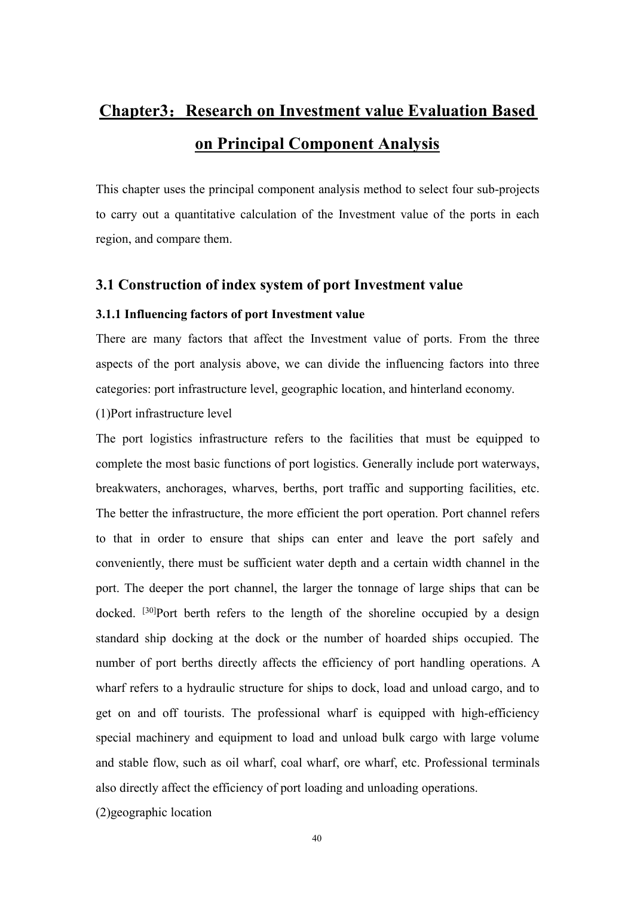# **Chapter3**:**Research on Investment value Evaluation Based on Principal Component Analysis**

This chapter uses the principal component analysis method to select four sub-projects to carry out a quantitative calculation of the Investment value of the ports in each region, and compare them.

# **3.1 Construction of index system of port Investment value**

## **3.1.1** Influencing factors of port Investment value

There are many factors that affect the Investment value of ports. From the three aspects of the port analysis above, we can divide the influencing factors into three categories: port infrastructure level, geographic location,and hinterland economy.

(1)Port infrastructure level

The port logistics infrastructure refers to the facilities that must be equipped to complete the most basic functions of port logistics. Generally include port waterways, breakwaters, anchorages, wharves, berths, port traffic and supporting facilities, etc. The better the infrastructure, the more efficient the port operation. Port channel refers to that in order to ensure that ships can enter and leave the port safely and conveniently, there must be sufficient water depth and a certain width channel in the port. The deeper the port channel, the larger the tonnage of large ships that can be docked. [30]Port berth refers to the length of the shoreline occupied by a design standard ship docking at the dock or the number of hoarded ships occupied. The number of port berths directly affects the efficiency of port handling operations. A wharf refers to a hydraulic structure for ships to dock, load and unload cargo, and to get on and off tourists. The professional wharf is equipped with high-efficiency special machinery and equipment to load and unload bulk cargo with large volume and stable flow, such as oil wharf, coal wharf, ore wharf, etc. Professional terminals also directly affect the efficiency of port loading and unloading operations.

(2)geographic location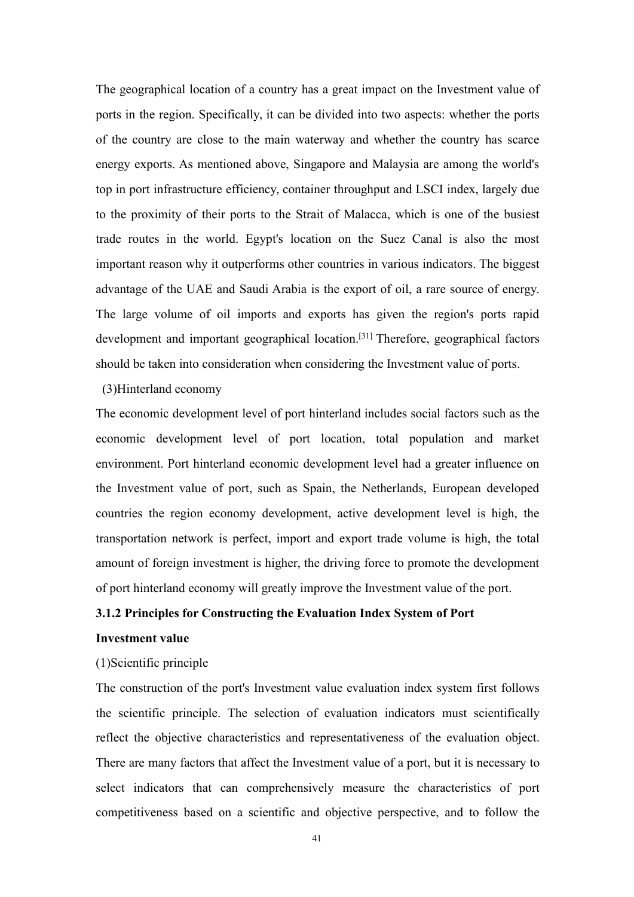The geographical location of a country has a great impact on the Investment value of ports in the region. Specifically, it can be divided into two aspects: whether the ports of the country are close to the main waterway and whether the country has scarce energy exports. As mentioned above, Singapore and Malaysia are among the world's top in port infrastructure efficiency, container throughput and LSCI index, largely due to the proximity of their ports to the Strait of Malacca, which is one of the busiest trade routes in the world. Egypt's location on the Suez Canal is also the most important reason why it outperforms other countries in various indicators. The biggest advantage of the UAE and Saudi Arabia is the export of oil, a rare source of energy. The large volume of oil imports and exports has given the region's ports rapid development and important geographical location.<sup>[31]</sup> Therefore, geographical factors should be taken into consideration when considering the Investment value of ports.(3)Hinterland economy

The economic development level of port hinterland includes social factors such as the economic development level of port location, total population and market environment. Port hinterland economic development level had a greater influence on the Investment value of port, such as Spain, the Netherlands, European developed countries the region economy development, active development level is high, the transportation network is perfect, import and export trade volume is high, the total amount of foreign investment is higher, the driving force to promote the development of port hinterland economy will greatly improve the Investment value of the port.

## **3.1.2 Principles for Constructing the Evaluation Index System of Port**

## **Investment value**

## (1)Scientific principle

The construction of the port's Investment value evaluation index system first follows the scientific principle. The selection of evaluation indicators must scientifically reflect the objective characteristics and representativeness of the evaluation object. There are many factors that affect the Investment value of a port, but it is necessary to select indicators that can comprehensively measure the characteristics of port competitiveness based on a scientific and objective perspective, and to follow the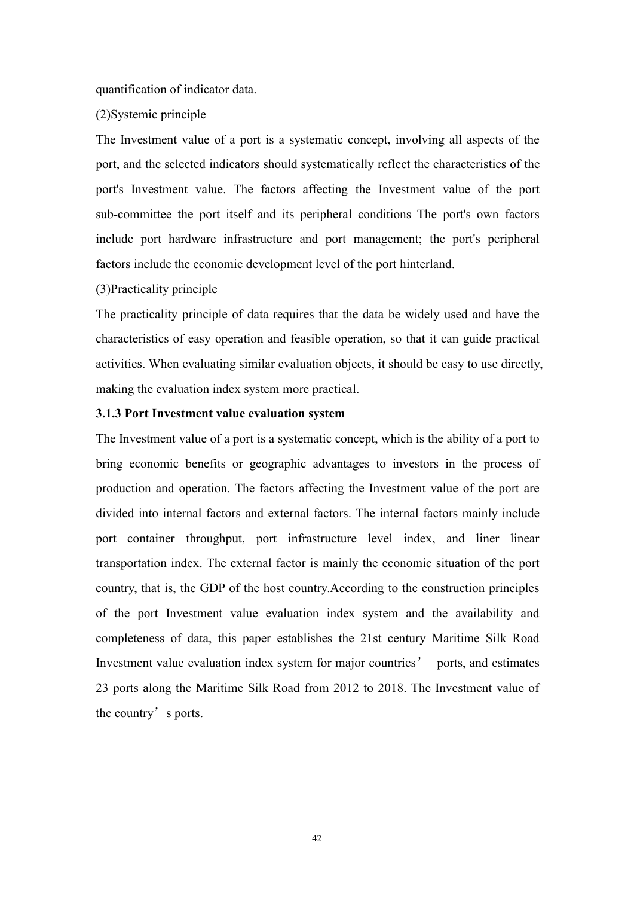quantification of indicator data.

## (2)Systemic principle

The Investment value of a port is a systematic concept, involving all aspects of the port, and the selected indicators should systematically reflect the characteristics of the port's Investment value. The factors affecting the Investment value of the port sub-committee the port itself and its peripheral conditions The port's own factors include port hardware infrastructure and port management; the port's peripheral factors include the economic development level of the port hinterland.

#### (3)Practicality principle

The practicality principle of data requires that the data be widely used and have the characteristics of easy operation and feasible operation, so that it can guide practical activities. When evaluating similar evaluation objects, it should be easy to use directly, making the evaluation index system more practical.

# **3.1.3 Port Investment value evaluation system**

The Investment value of a port is a systematic concept, which is the ability of a port to bring economic benefits or geographic advantages to investors in the process of production and operation. The factors affecting the Investment value of the port are divided into internal factors and external factors. The internal factors mainly include port container throughput, port infrastructure level index, and liner linear transportation index. The external factor is mainly the economic situation of the port country, that is, the GDP of the host country.According to the construction principles of the port Investment value evaluation index system and the availability and completeness of data, this paper establishes the 21st century Maritime Silk Road Investment value evaluation index system for major countries' ports, and estimates 23 ports along the Maritime Silk Road from 2012 to 2018. The Investment value of the country's ports.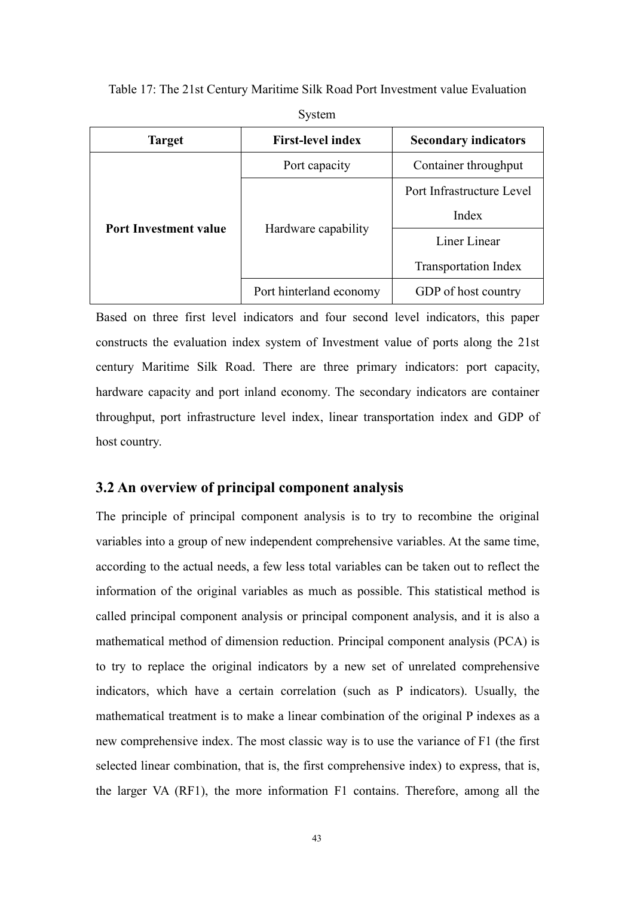Table 17: The 21st Century Maritime Silk Road PortInvestment value Evaluation

| <b>Target</b>                | <b>First-level index</b> | <b>Secondary indicators</b> |
|------------------------------|--------------------------|-----------------------------|
|                              | Port capacity            | Container throughput        |
|                              |                          | Port Infrastructure Level   |
|                              | Hardware capability      | Index                       |
| <b>Port Investment value</b> |                          | Liner Linear                |
|                              |                          | <b>Transportation Index</b> |
|                              | Port hinterland economy  | GDP of host country         |

System

Based on three first level indicators and four second level indicators, this paper constructs the evaluation index system of Investment value of ports along the 21st century Maritime Silk Road. There are three primary indicators: port capacity, hardware capacity and port inland economy. The secondary indicators are container throughput, port infrastructure level index, linear transportation index and GDP of host country.

# **3.2 An overview of principal component analysis**

The principle of principal component analysis is to try to recombine the original variables into a group of new independent comprehensive variables. At the same time, according to the actual needs, a few less total variables can be taken out to reflect the information of the original variables as much as possible. This statistical method is called principal component analysis or principal component analysis, and it is also a mathematical method of dimension reduction. Principal component analysis (PCA) is to try to replace the original indicators by a new set of unrelated comprehensive indicators, which have a certain correlation (such as P indicators). Usually, the mathematical treatment is to make a linear combination of the original P indexes as a new comprehensive index. The most classic way is to use the variance of F1 (the first selected linear combination, that is, the first comprehensive index) to express, that is, the larger VA (RF1), the more information F1 contains. Therefore, among all the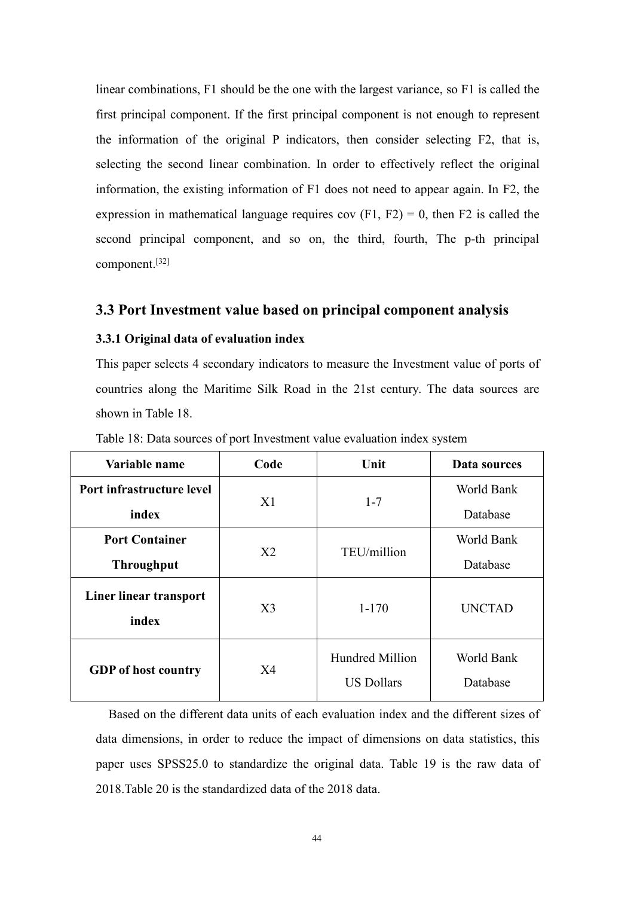linear combinations, F1 should be the one with the largest variance, so F1 is called the first principal component. If the first principal component is not enough to represent the information of the original P indicators, then consider selecting F2, that is, selecting the second linear combination. In order to effectively reflect the original information, the existing information of F1 does not need to appear again. In F2, the expression in mathematical language requires cov  $(F1, F2) = 0$ , then F2 is called the second principal component, and so on, the third, fourth, The p-th principal component. [32]

## **3.3 Port Investment value based on principal component analysis**

## **3.3.1 Original data of evaluation index**

This paper selects 4 secondary indicators to measure the Investment value of ports of countries along the Maritime Silk Road in the 21st century. The data sources are shown in Table 18.

| Variable name                   | Code           | Unit                                 | Data sources           |
|---------------------------------|----------------|--------------------------------------|------------------------|
| Port infrastructure level       |                |                                      | World Bank             |
| index                           | X1             | $1 - 7$                              | Database               |
| <b>Port Container</b>           | X2             | TEU/million                          | World Bank             |
| <b>Throughput</b>               |                |                                      | Database               |
| Liner linear transport<br>index | X3             | $1 - 170$                            | <b>UNCTAD</b>          |
| <b>GDP</b> of host country      | X <sub>4</sub> | Hundred Million<br><b>US Dollars</b> | World Bank<br>Database |

Table 18: Data sources of port Investment value evaluation index system

Based on the different data units of each evaluation index and the different sizes of data dimensions, in order to reduce the impact of dimensions on data statistics, this paper uses SPSS25.0 to standardize the original data. Table 19 is the raw data of 2018.Table 20 is the standardized data of the 2018 data.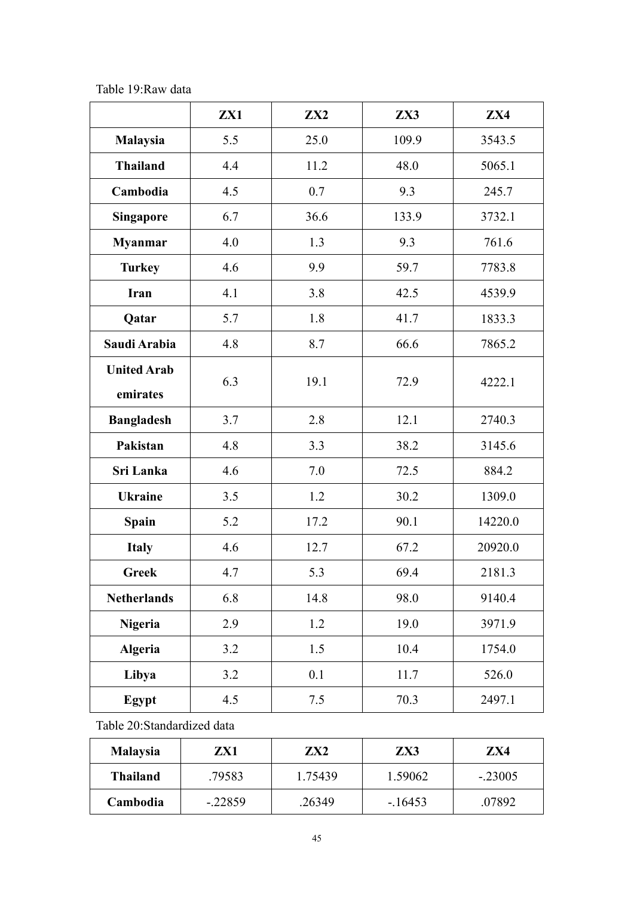Table 19:Raw data

|                                | ZX1 | $\mathbf{ZX2}$ | ZX3   | ZX4     |
|--------------------------------|-----|----------------|-------|---------|
| Malaysia                       | 5.5 | 25.0           | 109.9 | 3543.5  |
| <b>Thailand</b>                | 4.4 | 11.2           | 48.0  | 5065.1  |
| Cambodia                       | 4.5 | 0.7            | 9.3   | 245.7   |
| <b>Singapore</b>               | 6.7 | 36.6           | 133.9 | 3732.1  |
| <b>Myanmar</b>                 | 4.0 | 1.3            | 9.3   | 761.6   |
| <b>Turkey</b>                  | 4.6 | 9.9            | 59.7  | 7783.8  |
| Iran                           | 4.1 | 3.8            | 42.5  | 4539.9  |
| Qatar                          | 5.7 | 1.8            | 41.7  | 1833.3  |
| Saudi Arabia                   | 4.8 | 8.7            | 66.6  | 7865.2  |
| <b>United Arab</b><br>emirates | 6.3 | 19.1           | 72.9  | 4222.1  |
| <b>Bangladesh</b>              | 3.7 | 2.8            | 12.1  | 2740.3  |
| Pakistan                       | 4.8 | 3.3            | 38.2  | 3145.6  |
| Sri Lanka                      | 4.6 | 7.0            | 72.5  | 884.2   |
| <b>Ukraine</b>                 | 3.5 | 1.2            | 30.2  | 1309.0  |
| <b>Spain</b>                   | 5.2 | 17.2           | 90.1  | 14220.0 |
| <b>Italy</b>                   | 4.6 | 12.7           | 67.2  | 20920.0 |
| <b>Greek</b>                   | 4.7 | 5.3            | 69.4  | 2181.3  |
| <b>Netherlands</b>             | 6.8 | 14.8           | 98.0  | 9140.4  |
| Nigeria                        | 2.9 | 1.2            | 19.0  | 3971.9  |
| <b>Algeria</b>                 | 3.2 | 1.5            | 10.4  | 1754.0  |
| Libya                          | 3.2 | 0.1            | 11.7  | 526.0   |
| Egypt                          | 4.5 | 7.5            | 70.3  | 2497.1  |

Table 20:Standardized data

| <b>Malaysia</b> | ZX1       | ZX <sub>2</sub> | ZX3      | ZX4       |
|-----------------|-----------|-----------------|----------|-----------|
| <b>Thailand</b> | .79583    | 1.75439         | 1.59062  | $-.23005$ |
| Cambodia        | $-.22859$ | .26349          | $-16453$ | .07892    |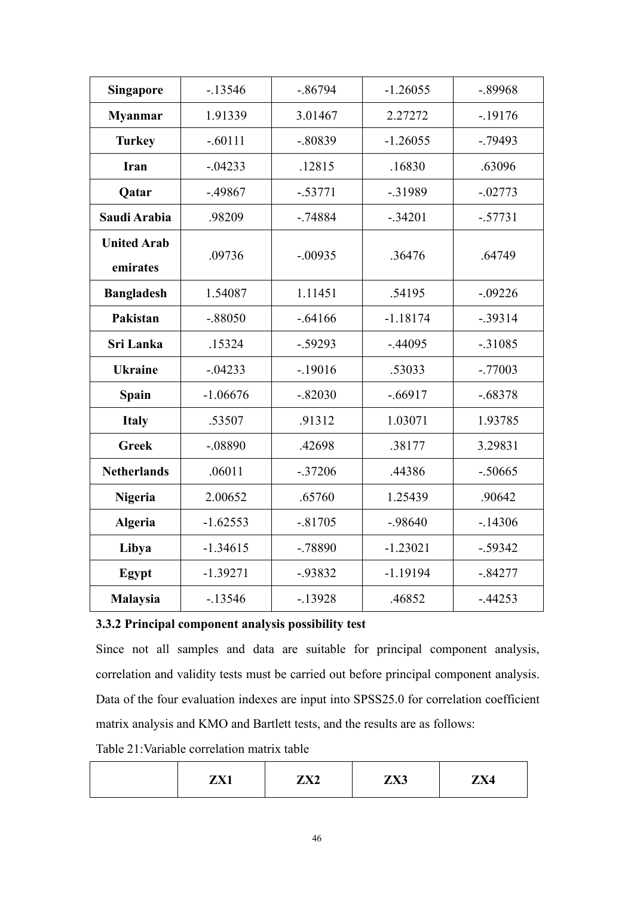| Singapore                      | $-13546$   | $-.86794$  | $-1.26055$ | $-.89968$ |
|--------------------------------|------------|------------|------------|-----------|
| <b>Myanmar</b>                 | 1.91339    | 3.01467    | 2.27272    | $-19176$  |
| <b>Turkey</b>                  | $-.60111$  | $-.80839$  | $-1.26055$ | $-.79493$ |
| <b>Iran</b>                    | $-.04233$  | .12815     | .16830     | .63096    |
| Qatar                          | $-.49867$  | $-.53771$  | $-0.31989$ | $-.02773$ |
| Saudi Arabia                   | .98209     | $-.74884$  | $-.34201$  | $-.57731$ |
| <b>United Arab</b><br>emirates | .09736     | $-.00935$  | .36476     | .64749    |
| <b>Bangladesh</b>              | 1.54087    | 1.11451    | .54195     | $-.09226$ |
| Pakistan                       | $-.88050$  | $-.64166$  | $-1.18174$ | $-.39314$ |
| Sri Lanka                      | .15324     | $-.59293$  | $-.44095$  | $-.31085$ |
| <b>Ukraine</b>                 | $-.04233$  | $-19016$   | .53033     | $-.77003$ |
| <b>Spain</b>                   | $-1.06676$ | $-.82030$  | $-.66917$  | $-.68378$ |
| <b>Italy</b>                   | .53507     | .91312     | 1.03071    | 1.93785   |
| <b>Greek</b>                   | $-.08890$  | .42698     | .38177     | 3.29831   |
| <b>Netherlands</b>             | .06011     | $-.37206$  | .44386     | $-.50665$ |
| Nigeria                        | 2.00652    | .65760     | 1.25439    | .90642    |
| <b>Algeria</b>                 | $-1.62553$ | $-.81705$  | $-.98640$  | $-.14306$ |
| Libya                          | $-1.34615$ | $-.78890$  | $-1.23021$ | $-.59342$ |
| Egypt                          | $-1.39271$ | $-0.93832$ | $-1.19194$ | $-.84277$ |
| <b>Malaysia</b>                | $-13546$   | $-13928$   | .46852     | $-.44253$ |

# **3.3.2 Principalcomponent analysis possibility test**

Since not all samples and data are suitable for principal component analysis, correlation and validity tests must be carried out before principal component analysis. Data of the four evaluation indexes are input into SPSS25.0 for correlation coefficient matrix analysis and KMO and Bartlett tests, and the results are as follows:

Table 21:Variable correlation matrix table

|  | 7V1<br>· ∧<br>---- | $\mathbf{v}$<br>$\boldsymbol{\mu}$ $\boldsymbol{\Lambda}$ | TVI2<br>LAJ | <b>1737 A</b><br>$\overline{\phantom{a}}$<br>ДА4 |
|--|--------------------|-----------------------------------------------------------|-------------|--------------------------------------------------|
|--|--------------------|-----------------------------------------------------------|-------------|--------------------------------------------------|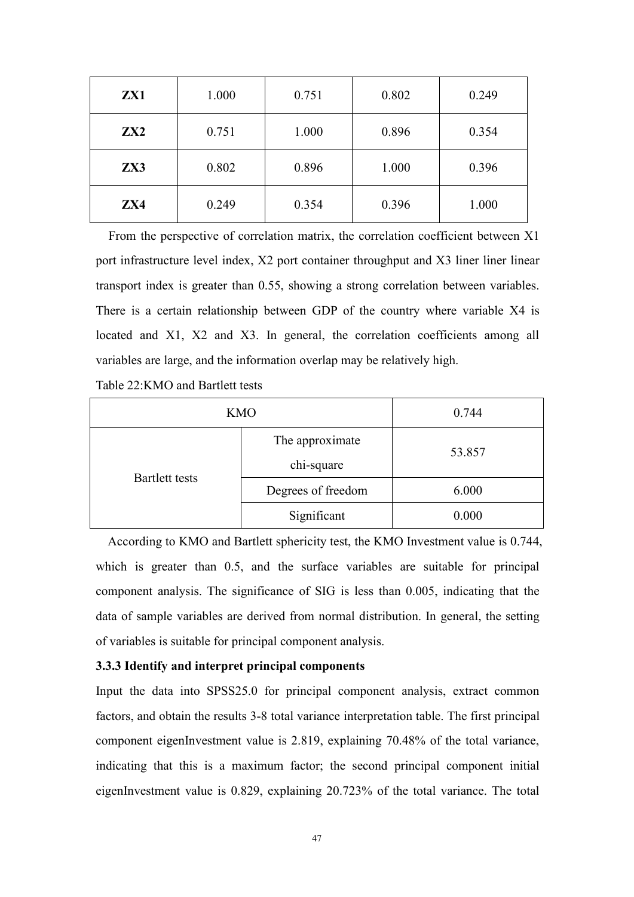| ZX1             | 1.000 | 0.751 | 0.802 | 0.249 |
|-----------------|-------|-------|-------|-------|
| ZX <sub>2</sub> | 0.751 | 1.000 | 0.896 | 0.354 |
| ZX3             | 0.802 | 0.896 | 1.000 | 0.396 |
| ZX4             | 0.249 | 0.354 | 0.396 | 1.000 |

From the perspective of correlation matrix, the correlation coefficient between X1 port infrastructure level index, X2 port container throughput and X3 liner liner linear transport index is greater than 0.55, showing a strong correlation between variables. There is a certain relationship between GDP of the country where variable X4 is located and X1, X2 and X3. In general, the correlation coefficients among all variables are large, and the information overlap may be relatively high.

Table 22:KMO and Bartlett tests

| <b>KMO</b>            | 0.744                     |       |
|-----------------------|---------------------------|-------|
|                       | The approximate<br>53.857 |       |
| <b>Bartlett tests</b> | chi-square                |       |
|                       | Degrees of freedom        | 6.000 |
|                       | Significant               | 0.000 |

According to KMO and Bartlett sphericity test, the KMO Investment value is 0.744, which is greater than 0.5, and the surface variables are suitable for principal component analysis. The significance of SIG is less than 0.005, indicating that the data of sample variables are derived from normal distribution. In general, the setting of variables is suitable for principal component analysis.

#### **3.3.3 Identify and interpret principal components**

Input the data into SPSS25.0 for principal component analysis, extract common factors, and obtain the results 3-8 total variance interpretation table. The first principal component eigenInvestment value is 2.819, explaining 70.48% of the total variance, indicating that this is a maximum factor; the second principal component initial eigenInvestment value is 0.829, explaining 20.723% of the total variance. The total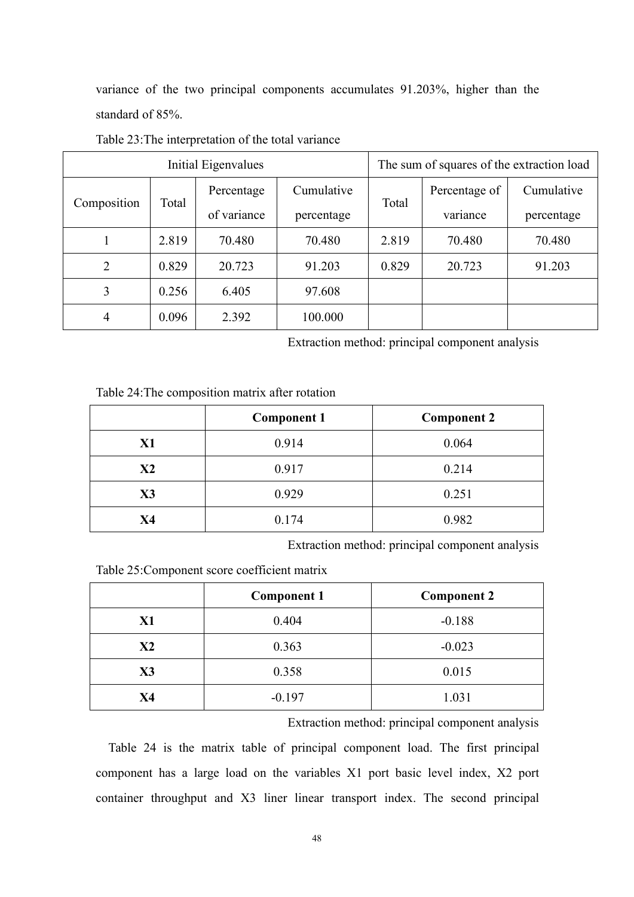variance of the two principal components accumulates 91.203%, higher than the standard of 85%.

|                |                     | Initial Eigenvalues |            |       | The sum of squares of the extraction load |            |
|----------------|---------------------|---------------------|------------|-------|-------------------------------------------|------------|
| Composition    | Percentage<br>Total |                     | Cumulative | Total | Percentage of                             | Cumulative |
|                |                     | of variance         | percentage |       | variance                                  | percentage |
|                | 2.819               | 70.480              | 70.480     | 2.819 | 70.480                                    | 70.480     |
| $\overline{2}$ | 0.829               | 20.723              | 91.203     | 0.829 | 20.723                                    | 91.203     |
| 3              | 0.256               | 6.405               | 97.608     |       |                                           |            |
| 4              | 0.096               | 2.392               | 100.000    |       |                                           |            |

Table 23:The interpretation of the total variance

Extraction method: principal component analysis

| Table 24: The composition matrix after rotation |  |
|-------------------------------------------------|--|
|-------------------------------------------------|--|

|           | <b>Component 1</b> | <b>Component 2</b> |
|-----------|--------------------|--------------------|
| <b>X1</b> | 0.914              | 0.064              |
| X2        | 0.917              | 0.214              |
| X3        | 0.929              | 0.251              |
| <b>X4</b> | 0.174              | 0.982              |

Extraction method: principal component analysis

Table 25:Component score coefficient matrix

|                | <b>Component 1</b> | <b>Component 2</b> |
|----------------|--------------------|--------------------|
| X1             | 0.404              | $-0.188$           |
| X <sub>2</sub> | 0.363              | $-0.023$           |
| X3             | 0.358              | 0.015              |
| X4             | $-0.197$           | 1.031              |

Extraction method: principal component analysis

Table 24 is the matrix table of principal component load. The first principal component has a large load on the variables X1 port basic level index, X2 port container throughput and X3 liner linear transport index. The second principal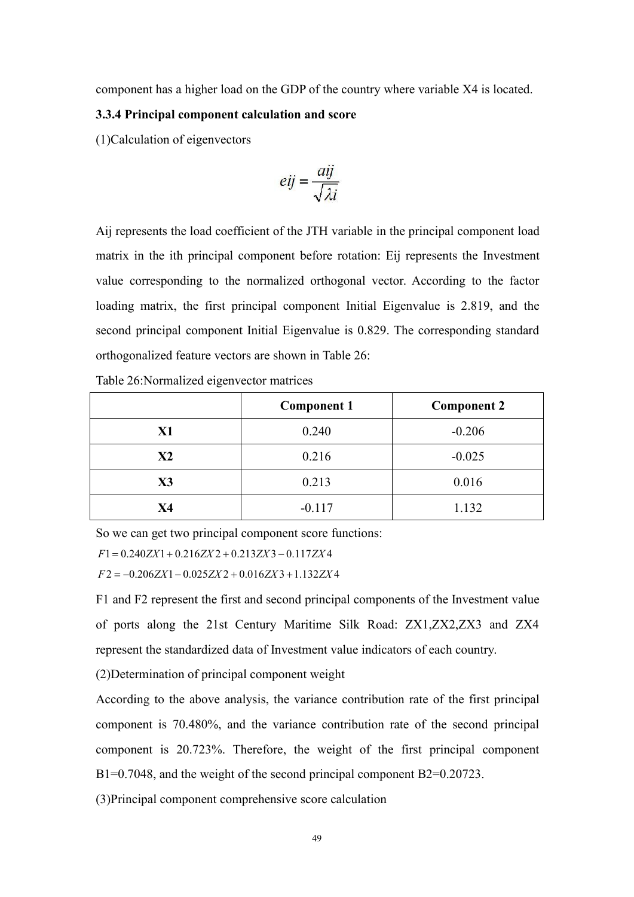component has a higher load on the GDP of the country where variable X4 is located.

# **3.3.4 Principalcomponent calculation and score**

(1)Calculation of eigenvectors

$$
eij = \frac{aij}{\sqrt{\lambda i}}
$$

Aij represents the load coefficient of the JTH variable in the principal component load matrix in the ith principal component before rotation: Eij represents the Investment value corresponding to the normalized orthogonal vector. According to the factor loading matrix, the first principal component Initial Eigenvalue is 2.819, and the second principal component Initial Eigenvalue is 0.829. The corresponding standard orthogonalized feature vectors are shown in Table 26:

|                | <b>Component 1</b> | <b>Component 2</b> |
|----------------|--------------------|--------------------|
| X1             | 0.240              | $-0.206$           |
| X2             | 0.216              | $-0.025$           |
| $\mathbf{X}$ 3 | 0.213              | 0.016              |
| <b>X4</b>      | $-0.117$           | 1.132              |

Table 26:Normalized eigenvector matrices

So we can get two principal component score functions:

 $F1 = 0.240ZX1 + 0.216ZX2 + 0.213ZX3 - 0.117ZX4$ 

 $F2 = -0.206ZX1 - 0.025ZX2 + 0.016ZX3 + 1.132ZX4$ 

F1 and F2 represent the first and second principal components of the Investment value of ports along the 21st Century Maritime Silk Road: ZX1,ZX2,ZX3 and ZX4 represent the standardized data of Investment value indicators of each country.

(2)Determination of principal component weight

According to the above analysis, the variance contribution rate of the first principal component is 70.480%, and the variance contribution rate of the second principal component is 20.723%. Therefore, the weight of the first principal component B1=0.7048, and the weight of the second principal component B2=0.20723.

(3)Principal component comprehensive score calculation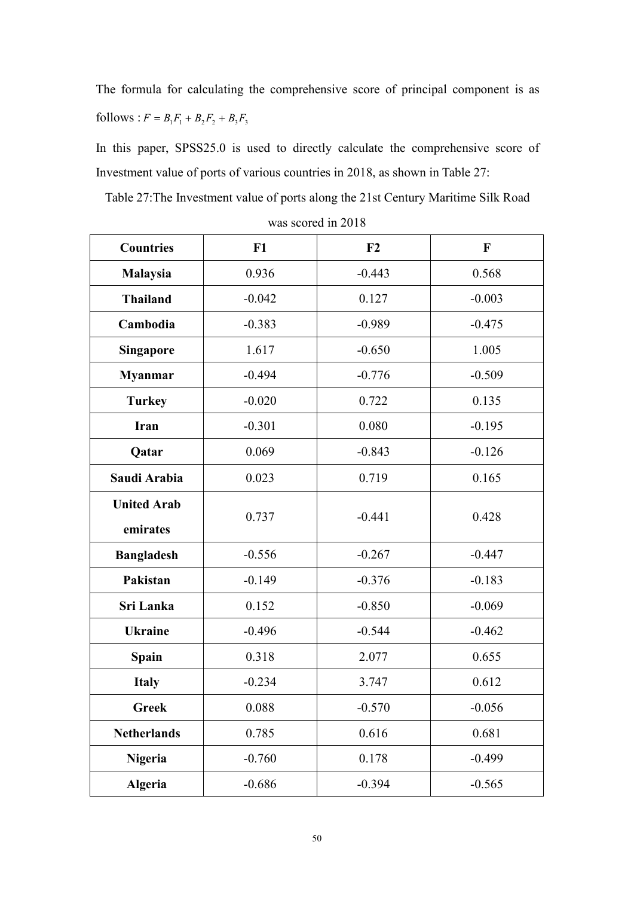The formula for calculating the comprehensive score of principal component is as follows :  $F = B_1F_1 + B_2F_2 + B_3F_3$ 

In this paper, SPSS25.0 is used to directly calculate the comprehensive score of Investment value of ports of various countries in 2018, as shown in Table 27:

Table 27:The Investment value of ports along the 21st Century Maritime Silk Road

| <b>Countries</b>               | F1       | F2       | $\mathbf F$ |
|--------------------------------|----------|----------|-------------|
| Malaysia                       | 0.936    | $-0.443$ | 0.568       |
| <b>Thailand</b>                | $-0.042$ | 0.127    | $-0.003$    |
| Cambodia                       | $-0.383$ | $-0.989$ | $-0.475$    |
| <b>Singapore</b>               | 1.617    | $-0.650$ | 1.005       |
| <b>Myanmar</b>                 | $-0.494$ | $-0.776$ | $-0.509$    |
| <b>Turkey</b>                  | $-0.020$ | 0.722    | 0.135       |
| Iran                           | $-0.301$ | 0.080    | $-0.195$    |
| Qatar                          | 0.069    | $-0.843$ | $-0.126$    |
| Saudi Arabia                   | 0.023    | 0.719    | 0.165       |
| <b>United Arab</b><br>emirates | 0.737    | $-0.441$ | 0.428       |
| <b>Bangladesh</b>              | $-0.556$ | $-0.267$ | $-0.447$    |
| Pakistan                       | $-0.149$ | $-0.376$ | $-0.183$    |
| Sri Lanka                      | 0.152    | $-0.850$ | $-0.069$    |
| <b>Ukraine</b>                 | $-0.496$ | $-0.544$ | $-0.462$    |
| <b>Spain</b>                   | 0.318    | 2.077    | 0.655       |
| <b>Italy</b>                   | $-0.234$ | 3.747    | 0.612       |
| <b>Greek</b>                   | 0.088    | $-0.570$ | $-0.056$    |
| <b>Netherlands</b>             | 0.785    | 0.616    | 0.681       |
| <b>Nigeria</b>                 | $-0.760$ | 0.178    | $-0.499$    |
| Algeria                        | $-0.686$ | $-0.394$ | $-0.565$    |

| was scored in 2018 |  |
|--------------------|--|
|--------------------|--|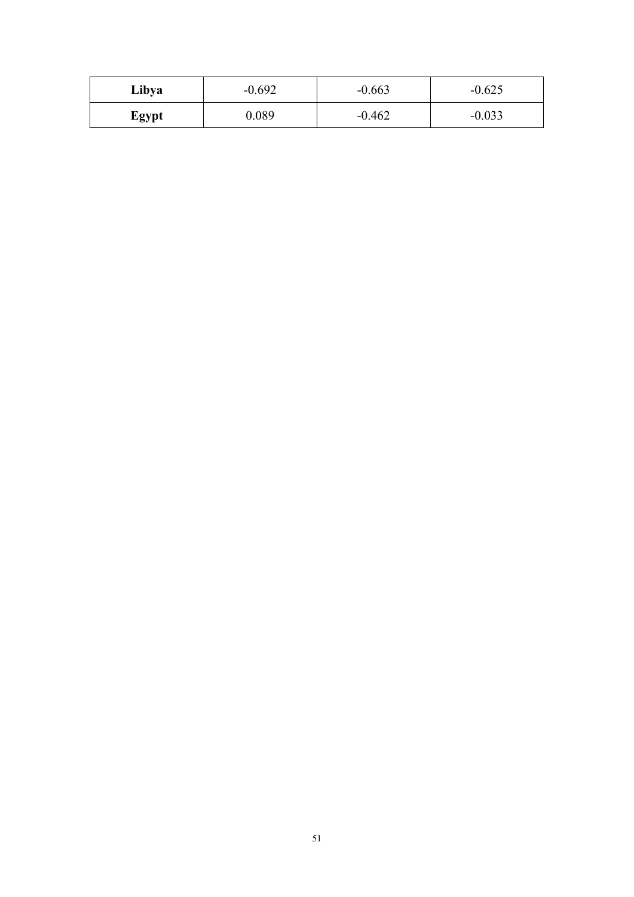| Libya | $-0.692$ | $-0.663$ | $-0.625$ |
|-------|----------|----------|----------|
| Egypt | 0.089    | $-0.462$ | $-0.033$ |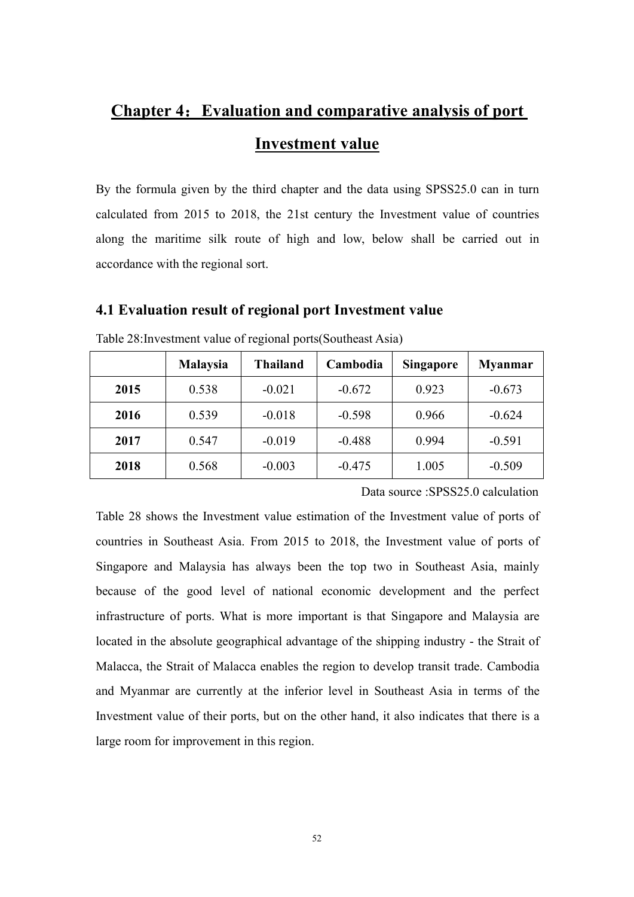# **Chapter 4: Evaluation and comparative analysis of port Investment value**

By the formula given by the third chapter and the data using SPSS25.0 can in turn calculated from 2015 to 2018, the 21st century the Investment value of countries along the maritime silk route of high and low, below shall be carried out in accordance with the regional sort.

# **4.1 Evaluation result of regional port Investment value**

|      | <b>Malaysia</b> | <b>Thailand</b> | Cambodia | <b>Singapore</b> | <b>Myanmar</b> |
|------|-----------------|-----------------|----------|------------------|----------------|
| 2015 | 0.538           | $-0.021$        | $-0.672$ | 0.923            | $-0.673$       |
| 2016 | 0.539           | $-0.018$        | $-0.598$ | 0.966            | $-0.624$       |
| 2017 | 0.547           | $-0.019$        | $-0.488$ | 0.994            | $-0.591$       |
| 2018 | 0.568           | $-0.003$        | $-0.475$ | 1.005            | $-0.509$       |

Table 28:Investment value of regional ports(Southeast Asia)

Data source :SPSS25.0 calculation

Table 28 shows the Investment value estimation of the Investment value of ports of countries in Southeast Asia. From 2015 to 2018, the Investment value of ports of Singapore and Malaysia has always been the top two in Southeast Asia, mainly because of the good level of national economic development and the perfect infrastructure of ports. What is more important is that Singapore and Malaysia are located in the absolute geographical advantage of the shipping industry - the Strait of Malacca, the Strait of Malacca enables the region to develop transit trade. Cambodia and Myanmar are currently at the inferior level in Southeast Asia in terms of the Investment value of their ports, but on the other hand, it also indicates that there is a large room for improvement in this region.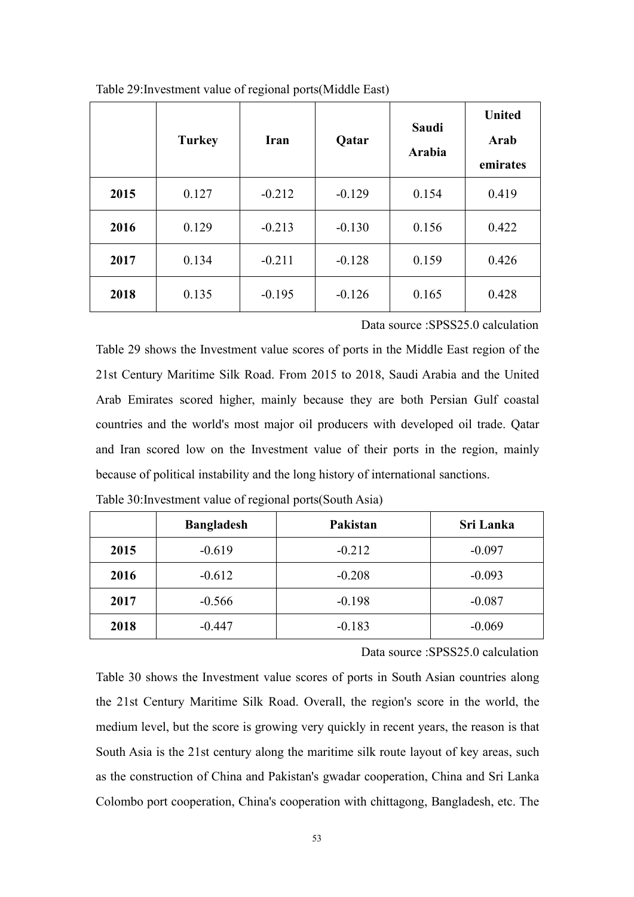|      | <b>Turkey</b> | Iran     | Qatar    | Saudi<br>Arabia | <b>United</b><br>Arab<br>emirates |
|------|---------------|----------|----------|-----------------|-----------------------------------|
| 2015 | 0.127         | $-0.212$ | $-0.129$ | 0.154           | 0.419                             |
| 2016 | 0.129         | $-0.213$ | $-0.130$ | 0.156           | 0.422                             |
| 2017 | 0.134         | $-0.211$ | $-0.128$ | 0.159           | 0.426                             |
| 2018 | 0.135         | $-0.195$ | $-0.126$ | 0.165           | 0.428                             |

Table 29:Investment value of regional ports(Middle East)

Data source :SPSS25.0 calculation

Table 29 shows the Investment value scores of ports in the Middle East region of the 21st Century Maritime Silk Road. From 2015 to 2018, Saudi Arabia and the United Arab Emirates scored higher, mainly because they are both Persian Gulf coastal countries and the world's most major oil producers with developed oil trade. Qatar and Iran scored low on the Investment value of their ports in the region, mainly because of political instability and the long history of international sanctions.

|      | <b>Bangladesh</b> | Pakistan | Sri Lanka |
|------|-------------------|----------|-----------|
| 2015 | $-0.619$          | $-0.212$ | $-0.097$  |
| 2016 | $-0.612$          | $-0.208$ | $-0.093$  |
| 2017 | $-0.566$          | $-0.198$ | $-0.087$  |
| 2018 | $-0.447$          | $-0.183$ | $-0.069$  |

Table 30:Investment value of regional ports(South Asia)

Data source :SPSS25.0 calculation

Table 30 shows the Investment value scores of ports in South Asian countries along the 21st Century Maritime Silk Road. Overall, the region's score in the world, the medium level, but the score is growing very quickly in recent years, the reason is that South Asia is the 21st century along the maritime silk route layout of key areas, such as the construction of China and Pakistan's gwadar cooperation, China and Sri Lanka Colombo port cooperation, China's cooperation with chittagong, Bangladesh, etc. The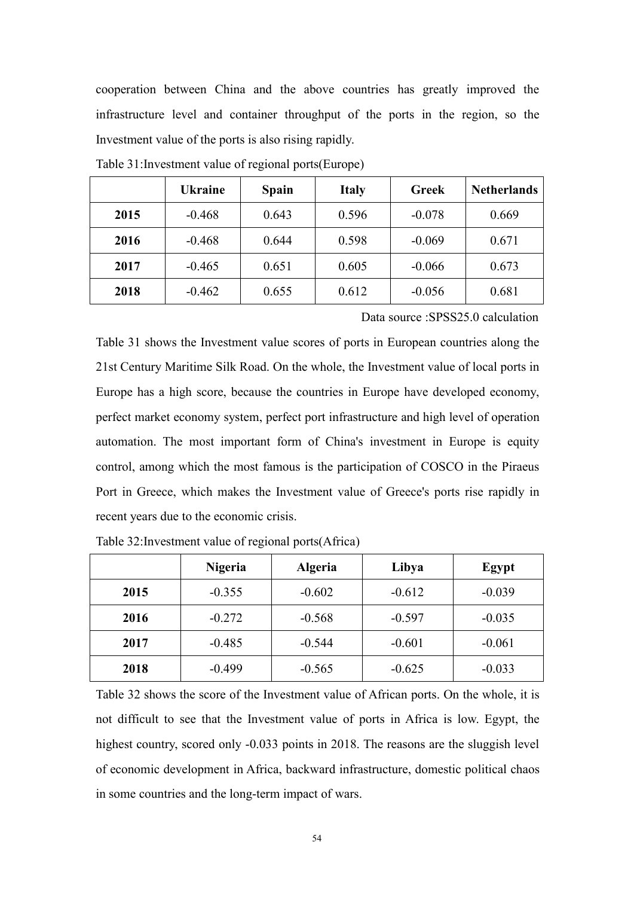cooperation between China and the above countries has greatly improved the infrastructure level and container throughput of the ports in the region, so the Investment value of the ports is also rising rapidly.

|      | <b>Ukraine</b> | <b>Spain</b> | <b>Italy</b> | <b>Greek</b> | <b>Netherlands</b> |
|------|----------------|--------------|--------------|--------------|--------------------|
| 2015 | $-0.468$       | 0.643        | 0.596        | $-0.078$     | 0.669              |
| 2016 | $-0.468$       | 0.644        | 0.598        | $-0.069$     | 0.671              |
| 2017 | $-0.465$       | 0.651        | 0.605        | $-0.066$     | 0.673              |
| 2018 | $-0.462$       | 0.655        | 0.612        | $-0.056$     | 0.681              |

Table 31:Investment value of regional ports(Europe)

Data source :SPSS25.0 calculation

Table 31 shows the Investment value scores of ports in European countries along the 21st Century Maritime Silk Road. On the whole, the Investment value of local ports in Europe has a high score, because the countries in Europe have developed economy, perfect market economy system, perfect port infrastructure and high level of operation automation. The most important form of China's investment in Europe is equity control, among which the most famous is the participation of COSCO in the Piraeus Port in Greece, which makes the Investment value of Greece's ports rise rapidly in recent years due to the economic crisis.

|      | <b>Nigeria</b> | <b>Algeria</b> | Libya    | Egypt    |
|------|----------------|----------------|----------|----------|
| 2015 | $-0.355$       | $-0.602$       | $-0.612$ | $-0.039$ |
| 2016 | $-0.272$       | $-0.568$       | $-0.597$ | $-0.035$ |
| 2017 | $-0.485$       | $-0.544$       | $-0.601$ | $-0.061$ |
| 2018 | $-0.499$       | $-0.565$       | $-0.625$ | $-0.033$ |

Table 32:Investment value of regional ports(Africa)

Table 32 shows the score of the Investment value of African ports. On the whole, it is not difficult to see that the Investment value of ports in Africa is low. Egypt, the highest country, scored only -0.033 points in 2018. The reasons are the sluggish level of economic development in Africa, backward infrastructure, domestic political chaos in some countries and the long-term impact of wars.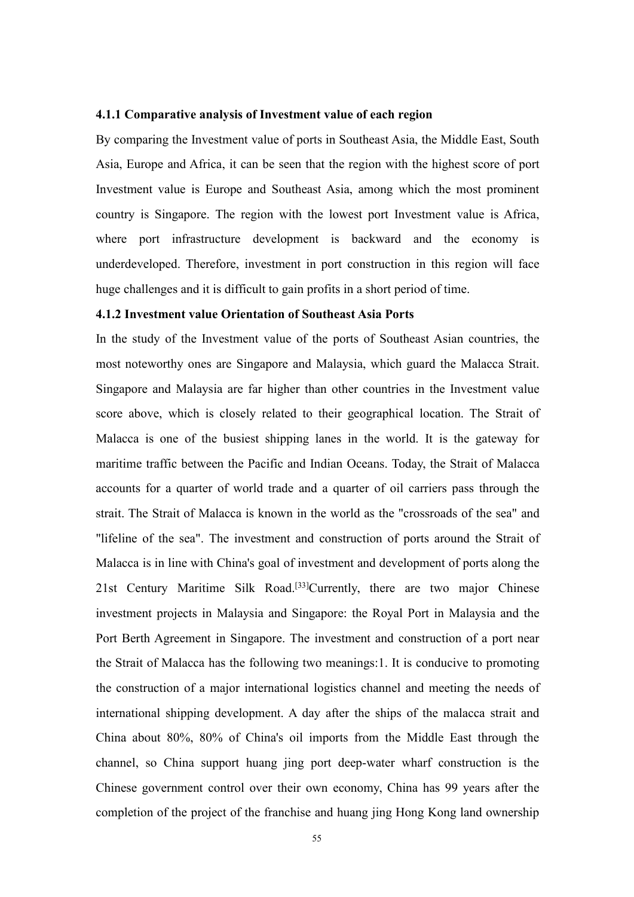### **4.1.1 Comparative analysis ofInvestment value of each region**

By comparing the Investment value of ports in Southeast Asia, the Middle East, South Asia, Europe and Africa, it can be seen that the region with the highest score of port Investment value is Europe and Southeast Asia, among which the most prominent country is Singapore. The region with the lowest port Investment value is Africa, where port infrastructure development is backward and the economy is underdeveloped. Therefore, investment in port construction in this region will face huge challenges and it is difficult to gain profits in a short period of time.

## **4.1.2 Investment value Orientation of Southeast Asia Ports**

In the study of the Investment value of the ports of Southeast Asian countries, the most noteworthy ones are Singapore and Malaysia, which guard the Malacca Strait. Singapore and Malaysia are far higher than other countries in the Investment value score above, which is closely related to their geographical location. The Strait of Malacca is one of the busiest shipping lanes in the world.It is the gateway for maritime traffic between the Pacific and Indian Oceans. Today, the Strait of Malacca accounts for a quarter of world trade and a quarter of oil carriers pass through the strait. The Strait of Malacca is known in the world as the "crossroads of the sea" and "lifeline of the sea". The investment and construction of ports around the Strait of Malacca is in line with China's goal of investment and development of ports along the 21st Century Maritime Silk Road. [33]Currently, there are two major Chinese investment projects in Malaysia and Singapore: the Royal Port in Malaysia and the Port Berth Agreement in Singapore. The investment and construction of a port near the Strait of Malacca has the following two meanings:1. It is conducive to promoting the construction of a major international logistics channel and meeting the needs of international shipping development. A day after the ships of the malacca strait and China about 80%, 80% of China's oil imports from the Middle East through the channel, so China support huang jing port deep-water wharf construction is the Chinese government control over their own economy, China has 99 years after the completion of the project of the franchise and huang jing Hong Kong land ownership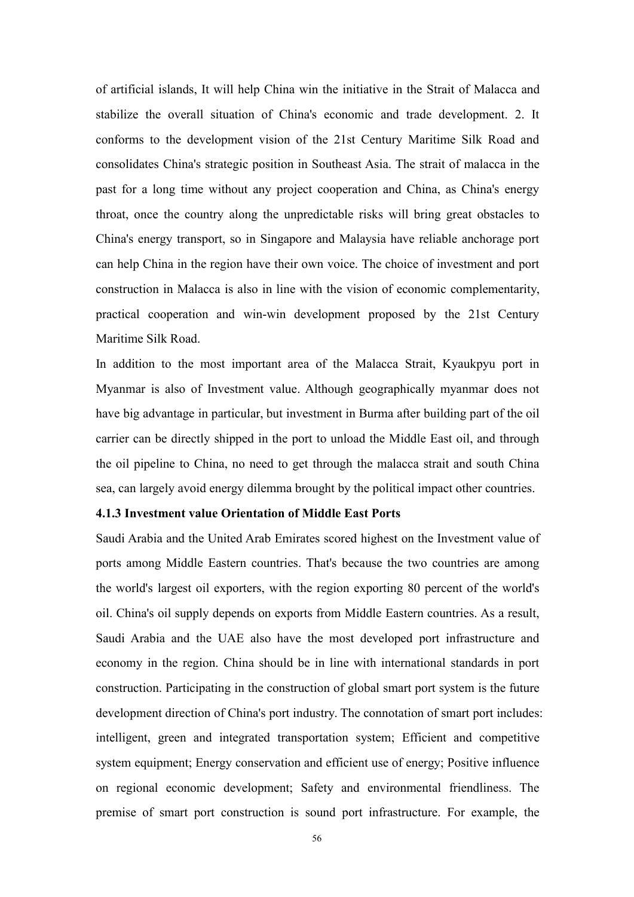of artificial islands, It will help China win the initiative in the Strait of Malacca and stabilize the overall situation of China's economic and trade development. 2. It conforms to the development vision of the 21st Century Maritime Silk Road and consolidates China's strategic position in Southeast Asia. The strait of malacca in the past for a long time without any project cooperation and China, as China's energy throat, once the country along the unpredictable risks will bring great obstacles to China's energy transport, so in Singapore and Malaysia have reliable anchorage port can help China in the region have their own voice. The choice of investment and port construction in Malacca is also in line with the vision of economic complementarity, practical cooperation and win-win development proposed by the 21st Century Maritime Silk Road.

In addition to the most important area of the Malacca Strait, Kyaukpyu port in Myanmar is also of Investment value. Although geographically myanmar does not have big advantage in particular, but investment in Burma after building part of the oil carrier can be directly shipped in the port to unload the Middle East oil, and through the oil pipeline to China, no need to get through the malacca strait and south China sea, can largely avoid energy dilemma brought by the political impact other countries.

### **4.1.3 Investment value Orientation of Middle East Ports**

Saudi Arabia and the United Arab Emirates scored highest on the Investment value of ports among Middle Eastern countries. That's because the two countries are among the world's largest oil exporters, with the region exporting 80 percent of the world's oil. China's oil supply depends on exports from Middle Eastern countries. As a result, Saudi Arabia and the UAE also have the most developed port infrastructure and economy in the region.China should be in line with international standards in port construction. Participating in the construction of global smart port system is the future development direction of China's port industry. The connotation of smart port includes: intelligent, green and integrated transportation system; Efficient and competitive system equipment; Energy conservation and efficient use of energy; Positive influence on regional economic development; Safety and environmental friendliness. The premise of smart port construction is sound port infrastructure. For example, the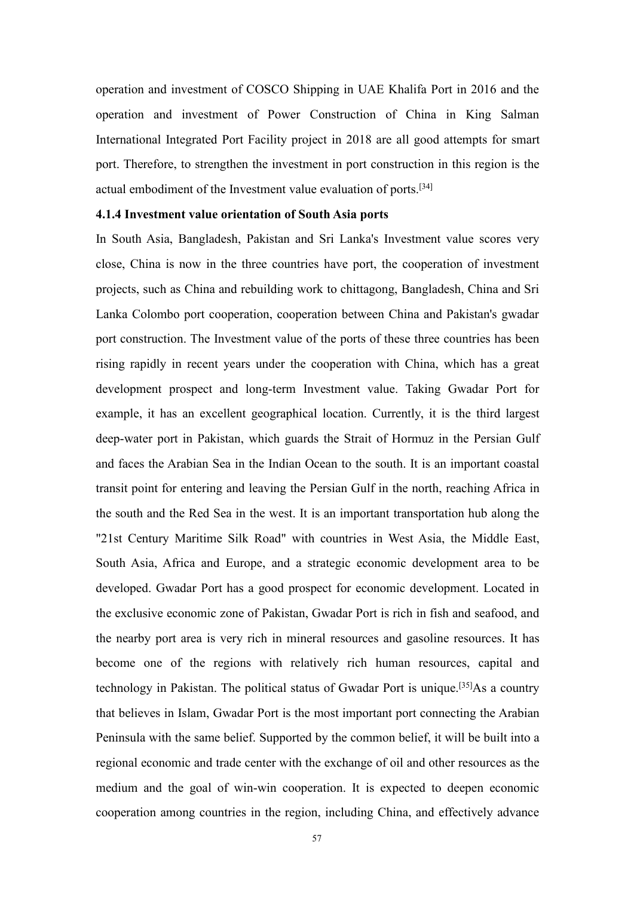operation and investment of COSCO Shipping in UAE Khalifa Port in 2016 and the operation and investment of Power Construction of China in King Salman International Integrated Port Facility project in 2018 are all good attempts for smart port. Therefore, to strengthen the investment in port construction in this region is the actual embodiment of the Investment value evaluation of ports. [34]

## **4.1.4 Investment value orientation of South Asia ports**

In South Asia, Bangladesh, Pakistan and Sri Lanka's Investment value scores very close, China is now in the three countries have port, the cooperation of investment projects, such as China and rebuilding work to chittagong, Bangladesh, China and Sri Lanka Colombo port cooperation, cooperation between China and Pakistan's gwadar port construction. The Investment value of the ports of these three countries has been rising rapidly in recent years under the cooperation with China, which has a great development prospect and long-term Investment value. Taking Gwadar Port for example, it has an excellent geographical location. Currently, it is the third largest deep-water port in Pakistan, which guards the Strait of Hormuz in the Persian Gulf and faces the Arabian Sea in the Indian Ocean to the south. It is an important coastal transit point for entering and leaving the Persian Gulf in the north, reaching Africa in the south and the Red Sea in the west. It is an important transportation hub along the "21st Century Maritime Silk Road" with countries in West Asia, the Middle East, South Asia, Africa and Europe, and a strategic economic development area to be developed. Gwadar Port has a good prospect for economic development. Located in the exclusive economic zone of Pakistan, Gwadar Port is rich in fish and seafood, and the nearby port area is very rich in mineral resources and gasoline resources. It has become one of the regions with relatively rich human resources, capital and technology in Pakistan. The political status of Gwadar Port is unique.<sup>[35]</sup>As a country that believes in Islam, Gwadar Port is the most important port connecting the Arabian Peninsula with the same belief. Supported by the common belief, it will be built into a regional economic and trade center with the exchange of oil and other resources as the medium and the goal of win-win cooperation. It is expected to deepen economic cooperation among countries in the region, including China, and effectively advance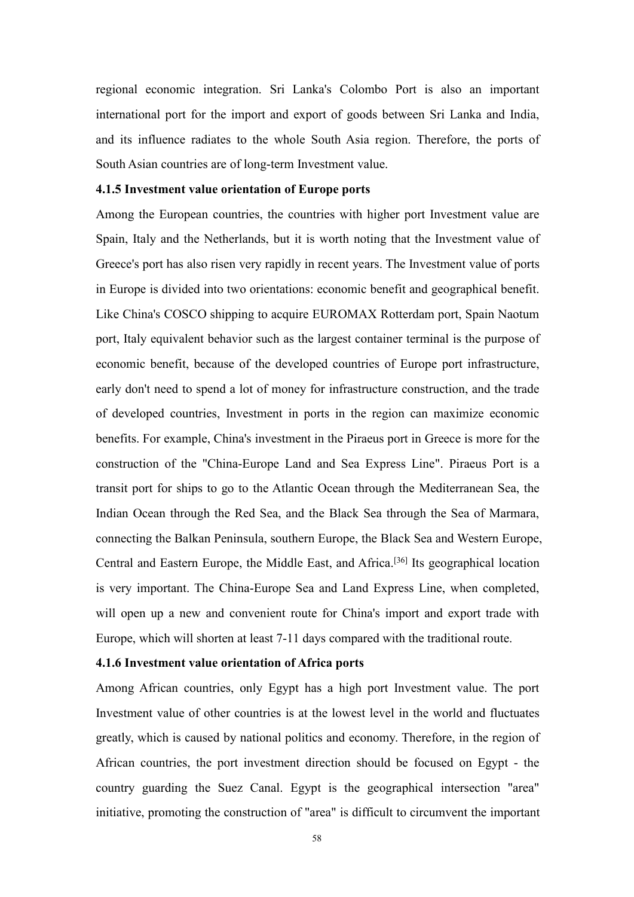regional economic integration. Sri Lanka's Colombo Port is also an important international port for the import and export of goods between Sri Lanka and India, and its influence radiates to the whole South Asia region. Therefore, the ports of South Asian countries are of long-term Investment value.

## **4.1.5 Investment value orientation of Europe ports**

Among the European countries, the countries with higher port Investment value are Spain, Italy and the Netherlands, but it is worth noting that the Investment value of Greece's port has also risen very rapidly in recent years. The Investment value of ports in Europe is divided into two orientations: economic benefit and geographical benefit. Like China's COSCO shipping to acquire EUROMAX Rotterdam port, Spain Naotum port, Italy equivalent behavior such as the largest container terminal is the purpose of economic benefit, because of the developed countries of Europe port infrastructure, early don't need to spend a lot of money for infrastructure construction, and the trade of developed countries, Investment in ports in the region can maximize economic benefits. For example, China's investment in the Piraeus port in Greece is more for the construction of the "China-Europe Land and Sea Express Line". Piraeus Port is a transit port for ships to go to the Atlantic Ocean through the Mediterranean Sea, the Indian Ocean through the Red Sea, and the Black Sea through the Sea of Marmara, connecting the Balkan Peninsula, southern Europe, the Black Sea and Western Europe, Central and Eastern Europe, the Middle East, and Africa. [36] Its geographical location is very important. The China-Europe Sea and Land Express Line, when completed, will open up a new and convenient route for China's import and export trade with Europe, which will shorten at least 7-11 days compared with the traditional route.

#### **4.1.6 Investment value orientation of Africa ports**

Among African countries, only Egypt has a high port Investment value. The port Investment value of other countries is at the lowest level in the world and fluctuates greatly, which is caused by national politics and economy. Therefore, in the region of African countries, the port investment direction should be focused on Egypt- the country guarding the Suez Canal. Egypt is the geographical intersection "area" initiative, promoting the construction of "area" is difficult to circumvent the important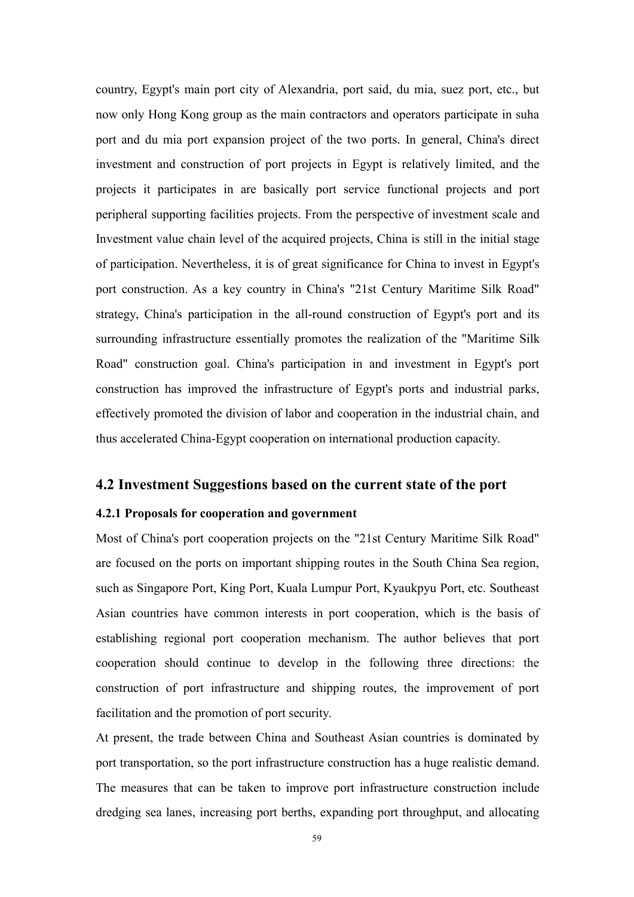country, Egypt's main port city of Alexandria, port said, du mia, suez port, etc., but now only Hong Kong group as the main contractors and operators participate in suha port and du mia port expansion project of the two ports. In general, China's direct investment and construction of port projects in Egypt is relatively limited, and the projects it participates in are basically port service functional projects and port peripheral supporting facilities projects. From the perspective of investment scale and Investment value chain level of the acquired projects, China is still in the initial stage of participation. Nevertheless, it is of great significance for China to invest in Egypt's port construction. As a key country in China's "21st Century Maritime Silk Road" strategy, China's participation in the all-round construction of Egypt's port and its surrounding infrastructure essentially promotes the realization of the "Maritime Silk Road" construction goal. China's participation in and investment in Egypt's port construction has improved the infrastructure of Egypt's ports and industrial parks, effectively promoted the division of labor and cooperation in the industrial chain, and thus accelerated China-Egypt cooperation on international production capacity.

## **4.2 Investment Suggestions based on the current state of the port**

## **4.2.1 Proposals for cooperation and government**

Most of China's port cooperation projects on the "21st Century Maritime Silk Road" are focused on the ports on important shipping routes in the South China Sea region, such as Singapore Port, King Port, Kuala Lumpur Port, Kyaukpyu Port, etc. Southeast Asian countries have common interests in port cooperation, which is the basis of establishing regional port cooperation mechanism. The author believes that port cooperation should continue to develop in the following three directions: the construction of port infrastructure and shipping routes, the improvement of port facilitation and the promotion of port security.

At present, the trade between China and Southeast Asian countries is dominated by port transportation, so the port infrastructure construction has a huge realistic demand.<br>The measures that can be taken to improve port infrastructure construction include dredging sea lanes, increasing port berths, expanding port throughput, and allocating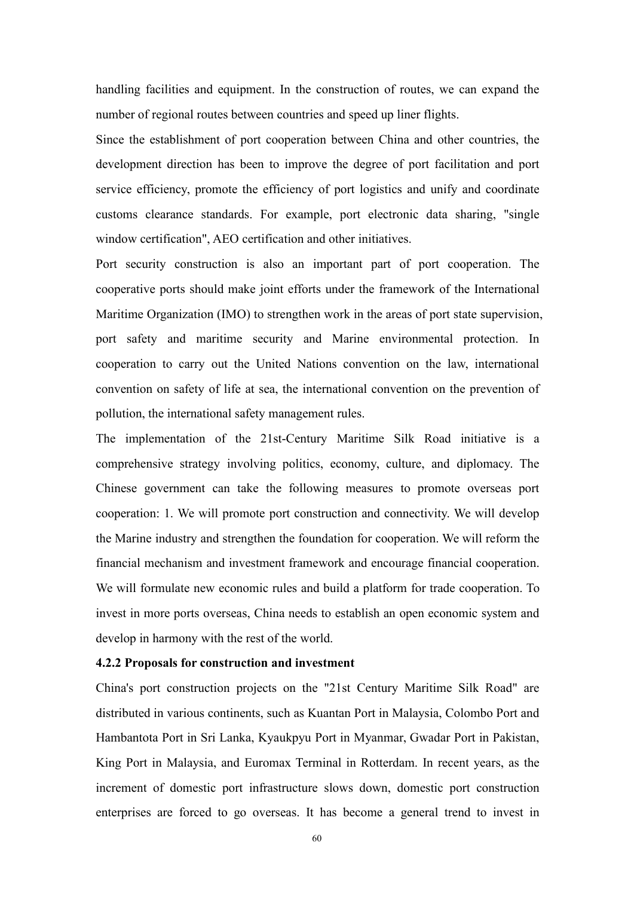handling facilities and equipment. In the construction of routes, we can expand the number of regional routes between countries and speed up liner flights.

Since the establishment of port cooperation between China and other countries, the development direction has been to improve the degree of port facilitation and port service efficiency, promote the efficiency of port logistics and unify and coordinate customs clearance standards. For example, port electronic data sharing, "single window certification", AEO certification and other initiatives.

Port security construction is also an important part of port cooperation. The cooperative ports should make joint efforts under the framework of the International Maritime Organization (IMO) to strengthen work in the areas of port state supervision, port safety and maritime security and Marine environmental protection. In cooperation to carry out the United Nations convention on the law, international convention on safety of life at sea, the international convention on the prevention of pollution, the international safety management rules.

The implementation of the 21st-Century Maritime Silk Road initiative is a comprehensive strategy involving politics, economy, culture, and diplomacy. The Chinese government can take the following measures to promote overseas port cooperation: 1. We will promote port construction and connectivity. We will develop the Marine industry and strengthen the foundation for cooperation. We will reform the financial mechanism and investment framework and encourage financial cooperation. We will formulate new economic rules and build a platform for trade cooperation. To invest in more ports overseas, China needs to establish an open economic system and develop in harmony with the rest of the world.

#### **4.2.2 Proposals for construction and investment**

China's port construction projects on the "21st Century Maritime Silk Road" are distributed in various continents, such as Kuantan Port in Malaysia, Colombo Port and Hambantota Port in Sri Lanka, Kyaukpyu Port in Myanmar, Gwadar Port in Pakistan, King Port in Malaysia, and Euromax Terminal in Rotterdam. In recent years, as the increment of domestic port infrastructure slows down, domestic port construction enterprises are forced to go overseas. It has become a general trend to invest in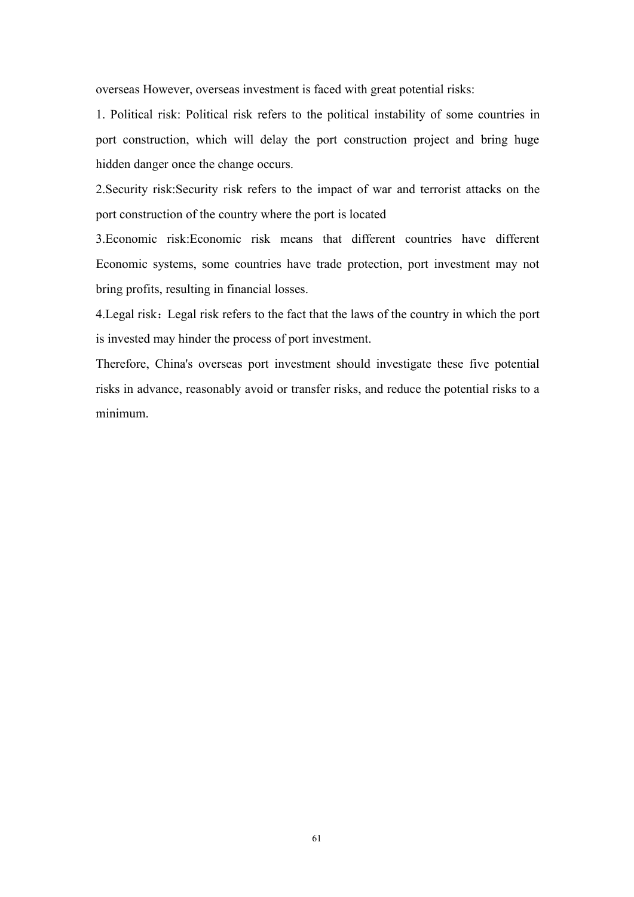overseas However, overseas investment is faced with great potential risks:

1. Political risk: Political risk refers to the political instability of some countries in port construction, which will delay the port construction project and bring huge hidden danger once the change occurs.

2. Security risk: Security risk refers to the impact of war and terrorist attacks on the port construction of the country where the port is located

3.Economic risk:Economic risk means that different countries have different Economic systems, some countries have trade protection, port investment may not bring profits, resulting in financial losses.

4. Legal risk: Legal risk refers to the fact that the laws of the country in which the port is invested may hinder the process of port investment.

Therefore, China's overseas port investment should investigate these five potential risks in advance, reasonably avoid or transfer risks, and reduce the potential risks to a minimum.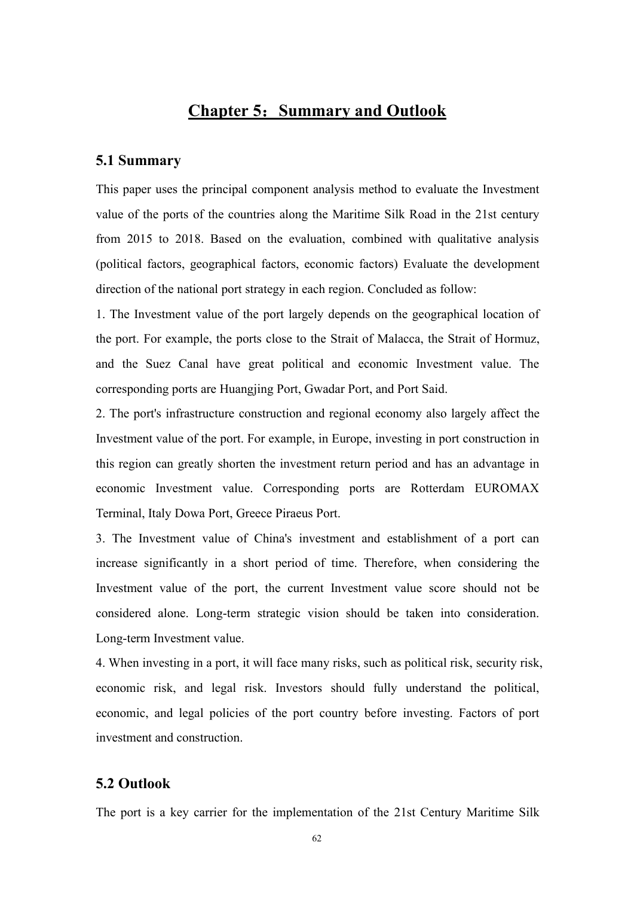## **Chapter 5**:**Summary and Outlook**

### **5.1 Summary**

This paper uses the principal component analysis method to evaluate the Investment value of the ports of the countries along the Maritime Silk Road in the 21st century from 2015 to 2018. Based on the evaluation, combined with qualitative analysis (political factors, geographical factors, economic factors) Evaluate the development direction of the national port strategy in each region. Concluded as follow:

1. The Investment value of the port largely depends on the geographical location of the port. For example, the ports close to the Strait of Malacca, the Strait of Hormuz, and the Suez Canal have great political and economic Investment value. The corresponding ports are Huangjing Port, Gwadar Port, and Port Said.

2. The port's infrastructure construction and regional economy also largely affect the Investment value of the port. For example, in Europe, investing in port construction in this region can greatly shorten the investment return period and has an advantage in economic Investment value. Corresponding ports are Rotterdam EUROMAX Terminal, Italy Dowa Port, Greece Piraeus Port.

3. The Investment value of China's investment and establishment of a port can increase significantly in a short period of time. Therefore, when considering the Investment value of the port, the current Investment value score should not be considered alone. Long-term strategic vision should be taken into consideration. Long-term Investment value.

4. When investing in a port, it will face many risks, such as political risk, security risk, economic risk, and legal risk. Investors should fully understand the political, economic, and legal policies of the port country before investing. Factors of port investment and construction.

#### **5.2 Outlook**

The port is a key carrier for the implementation of the 21st Century Maritime Silk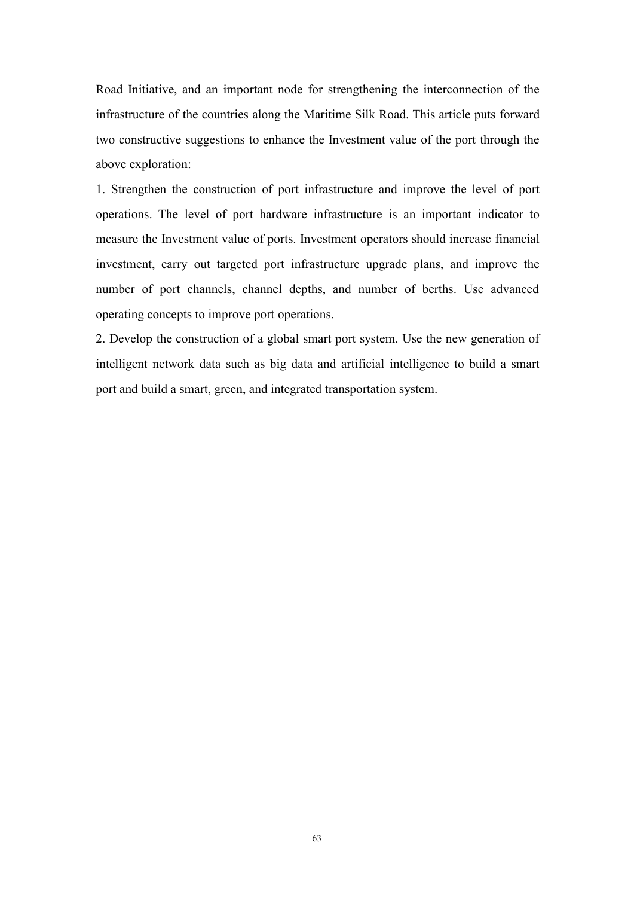Road Initiative, and an important node for strengthening the interconnection of the infrastructure of the countries along the Maritime Silk Road. This article puts forward two constructive suggestions to enhance the Investment value of the port through the above exploration:

1. Strengthen the construction of port infrastructure and improve the level of port operations. The level of port hardware infrastructure is an important indicator to measure the Investment value of ports.Investment operators should increase financial investment, carry out targeted port infrastructure upgrade plans, and improve the number of port channels, channel depths, and number of berths. Use advanced operating concepts to improve port operations.

2. Develop the construction of a global smart port system. Use the new generation of intelligent network data such as big data and artificial intelligence to build a smart port and build a smart, green, and integrated transportation system.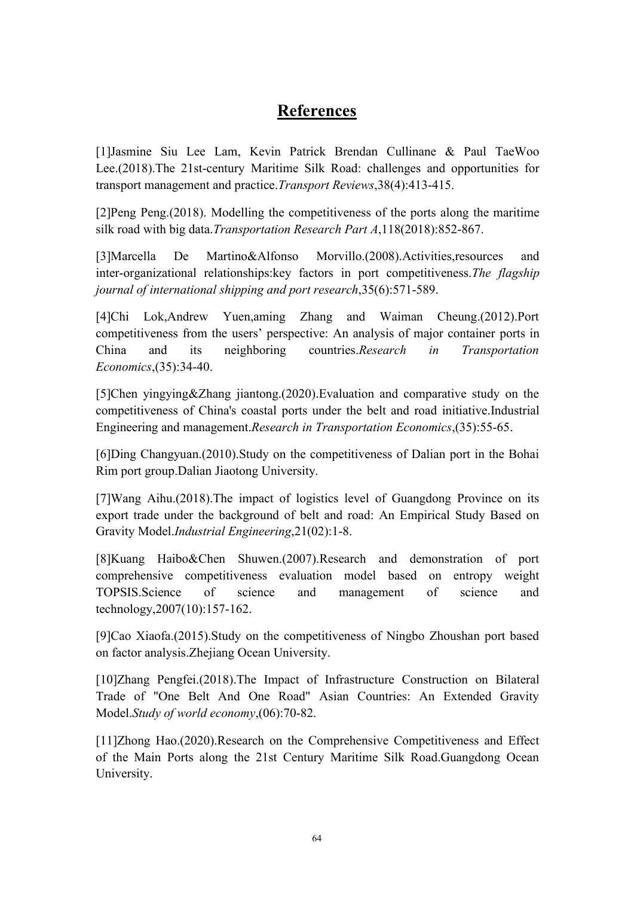## **References**

[1]Jasmine Siu Lee Lam, Kevin Patrick Brendan Cullinane & Paul TaeWoo Lee.(2018).The 21st-century Maritime Silk Road: challenges and opportunities for transport management and practice.*Transport Reviews*,38(4):413-415.

[2]Peng Peng.(2018). Modelling the competitiveness of the ports along the maritime silk road with big data.*Transportation Research Part A*,118(2018):852-867.

[3]Marcella De Martino&Alfonso Morvillo.(2008).Activities,resources and inter-organizational relationships:key factors in port competitiveness.*The flagship journal of international shipping and port research*,35(6):571-589.

[4]Chi Lok,Andrew Yuen,aming Zhang and Waiman Cheung.(2012).Port competitiveness from the users' perspective:An analysis of major container ports in China and its neighboring countries.*Research in Transportation Economics*,(35):34-40.

[5]Chen yingying&Zhang jiantong.(2020).Evaluation and comparative study on the competitiveness of China's coastal ports under the belt and road initiative.Industrial Engineering and management.*Research in Transportation Economics*,(35):55-65.

[6]Ding Changyuan.(2010).Study on the competitiveness of Dalian port in the Bohai Rim port group.Dalian Jiaotong University.

[7] Wang Aihu. (2018). The impact of logistics level of Guangdong Province on its export trade under the background of belt and road: An Empirical Study Based on Gravity Model.*Industrial Engineering*,21(02):1-8.

[8]Kuang Haibo&Chen Shuwen.(2007).Research and demonstration of port comprehensive competitiveness evaluation model based on entropy weight TOPSIS.Science of science and management of science and technology,2007(10):157-162.

[9]Cao Xiaofa.(2015).Study on the competitiveness of Ningbo Zhoushan port based on factor analysis.Zhejiang Ocean University.

[10]Zhang Pengfei.(2018).The Impact of Infrastructure Construction on Bilateral Trade of "One Belt And One Road" Asian Countries: An Extended Gravity Model.*Study of world economy*,(06):70-82.

[11]Zhong Hao.(2020).Research on the Comprehensive Competitiveness and Effect of the Main Ports along the 21st Century Maritime Silk Road.Guangdong Ocean University.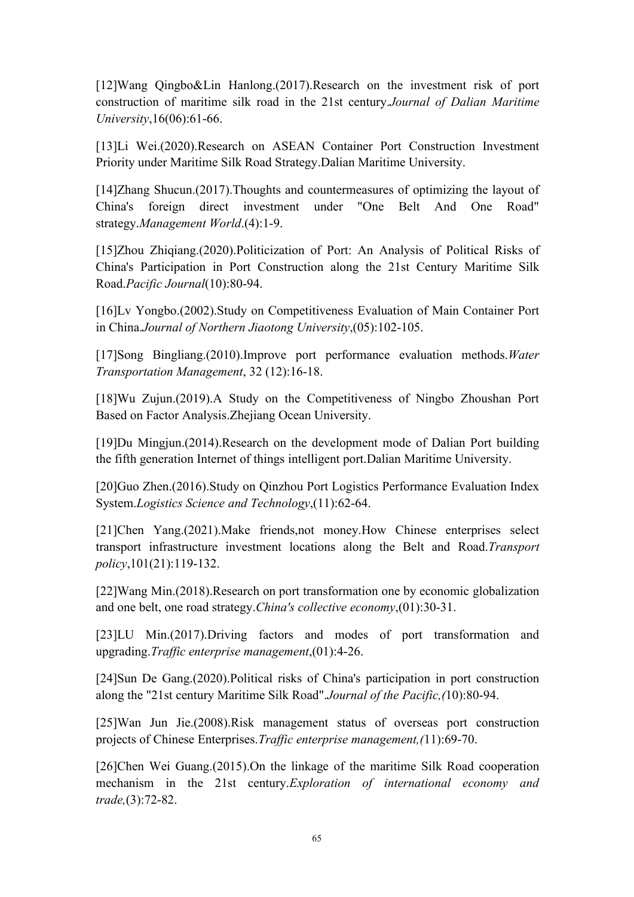[12]Wang Qingbo&Lin Hanlong.(2017).Research on the investment risk of port construction of maritime silk road in the 21st century.*Journal of Dalian Maritime University*,16(06):61-66.

[13]Li Wei.(2020).Research on ASEAN Container Port Construction Investment Priority under Maritime Silk Road Strategy.Dalian Maritime University.

[14]Zhang Shucun.(2017).Thoughts and countermeasures of optimizing the layout of China's foreign direct investment under "One Belt And One Road" strategy.*Management World*.(4):1-9.

[15]Zhou Zhiqiang.(2020).Politicization of Port: An Analysis of Political Risks of China's Participation in Port Construction along the 21st Century Maritime Silk Road.*Pacific Journal*(10):80-94.

[16]Lv Yongbo.(2002).Study on Competitiveness Evaluation of Main Container Port in China.*Journal of Northern Jiaotong University*,(05):102-105.

[17]Song Bingliang.(2010).Improve port performance evaluation methods.*Water Transportation Management*, 32 (12):16-18.<br>[18]Wu Zujun.(2019).A Study on the Competitiveness of Ningbo Zhoushan Port

Based on Factor Analysis.Zhejiang Ocean University.<br>[19]Du Mingjun.(2014).Research on the development mode of Dalian Port building

the fifth generation Internet of things intelligent port.Dalian Maritime University.

[20]Guo Zhen.(2016).Study on Qinzhou Port Logistics Performance Evaluation Index System.*Logistics Science and Technology*,(11):62-64.

[21]Chen Yang.(2021).Make friends,not money.How Chinese enterprises select transport infrastructure investment locations along the Belt and Road.*Transport policy*,101(21):119-132.

[22]Wang Min.(2018).Research on port transformation one by economic globalization and one belt, one road strategy.*China's collective economy*,(01):30-31.

[23]LU Min.(2017).Driving factors and modes of port transformation and upgrading.*Traffic enterprise management*, (01): 4-26.

[24]Sun De Gang.(2020).Political risks of China's participation in port construction along the "21st century Maritime Silk Road".*Journal of the Pacific,(*10):80-94.

[25]Wan Jun Jie.(2008).Risk management status of overseas port construction projects of Chinese Enterprises.*Traffic enterprise management*,(11):69-70.

[26]Chen Wei Guang.(2015).On the linkage of the maritime Silk Road cooperation mechanism in the 21st century.*Exploration of international economy and trade,*(3):72-82.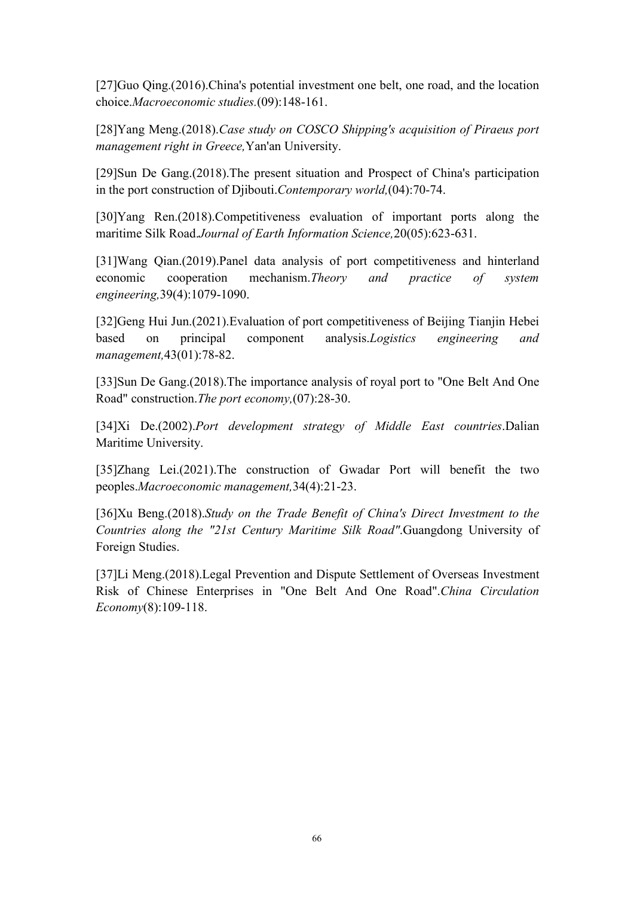[27]Guo Qing.(2016).China's potential investment one belt, one road, and the location choice.*Macroeconomic studies.*(09):148-161.

[28]Yang Meng.(2018).*Case study on COSCO Shipping's acquisition of Piraeus port management right in Greece*, Yan'an University.<br>[29]Sun De Gang.(2018).The present situation and Prospect of China's participation

in the port construction of Djibouti.*Contemporary world,*(04):70-74.

[30]Yang Ren.(2018).Competitiveness evaluation of important ports along the maritime Silk Road.*Journal of Earth Information Science,*20(05):623-631.

[31]Wang Qian.(2019).Panel data analysis of port competitiveness and hinterland economic cooperation mechanism.*Theory and practice of system engineering,*39(4):1079-1090.

[32]Geng Hui Jun.(2021).Evaluation of port competitiveness of Beijing Tianjin Hebei based on principal component analysis.*Logistics engineering and management,*43(01):78-82.

[33]Sun De Gang.(2018). The importance analysis of roval port to "One Belt And One" Road" construction.*The port economy,*(07):28-30.

[34]Xi De.(2002).*Port development strategy of Middle East countries*.Dalian Maritime University.

[35]Zhang Lei.(2021).The construction of Gwadar Port will benefit the two peoples.*Macroeconomic management,*34(4):21-23.

[36]Xu Beng.(2018).*Study on the Trade Benefit of China's Direct Investment to the Countries along the "21st Century Maritime Silk Road".Guangdong University of* Foreign Studies.

[37]Li Meng.(2018).Legal Prevention and Dispute Settlement of Overseas Investment Risk of Chinese Enterprises in "One Belt And One Road".*China Circulation Economy*(8):109-118.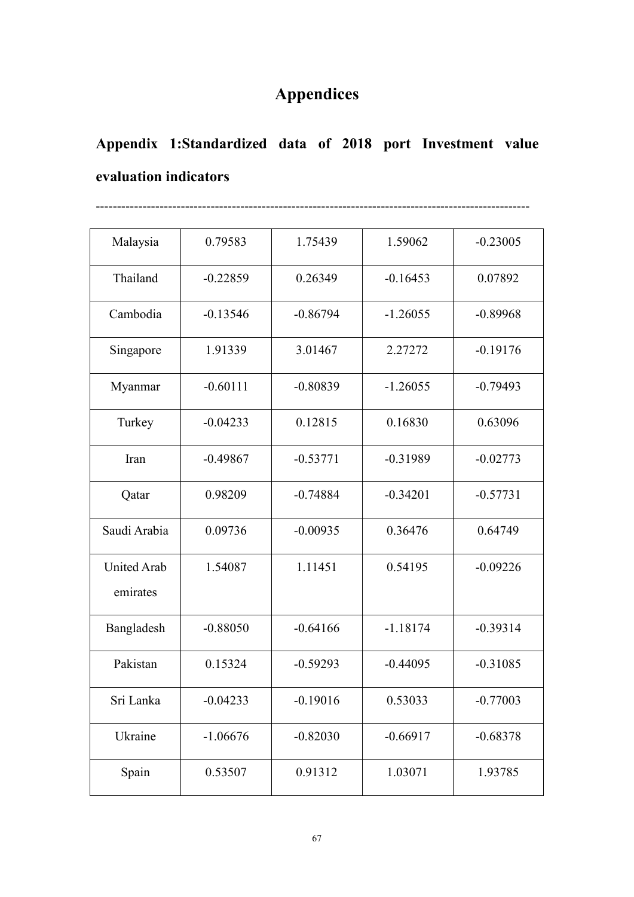## **Appendices**

# **Appendix 1:Standardized data of 2018 port Investment value evaluation indicators**

------------------------------------------------------------------------------------------------------

| Malaysia                       | 0.79583    | 1.75439    | 1.59062    | $-0.23005$ |
|--------------------------------|------------|------------|------------|------------|
| Thailand                       | $-0.22859$ | 0.26349    | $-0.16453$ | 0.07892    |
| Cambodia                       | $-0.13546$ | $-0.86794$ | $-1.26055$ | $-0.89968$ |
| Singapore                      | 1.91339    | 3.01467    | 2.27272    | $-0.19176$ |
| Myanmar                        | $-0.60111$ | $-0.80839$ | $-1.26055$ | $-0.79493$ |
| Turkey                         | $-0.04233$ | 0.12815    | 0.16830    | 0.63096    |
| Iran                           | $-0.49867$ | $-0.53771$ | $-0.31989$ | $-0.02773$ |
| Qatar                          | 0.98209    | $-0.74884$ | $-0.34201$ | $-0.57731$ |
| Saudi Arabia                   | 0.09736    | $-0.00935$ | 0.36476    | 0.64749    |
| <b>United Arab</b><br>emirates | 1.54087    | 1.11451    | 0.54195    | $-0.09226$ |
| Bangladesh                     | $-0.88050$ | $-0.64166$ | $-1.18174$ | $-0.39314$ |
| Pakistan                       | 0.15324    | $-0.59293$ | $-0.44095$ | $-0.31085$ |
| Sri Lanka                      | $-0.04233$ | $-0.19016$ | 0.53033    | $-0.77003$ |
| Ukraine                        | $-1.06676$ | $-0.82030$ | $-0.66917$ | $-0.68378$ |
| Spain                          | 0.53507    | 0.91312    | 1.03071    | 1.93785    |
|                                |            |            |            |            |